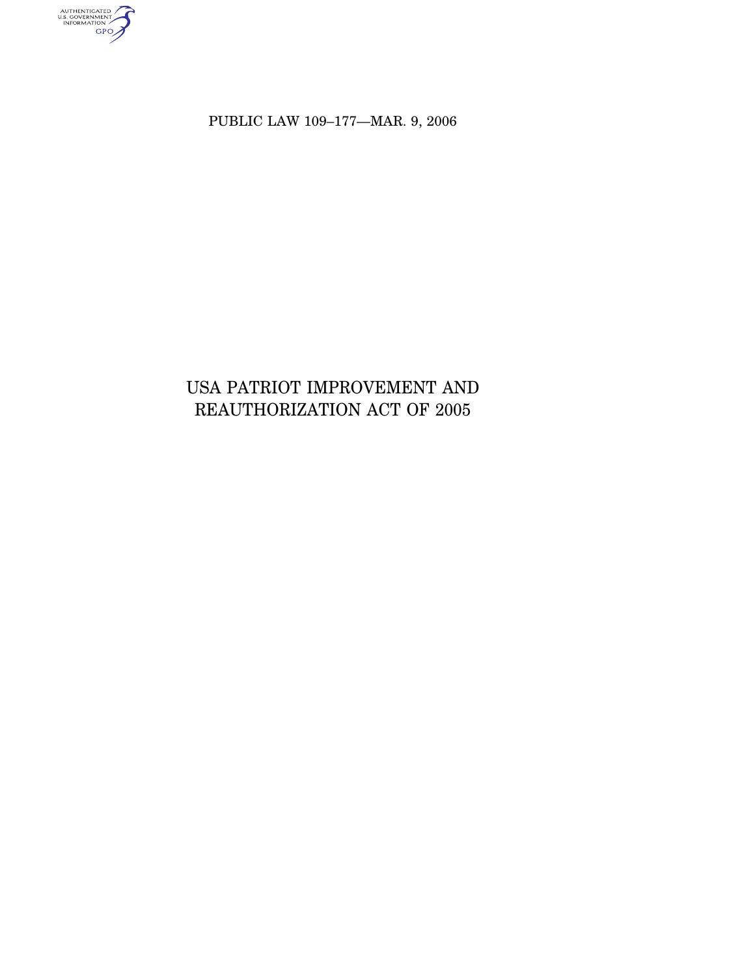AUTHENTICATED<br>U.S. GOVERNMENT<br>INFORMATION

PUBLIC LAW 109–177—MAR. 9, 2006

# USA PATRIOT IMPROVEMENT AND REAUTHORIZATION ACT OF 2005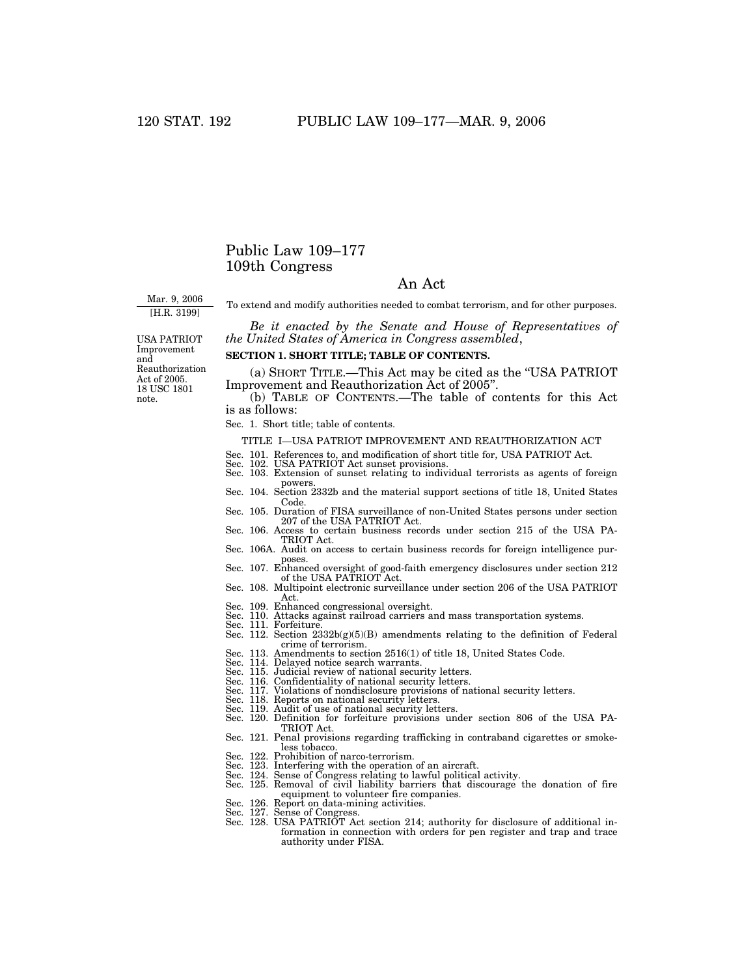### Public Law 109–177 109th Congress

### An Act

Mar. 9, 2006 [H.R. 3199]

To extend and modify authorities needed to combat terrorism, and for other purposes. *Be it enacted by the Senate and House of Representatives of*

*the United States of America in Congress assembled*,

18 USC 1801 note. USA PATRIOT Improvement and Reauthorization Act of 2005.

**SECTION 1. SHORT TITLE; TABLE OF CONTENTS.** (a) SHORT TITLE.—This Act may be cited as the ''USA PATRIOT

Improvement and Reauthorization Act of 2005''.

(b) TABLE OF CONTENTS.—The table of contents for this Act is as follows:

Sec. 1. Short title; table of contents.

#### TITLE I—USA PATRIOT IMPROVEMENT AND REAUTHORIZATION ACT

- 
- Sec. 101. References to, and modification of short title for, USA PATRIOT Act. Sec. 102. USA PATRIOT Act sunset provisions. Sec. 103. Extension of sunset relating to individual terrorists as agents of foreign
- powers. Sec. 104. Section 2332b and the material support sections of title 18, United States Code.
- Sec. 105. Duration of FISA surveillance of non-United States persons under section 207 of the USA PATRIOT Act.
- Sec. 106. Access to certain business records under section 215 of the USA PA-TRIOT Act.
- Sec. 106A. Audit on access to certain business records for foreign intelligence purposes. Sec. 107. Enhanced oversight of good-faith emergency disclosures under section 212
- of the USA PATRIOT Act.
- Sec. 108. Multipoint electronic surveillance under section 206 of the USA PATRIOT Act.
- 
- Sec. 109. Enhanced congressional oversight. Sec. 110. Attacks against railroad carriers and mass transportation systems. Sec. 111. Forfeiture.
- 
- Sec. 112. Section  $2332b(g)(5)(B)$  amendments relating to the definition of Federal crime of terrorism.
- Sec. 113. Amendments to section 2516(1) of title 18, United States Code. Sec. 114. Delayed notice search warrants.
- 
- 
- 
- Sec. 115. Judicial review of national security letters.<br>Sec. 116. Confidentiality of national security letters.<br>Sec. 117. Violations of nondisclosure provisions of national security letters.<br>Sec. 118. Reports on national s
- 
- Sec. 119. Audit of use of national security letters.
- Sec. 120. Definition for forfeiture provisions under section 806 of the USA PA-TRIOT Act.
- Sec. 121. Penal provisions regarding trafficking in contraband cigarettes or smokeless tobacco. Sec. 122. Prohibition of narco-terrorism.
- 
- 
- 
- Sec. 123. Interfering with the operation of an aircraft. Sec. 124. Sense of Congress relating to lawful political activity. Sec. 125. Removal of civil liability barriers that discourage the donation of fire equipment to volunteer fire companies. Sec. 126. Report on data-mining activities.
- 
- 
- Sec. 127. Sense of Congress. Sec. 128. USA PATRIOT Act section 214; authority for disclosure of additional information in connection with orders for pen register and trap and trace authority under FISA.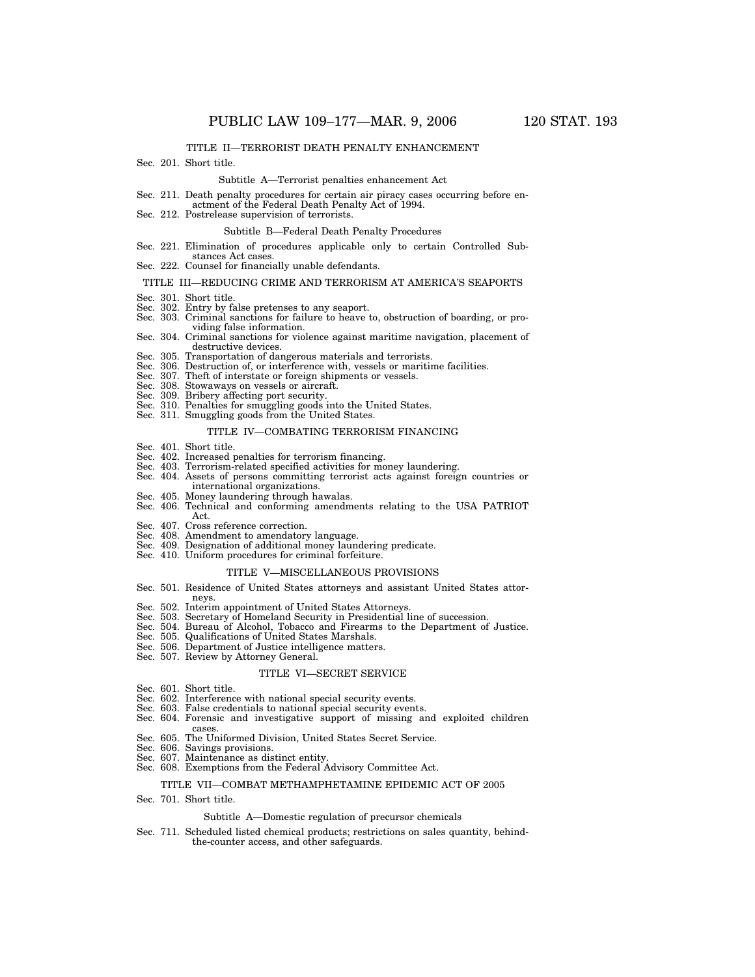#### TITLE II—TERRORIST DEATH PENALTY ENHANCEMENT

Sec. 201. Short title.

#### Subtitle A—Terrorist penalties enhancement Act

- Sec. 211. Death penalty procedures for certain air piracy cases occurring before en-
- actment of the Federal Death Penalty Act of 1994.
- Sec. 212. Postrelease supervision of terrorists.

#### Subtitle B—Federal Death Penalty Procedures

- Sec. 221. Elimination of procedures applicable only to certain Controlled Substances Act cases.
- Sec. 222. Counsel for financially unable defendants.
- TITLE III—REDUCING CRIME AND TERRORISM AT AMERICA'S SEAPORTS
- Sec. 301. Short title.
- Sec. 302. Entry by false pretenses to any seaport.
- Sec. 303. Criminal sanctions for failure to heave to, obstruction of boarding, or providing false information.
- Sec. 304. Criminal sanctions for violence against maritime navigation, placement of destructive devices.
- 
- Sec. 305. Transportation of dangerous materials and terrorists. Sec. 306. Destruction of, or interference with, vessels or maritime facilities. Sec. 307. Theft of interstate or foreign shipments or vessels.
- 
- 
- 
- Sec. 308. Stowaways on vessels or aircraft. Sec. 309. Bribery affecting port security. Sec. 310. Penalties for smuggling goods into the United States. Sec. 311. Smuggling goods from the United States.
- 

#### TITLE IV—COMBATING TERRORISM FINANCING

- Sec. 401. Short title.
- Sec. 402. Increased penalties for terrorism financing.
- Sec. 403. Terrorism-related specified activities for money laundering.
- Sec. 404. Assets of persons committing terrorist acts against foreign countries or international organizations.
- Sec. 405. Money laundering through hawalas.
- Sec. 406. Technical and conforming amendments relating to the USA PATRIOT Act.
- Sec. 407. Cross reference correction.
- Sec. 408. Amendment to amendatory language.
- Sec. 409. Designation of additional money laundering predicate.
- Sec. 410. Uniform procedures for criminal forfeiture.

#### TITLE V—MISCELLANEOUS PROVISIONS

- Sec. 501. Residence of United States attorneys and assistant United States attorneys.
- Sec. 502. Interim appointment of United States Attorneys.
- Sec. 503. Secretary of Homeland Security in Presidential line of succession.
- Sec. 504. Bureau of Alcohol, Tobacco and Firearms to the Department of Justice.
- Sec. 505. Qualifications of United States Marshals.
- Sec. 506. Department of Justice intelligence matters.
- Sec. 507. Review by Attorney General.

#### TITLE VI—SECRET SERVICE

- Sec. 601. Short title.
- Sec. 602. Interference with national special security events.
- Sec. 603. False credentials to national special security events.
- Sec. 604. Forensic and investigative support of missing and exploited children cases.
- Sec. 605. The Uniformed Division, United States Secret Service.
- Sec. 606. Savings provisions.
- Sec. 607. Maintenance as distinct entity.
- Sec. 608. Exemptions from the Federal Advisory Committee Act.

#### TITLE VII—COMBAT METHAMPHETAMINE EPIDEMIC ACT OF 2005

Sec. 701. Short title.

#### Subtitle A—Domestic regulation of precursor chemicals

Sec. 711. Scheduled listed chemical products; restrictions on sales quantity, behindthe-counter access, and other safeguards.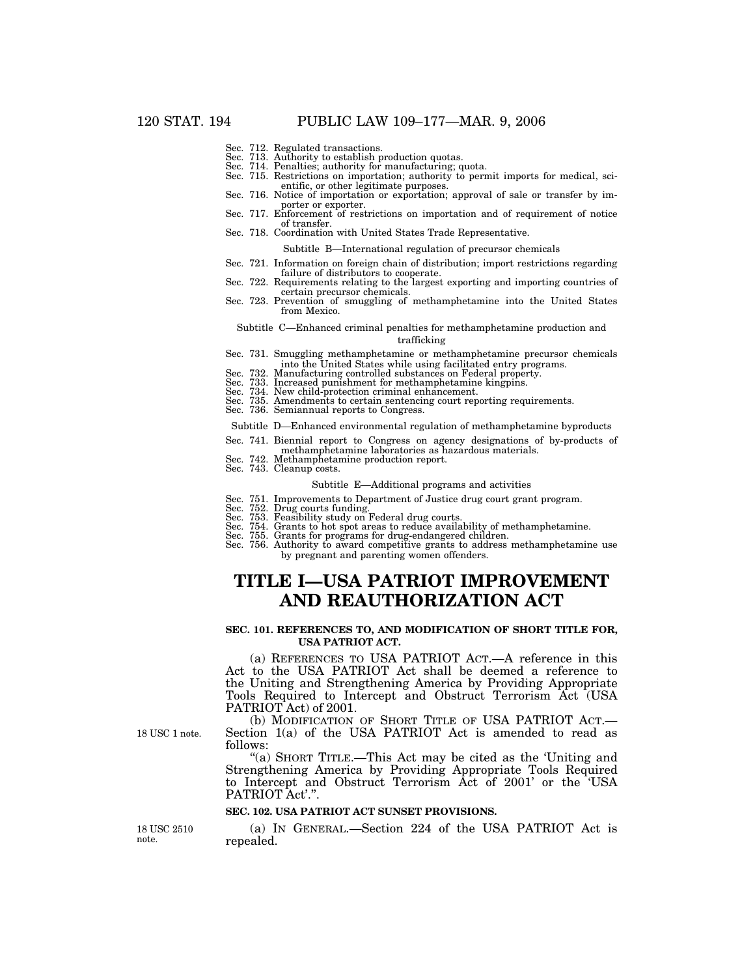- Sec. 712. Regulated transactions.
- Sec. 713. Authority to establish production quotas. Sec. 714. Penalties; authority for manufacturing; quota.
- Sec. 715. Restrictions on importation; authority to permit imports for medical, scientific, or other legitimate purposes.
- Sec. 716. Notice of importation or exportation; approval of sale or transfer by importer or exporter.
- Sec. 717. Enforcement of restrictions on importation and of requirement of notice of transfer.
- Sec. 718. Coordination with United States Trade Representative.

#### Subtitle B—International regulation of precursor chemicals

- Sec. 721. Information on foreign chain of distribution; import restrictions regarding
- Sec. 722. Requirements relating to the largest exporting and importing countries of certain precursor chemicals.
- Sec. 723. Prevention of smuggling of methamphetamine into the United States from Mexico.

#### Subtitle C—Enhanced criminal penalties for methamphetamine production and trafficking

- Sec. 731. Smuggling methamphetamine or methamphetamine precursor chemicals into the United States while using facilitated entry programs. Sec. 732. Manufacturing controlled substances on Federal property. Sec. 733. Increased punishment for methamphetamine kingpins.
- 
- 
- 
- Sec. 734. New child-protection criminal enhancement. Sec. 735. Amendments to certain sentencing court reporting requirements. Sec. 736. Semiannual reports to Congress.
- 
- Subtitle D—Enhanced environmental regulation of methamphetamine byproducts
- Sec. 741. Biennial report to Congress on agency designations of by-products of
- methamphetamine laboratories as hazardous materials.<br>Sec. 742. Methamphetamine production report.
- 
- Sec. 743. Cleanup costs.

#### Subtitle E—Additional programs and activities

- Sec. 751. Improvements to Department of Justice drug court grant program. Sec. 752. Drug courts funding. Sec. 753. Feasibility study on Federal drug courts.
- 
- 
- Sec. 754. Grants to hot spot areas to reduce availability of methamphetamine. Sec. 755. Grants for programs for drug-endangered children.
- 
- Sec. 756. Authority to award competitive grants to address methamphetamine use by pregnant and parenting women offenders.

## **TITLE I—USA PATRIOT IMPROVEMENT AND REAUTHORIZATION ACT**

### **SEC. 101. REFERENCES TO, AND MODIFICATION OF SHORT TITLE FOR, USA PATRIOT ACT.**

(a) REFERENCES TO USA PATRIOT ACT.—A reference in this Act to the USA PATRIOT Act shall be deemed a reference to the Uniting and Strengthening America by Providing Appropriate Tools Required to Intercept and Obstruct Terrorism Act (USA PATRIOT Act) of 2001.

(b) MODIFICATION OF SHORT TITLE OF USA PATRIOT ACT.— Section 1(a) of the USA PATRIOT Act is amended to read as follows:

''(a) SHORT TITLE.—This Act may be cited as the 'Uniting and Strengthening America by Providing Appropriate Tools Required to Intercept and Obstruct Terrorism Act of 2001' or the 'USA PATRIOT Act'.''.

### **SEC. 102. USA PATRIOT ACT SUNSET PROVISIONS.**

(a) IN GENERAL.—Section 224 of the USA PATRIOT Act is repealed.

18 USC 1 note.

18 USC 2510 note.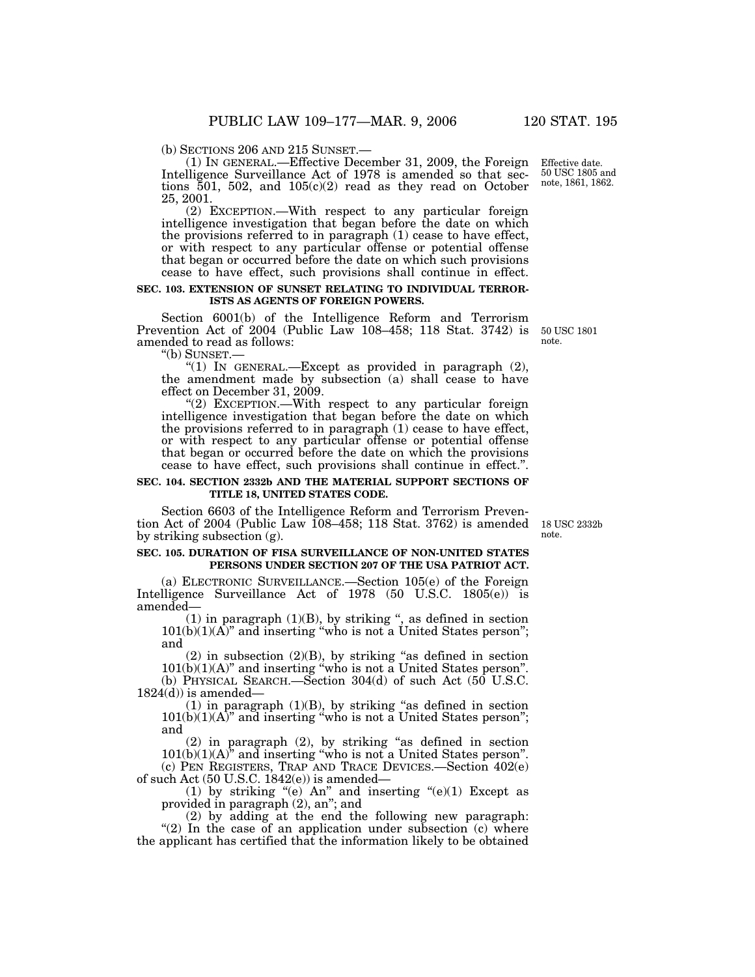(b) SECTIONS 206 AND 215 SUNSET.— (1) IN GENERAL.—Effective December 31, 2009, the Foreign Intelligence Surveillance Act of 1978 is amended so that sections  $\overline{501}$ ,  $502$ , and  $105(c)(2)$  read as they read on October 25, 2001. Effective date. 50 USC 1805 and

(2) EXCEPTION.—With respect to any particular foreign intelligence investigation that began before the date on which the provisions referred to in paragraph (1) cease to have effect, or with respect to any particular offense or potential offense that began or occurred before the date on which such provisions cease to have effect, such provisions shall continue in effect.

### **SEC. 103. EXTENSION OF SUNSET RELATING TO INDIVIDUAL TERROR-ISTS AS AGENTS OF FOREIGN POWERS.**

Section 6001(b) of the Intelligence Reform and Terrorism Prevention Act of 2004 (Public Law 108–458; 118 Stat. 3742) is amended to read as follows:

"(b) SUNSET.—<br>"(1) IN GENERAL.—Except as provided in paragraph (2), the amendment made by subsection (a) shall cease to have effect on December 31, 2009.

"(2) EXCEPTION.—With respect to any particular foreign intelligence investigation that began before the date on which the provisions referred to in paragraph (1) cease to have effect, or with respect to any particular offense or potential offense that began or occurred before the date on which the provisions cease to have effect, such provisions shall continue in effect.''.

#### **SEC. 104. SECTION 2332b AND THE MATERIAL SUPPORT SECTIONS OF TITLE 18, UNITED STATES CODE.**

Section 6603 of the Intelligence Reform and Terrorism Prevention Act of 2004 (Public Law 108–458; 118 Stat. 3762) is amended 18 USC 2332b by striking subsection (g).

#### **SEC. 105. DURATION OF FISA SURVEILLANCE OF NON-UNITED STATES PERSONS UNDER SECTION 207 OF THE USA PATRIOT ACT.**

(a) ELECTRONIC SURVEILLANCE.—Section 105(e) of the Foreign Intelligence Surveillance Act of 1978 (50 U.S.C. 1805(e)) is amended—

 $(1)$  in paragraph  $(1)(B)$ , by striking ", as defined in section  $101(b)(1)(A)$ " and inserting "who is not a United States person"; and

 $(2)$  in subsection  $(2)(B)$ , by striking "as defined in section 101(b)(1)(A)'' and inserting ''who is not a United States person''. (b) PHYSICAL SEARCH.—Section 304(d) of such Act (50 U.S.C.

 $1824(d)$ ) is amended-

 $(1)$  in paragraph  $(1)(B)$ , by striking "as defined in section  $101(b)(1)(A)$ " and inserting "who is not a United States person"; and

(2) in paragraph (2), by striking ''as defined in section 101(b)(1)(A)'' and inserting ''who is not a United States person''. (c) PEN REGISTERS, TRAP AND TRACE DEVICES.—Section 402(e) of such Act (50 U.S.C. 1842(e)) is amended—

(1) by striking "(e) An" and inserting " $(e)(1)$  Except as provided in paragraph (2), an"; and

(2) by adding at the end the following new paragraph: " $(2)$  In the case of an application under subsection  $(c)$  where the applicant has certified that the information likely to be obtained

note.

note, 1861, 1862.

50 USC 1801 note.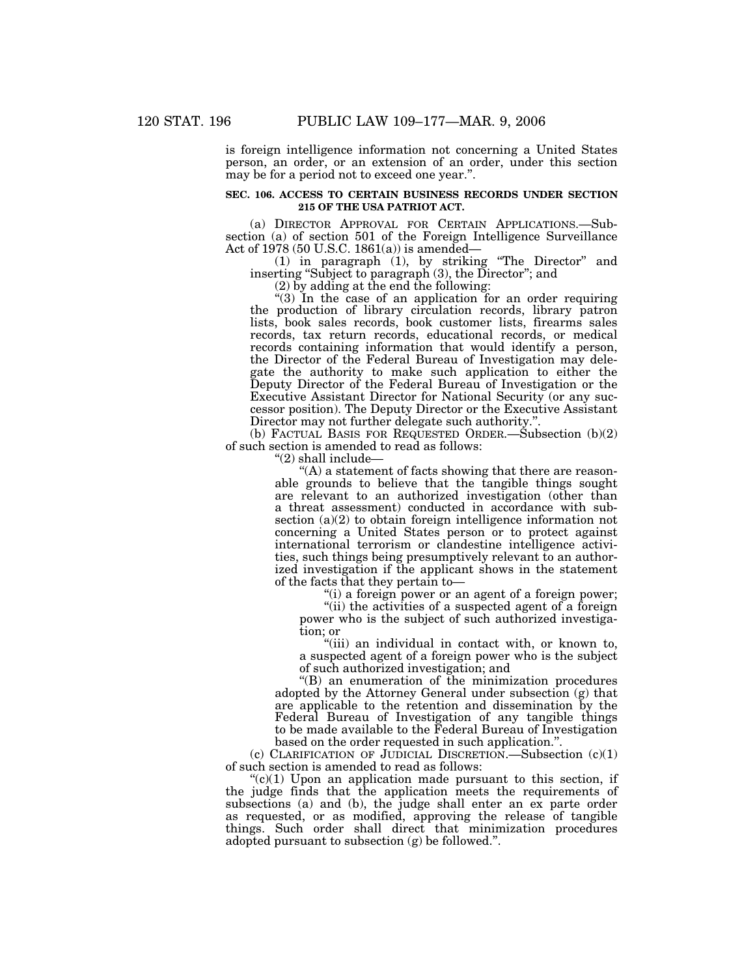is foreign intelligence information not concerning a United States person, an order, or an extension of an order, under this section may be for a period not to exceed one year.''.

### **SEC. 106. ACCESS TO CERTAIN BUSINESS RECORDS UNDER SECTION 215 OF THE USA PATRIOT ACT.**

(a) DIRECTOR APPROVAL FOR CERTAIN APPLICATIONS.—Subsection (a) of section 501 of the Foreign Intelligence Surveillance Act of 1978 (50 U.S.C. 1861(a)) is amended—

(1) in paragraph (1), by striking ''The Director'' and inserting ''Subject to paragraph (3), the Director''; and

 $(2)$  by adding at the end the following:

 $\cdot$ (3) In the case of an application for an order requiring the production of library circulation records, library patron lists, book sales records, book customer lists, firearms sales records, tax return records, educational records, or medical records containing information that would identify a person, the Director of the Federal Bureau of Investigation may delegate the authority to make such application to either the Deputy Director of the Federal Bureau of Investigation or the Executive Assistant Director for National Security (or any successor position). The Deputy Director or the Executive Assistant Director may not further delegate such authority.''.

(b) FACTUAL BASIS FOR REQUESTED ORDER.—Subsection (b)(2) of such section is amended to read as follows:

''(2) shall include—

''(A) a statement of facts showing that there are reasonable grounds to believe that the tangible things sought are relevant to an authorized investigation (other than a threat assessment) conducted in accordance with subsection (a)(2) to obtain foreign intelligence information not concerning a United States person or to protect against international terrorism or clandestine intelligence activities, such things being presumptively relevant to an authorized investigation if the applicant shows in the statement of the facts that they pertain to—

''(i) a foreign power or an agent of a foreign power;

"(ii) the activities of a suspected agent of a foreign power who is the subject of such authorized investigation; or

''(iii) an individual in contact with, or known to, a suspected agent of a foreign power who is the subject of such authorized investigation; and

''(B) an enumeration of the minimization procedures adopted by the Attorney General under subsection (g) that are applicable to the retention and dissemination by the Federal Bureau of Investigation of any tangible things to be made available to the Federal Bureau of Investigation based on the order requested in such application.''.

(c) CLARIFICATION OF JUDICIAL DISCRETION.—Subsection (c)(1) of such section is amended to read as follows:

 $C$ (c)(1) Upon an application made pursuant to this section, if the judge finds that the application meets the requirements of subsections (a) and (b), the judge shall enter an ex parte order as requested, or as modified, approving the release of tangible things. Such order shall direct that minimization procedures adopted pursuant to subsection (g) be followed.''.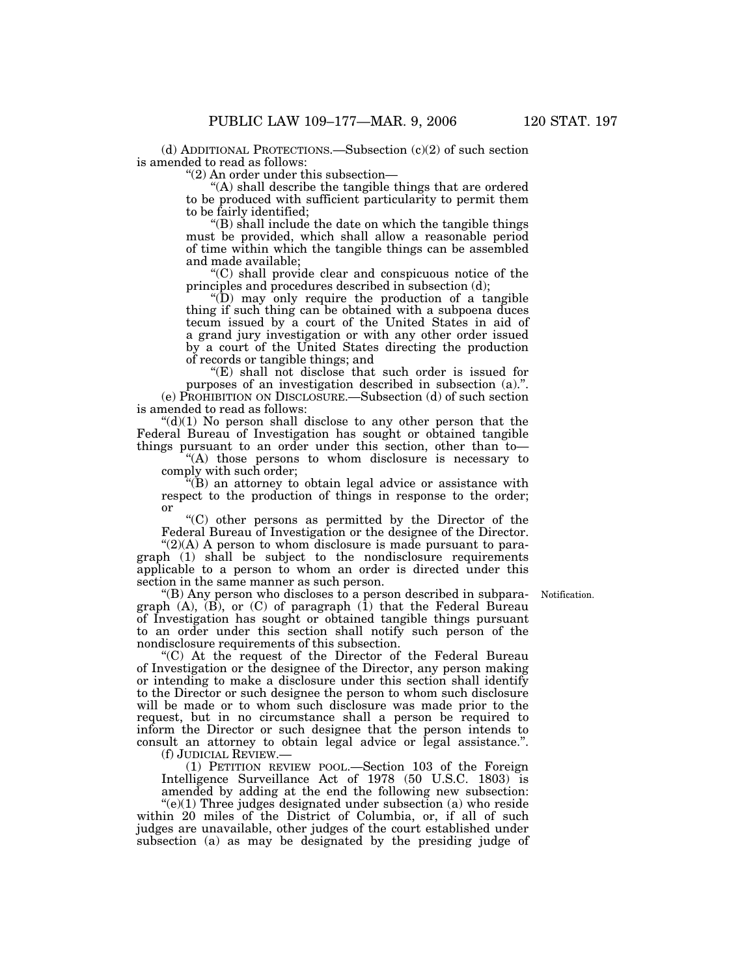(d) ADDITIONAL PROTECTIONS.—Subsection (c)(2) of such section is amended to read as follows:

''(2) An order under this subsection—

''(A) shall describe the tangible things that are ordered to be produced with sufficient particularity to permit them to be fairly identified;

''(B) shall include the date on which the tangible things must be provided, which shall allow a reasonable period of time within which the tangible things can be assembled and made available;

''(C) shall provide clear and conspicuous notice of the principles and procedures described in subsection (d);

''(D) may only require the production of a tangible thing if such thing can be obtained with a subpoena duces tecum issued by a court of the United States in aid of a grand jury investigation or with any other order issued by a court of the United States directing the production of records or tangible things; and

"(E) shall not disclose that such order is issued for purposes of an investigation described in subsection (a).''. (e) PROHIBITION ON DISCLOSURE.—Subsection (d) of such section is amended to read as follows:

 $((d)(1)$  No person shall disclose to any other person that the Federal Bureau of Investigation has sought or obtained tangible things pursuant to an order under this section, other than to-

''(A) those persons to whom disclosure is necessary to comply with such order;

''(B) an attorney to obtain legal advice or assistance with respect to the production of things in response to the order; or

''(C) other persons as permitted by the Director of the Federal Bureau of Investigation or the designee of the Director.

 $\mathcal{L}(2)(A)$  A person to whom disclosure is made pursuant to paragraph (1) shall be subject to the nondisclosure requirements applicable to a person to whom an order is directed under this section in the same manner as such person.

Notification.

''(B) Any person who discloses to a person described in subparagraph (A), (B), or (C) of paragraph (1) that the Federal Bureau of Investigation has sought or obtained tangible things pursuant to an order under this section shall notify such person of the nondisclosure requirements of this subsection.

''(C) At the request of the Director of the Federal Bureau of Investigation or the designee of the Director, any person making or intending to make a disclosure under this section shall identify to the Director or such designee the person to whom such disclosure will be made or to whom such disclosure was made prior to the request, but in no circumstance shall a person be required to inform the Director or such designee that the person intends to consult an attorney to obtain legal advice or legal assistance.''. (f) JUDICIAL REVIEW.—

(1) PETITION REVIEW POOL.—Section 103 of the Foreign Intelligence Surveillance Act of 1978 (50 U.S.C. 1803) is amended by adding at the end the following new subsection:

 $(e)(1)$  Three judges designated under subsection (a) who reside within 20 miles of the District of Columbia, or, if all of such judges are unavailable, other judges of the court established under subsection (a) as may be designated by the presiding judge of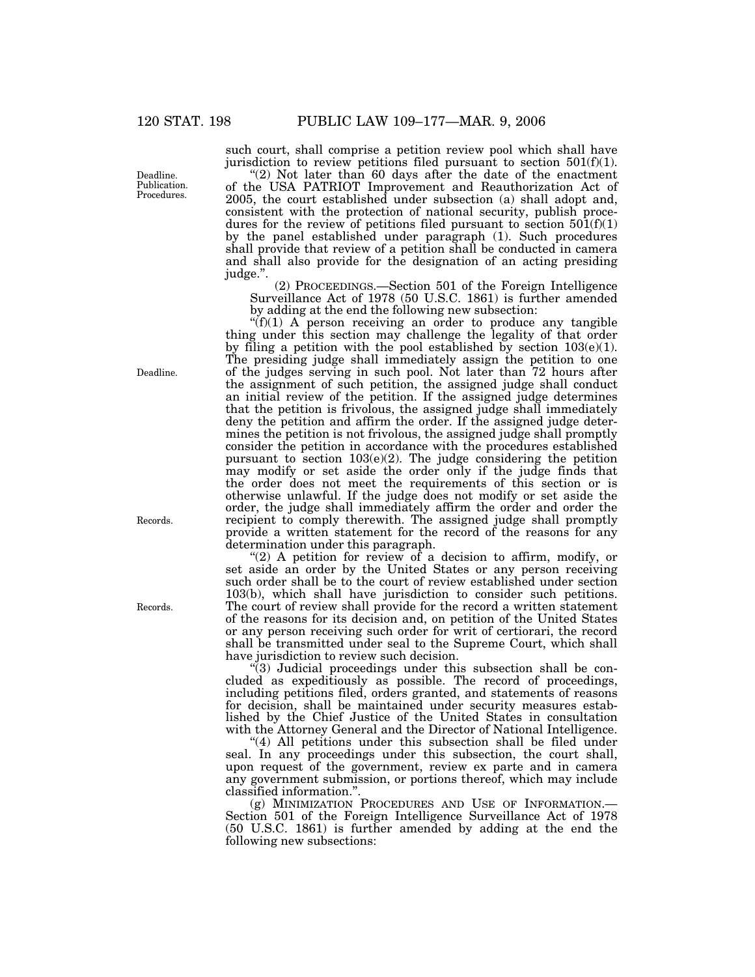such court, shall comprise a petition review pool which shall have jurisdiction to review petitions filed pursuant to section 501(f)(1).

" $(2)$  Not later than 60 days after the date of the enactment of the USA PATRIOT Improvement and Reauthorization Act of 2005, the court established under subsection (a) shall adopt and, consistent with the protection of national security, publish procedures for the review of petitions filed pursuant to section  $501(f)(1)$ by the panel established under paragraph (1). Such procedures shall provide that review of a petition shall be conducted in camera and shall also provide for the designation of an acting presiding judge.''.

(2) PROCEEDINGS.—Section 501 of the Foreign Intelligence Surveillance Act of 1978 (50 U.S.C. 1861) is further amended by adding at the end the following new subsection:

 $\sqrt{\hat{f}}(1)$  A person receiving an order to produce any tangible thing under this section may challenge the legality of that order by filing a petition with the pool established by section  $103(e)(1)$ . The presiding judge shall immediately assign the petition to one of the judges serving in such pool. Not later than 72 hours after the assignment of such petition, the assigned judge shall conduct an initial review of the petition. If the assigned judge determines that the petition is frivolous, the assigned judge shall immediately deny the petition and affirm the order. If the assigned judge determines the petition is not frivolous, the assigned judge shall promptly consider the petition in accordance with the procedures established pursuant to section  $103(e)(2)$ . The judge considering the petition may modify or set aside the order only if the judge finds that the order does not meet the requirements of this section or is otherwise unlawful. If the judge does not modify or set aside the order, the judge shall immediately affirm the order and order the recipient to comply therewith. The assigned judge shall promptly provide a written statement for the record of the reasons for any determination under this paragraph.

"(2) A petition for review of a decision to affirm, modify, or set aside an order by the United States or any person receiving such order shall be to the court of review established under section 103(b), which shall have jurisdiction to consider such petitions. The court of review shall provide for the record a written statement of the reasons for its decision and, on petition of the United States or any person receiving such order for writ of certiorari, the record shall be transmitted under seal to the Supreme Court, which shall have jurisdiction to review such decision.

''(3) Judicial proceedings under this subsection shall be concluded as expeditiously as possible. The record of proceedings, including petitions filed, orders granted, and statements of reasons for decision, shall be maintained under security measures established by the Chief Justice of the United States in consultation with the Attorney General and the Director of National Intelligence.

''(4) All petitions under this subsection shall be filed under seal. In any proceedings under this subsection, the court shall, upon request of the government, review ex parte and in camera any government submission, or portions thereof, which may include classified information.''.

(g) MINIMIZATION PROCEDURES AND USE OF INFORMATION.— Section 501 of the Foreign Intelligence Surveillance Act of 1978 (50 U.S.C. 1861) is further amended by adding at the end the following new subsections:

Deadline. Publication. Procedures.

Deadline.

Records.

Records.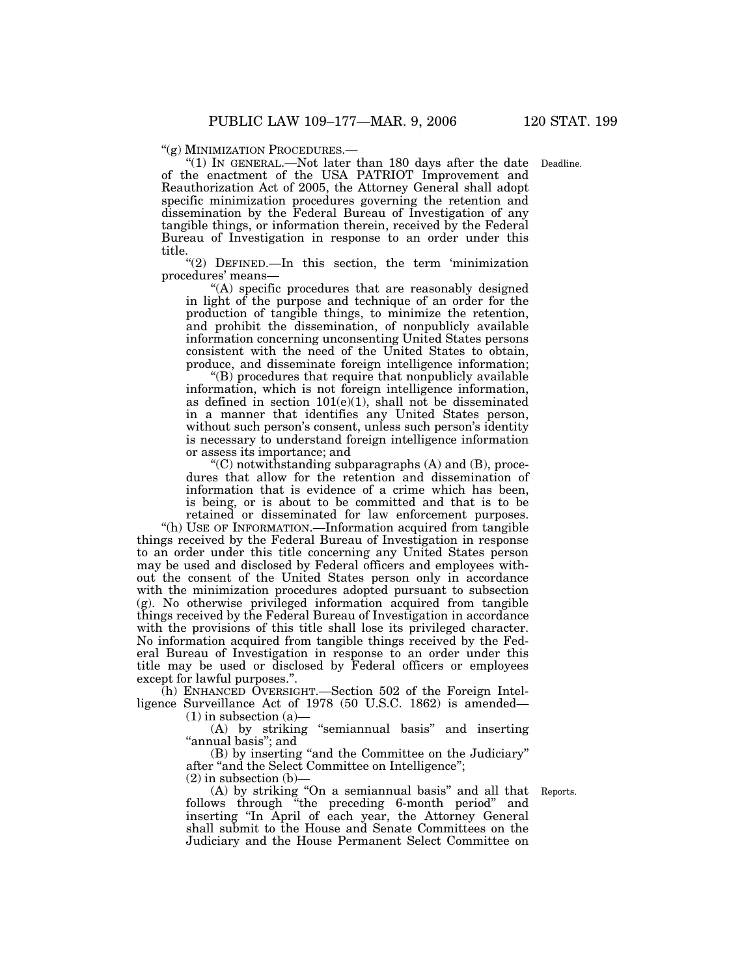Deadline.

''(g) MINIMIZATION PROCEDURES.—

''(1) IN GENERAL.—Not later than 180 days after the date of the enactment of the USA PATRIOT Improvement and Reauthorization Act of 2005, the Attorney General shall adopt specific minimization procedures governing the retention and dissemination by the Federal Bureau of Investigation of any tangible things, or information therein, received by the Federal Bureau of Investigation in response to an order under this title.

"(2) DEFINED.-In this section, the term 'minimization procedures' means—

''(A) specific procedures that are reasonably designed in light of the purpose and technique of an order for the production of tangible things, to minimize the retention, and prohibit the dissemination, of nonpublicly available information concerning unconsenting United States persons consistent with the need of the United States to obtain, produce, and disseminate foreign intelligence information;

''(B) procedures that require that nonpublicly available information, which is not foreign intelligence information, as defined in section  $101(e)(1)$ , shall not be disseminated in a manner that identifies any United States person, without such person's consent, unless such person's identity is necessary to understand foreign intelligence information or assess its importance; and

 $C$ ) notwithstanding subparagraphs  $(A)$  and  $(B)$ , procedures that allow for the retention and dissemination of information that is evidence of a crime which has been, is being, or is about to be committed and that is to be retained or disseminated for law enforcement purposes.

''(h) USE OF INFORMATION.—Information acquired from tangible things received by the Federal Bureau of Investigation in response to an order under this title concerning any United States person may be used and disclosed by Federal officers and employees without the consent of the United States person only in accordance with the minimization procedures adopted pursuant to subsection (g). No otherwise privileged information acquired from tangible things received by the Federal Bureau of Investigation in accordance with the provisions of this title shall lose its privileged character. No information acquired from tangible things received by the Federal Bureau of Investigation in response to an order under this title may be used or disclosed by Federal officers or employees except for lawful purposes.''.

(h) ENHANCED OVERSIGHT.—Section 502 of the Foreign Intelligence Surveillance Act of 1978 (50 U.S.C. 1862) is amended—

 $(1)$  in subsection  $(a)$ —

(A) by striking ''semiannual basis'' and inserting "annual basis"; and

(B) by inserting "and the Committee on the Judiciary" after "and the Select Committee on Intelligence";

 $(2)$  in subsection  $(b)$ —

(A) by striking ''On a semiannual basis'' and all that follows through ''the preceding 6-month period'' and inserting ''In April of each year, the Attorney General shall submit to the House and Senate Committees on the Judiciary and the House Permanent Select Committee on

Reports.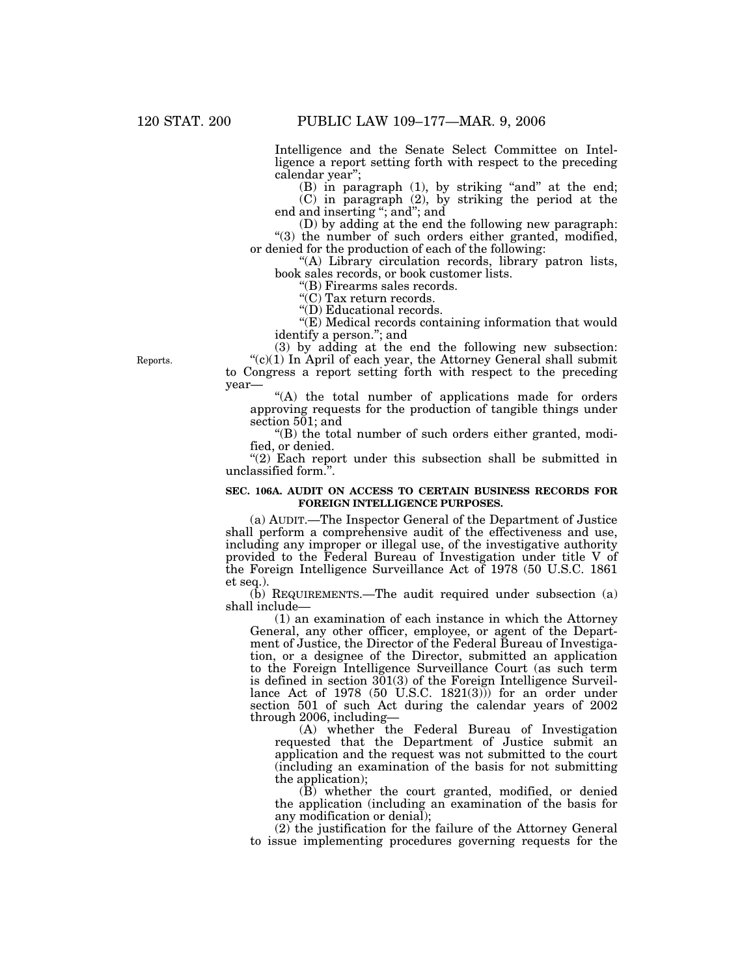Intelligence and the Senate Select Committee on Intelligence a report setting forth with respect to the preceding calendar year'';

 $(B)$  in paragraph  $(1)$ , by striking "and" at the end; (C) in paragraph (2), by striking the period at the end and inserting "; and"; and

(D) by adding at the end the following new paragraph: "(3) the number of such orders either granted, modified, or denied for the production of each of the following:

''(A) Library circulation records, library patron lists, book sales records, or book customer lists.

''(B) Firearms sales records.

"(C) Tax return records.

''(D) Educational records.

''(E) Medical records containing information that would identify a person.''; and

(3) by adding at the end the following new subsection:  $(C)(1)$  In April of each year, the Attorney General shall submit to Congress a report setting forth with respect to the preceding year—

''(A) the total number of applications made for orders approving requests for the production of tangible things under section 501; and

''(B) the total number of such orders either granted, modified, or denied.

''(2) Each report under this subsection shall be submitted in unclassified form.''.

#### **SEC. 106A. AUDIT ON ACCESS TO CERTAIN BUSINESS RECORDS FOR FOREIGN INTELLIGENCE PURPOSES.**

(a) AUDIT.—The Inspector General of the Department of Justice shall perform a comprehensive audit of the effectiveness and use, including any improper or illegal use, of the investigative authority provided to the Federal Bureau of Investigation under title V of the Foreign Intelligence Surveillance Act of 1978 (50 U.S.C. 1861 et seq.).

(b) REQUIREMENTS.—The audit required under subsection (a) shall include—

(1) an examination of each instance in which the Attorney General, any other officer, employee, or agent of the Department of Justice, the Director of the Federal Bureau of Investigation, or a designee of the Director, submitted an application to the Foreign Intelligence Surveillance Court (as such term is defined in section 301(3) of the Foreign Intelligence Surveillance Act of 1978  $(50 \text{ U.S.C. } 1821(3))$  for an order under section 501 of such Act during the calendar years of 2002 through 2006, including—

(A) whether the Federal Bureau of Investigation requested that the Department of Justice submit an application and the request was not submitted to the court (including an examination of the basis for not submitting the application);

(B) whether the court granted, modified, or denied the application (including an examination of the basis for any modification or denial);

(2) the justification for the failure of the Attorney General to issue implementing procedures governing requests for the

Reports.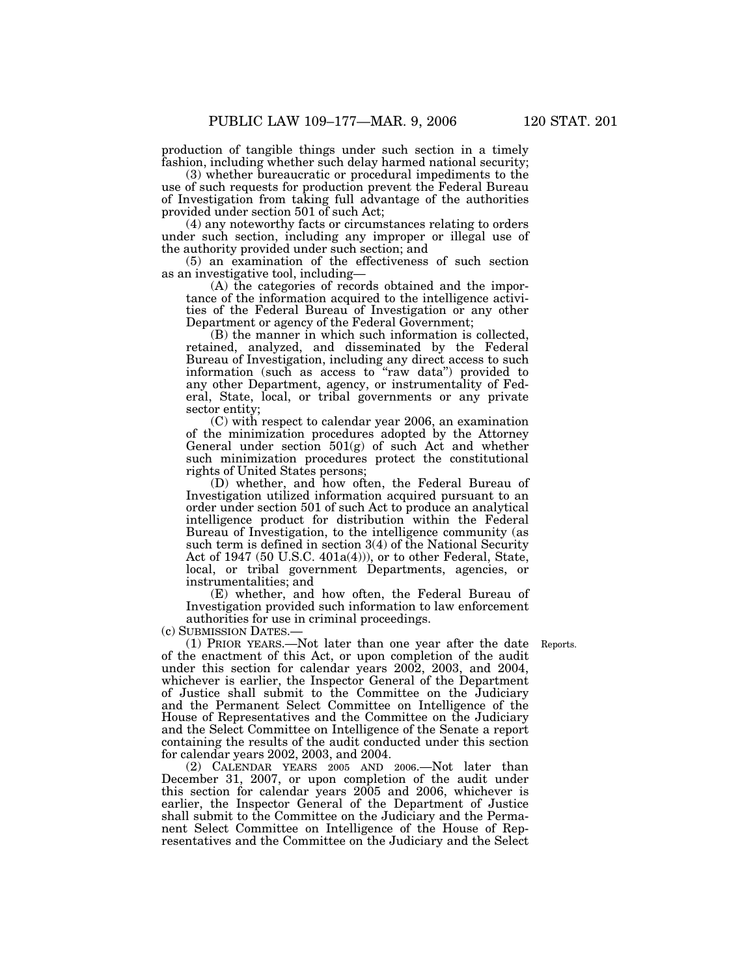production of tangible things under such section in a timely fashion, including whether such delay harmed national security;

(3) whether bureaucratic or procedural impediments to the use of such requests for production prevent the Federal Bureau of Investigation from taking full advantage of the authorities provided under section 501 of such Act;

(4) any noteworthy facts or circumstances relating to orders under such section, including any improper or illegal use of the authority provided under such section; and

(5) an examination of the effectiveness of such section as an investigative tool, including—

(A) the categories of records obtained and the importance of the information acquired to the intelligence activities of the Federal Bureau of Investigation or any other Department or agency of the Federal Government;

(B) the manner in which such information is collected, retained, analyzed, and disseminated by the Federal Bureau of Investigation, including any direct access to such information (such as access to "raw data") provided to any other Department, agency, or instrumentality of Federal, State, local, or tribal governments or any private sector entity;

(C) with respect to calendar year 2006, an examination of the minimization procedures adopted by the Attorney General under section 501(g) of such Act and whether such minimization procedures protect the constitutional rights of United States persons;

(D) whether, and how often, the Federal Bureau of Investigation utilized information acquired pursuant to an order under section 501 of such Act to produce an analytical intelligence product for distribution within the Federal Bureau of Investigation, to the intelligence community (as such term is defined in section 3(4) of the National Security Act of 1947 (50 U.S.C. 401a(4))), or to other Federal, State, local, or tribal government Departments, agencies, or instrumentalities; and

(E) whether, and how often, the Federal Bureau of Investigation provided such information to law enforcement authorities for use in criminal proceedings.

(c) SUBMISSION DATES.—

Reports.

(1) PRIOR YEARS.—Not later than one year after the date of the enactment of this Act, or upon completion of the audit under this section for calendar years 2002, 2003, and 2004, whichever is earlier, the Inspector General of the Department of Justice shall submit to the Committee on the Judiciary and the Permanent Select Committee on Intelligence of the House of Representatives and the Committee on the Judiciary and the Select Committee on Intelligence of the Senate a report containing the results of the audit conducted under this section for calendar years 2002, 2003, and 2004.

(2) CALENDAR YEARS 2005 AND 2006.—Not later than December 31, 2007, or upon completion of the audit under this section for calendar years 2005 and 2006, whichever is earlier, the Inspector General of the Department of Justice shall submit to the Committee on the Judiciary and the Permanent Select Committee on Intelligence of the House of Representatives and the Committee on the Judiciary and the Select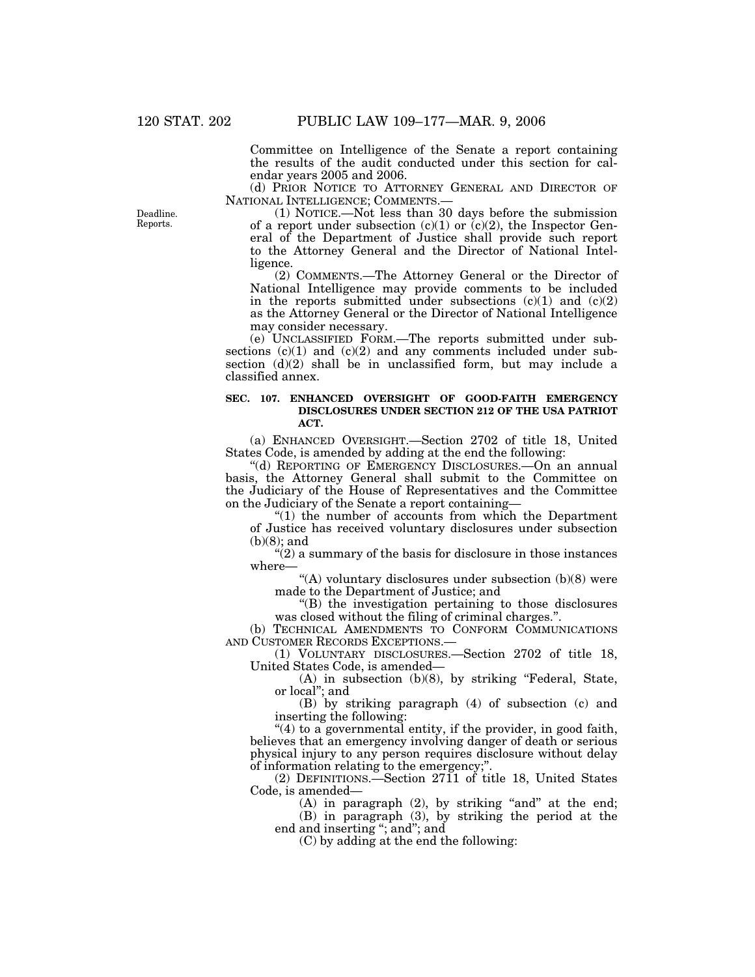Committee on Intelligence of the Senate a report containing the results of the audit conducted under this section for calendar years 2005 and 2006.

(d) PRIOR NOTICE TO ATTORNEY GENERAL AND DIRECTOR OF NATIONAL INTELLIGENCE; COMMENTS.—

(1) NOTICE.—Not less than 30 days before the submission of a report under subsection  $(c)(1)$  or  $(c)(2)$ , the Inspector General of the Department of Justice shall provide such report to the Attorney General and the Director of National Intelligence.

(2) COMMENTS.—The Attorney General or the Director of National Intelligence may provide comments to be included in the reports submitted under subsections  $(c)(1)$  and  $(c)(2)$ as the Attorney General or the Director of National Intelligence may consider necessary.

(e) UNCLASSIFIED FORM.—The reports submitted under subsections  $(c)(1)$  and  $(c)(2)$  and any comments included under subsection (d)(2) shall be in unclassified form, but may include a classified annex.

### **SEC. 107. ENHANCED OVERSIGHT OF GOOD-FAITH EMERGENCY DISCLOSURES UNDER SECTION 212 OF THE USA PATRIOT ACT.**

(a) ENHANCED OVERSIGHT.—Section 2702 of title 18, United States Code, is amended by adding at the end the following:

''(d) REPORTING OF EMERGENCY DISCLOSURES.—On an annual basis, the Attorney General shall submit to the Committee on the Judiciary of the House of Representatives and the Committee on the Judiciary of the Senate a report containing—

" $(1)$  the number of accounts from which the Department of Justice has received voluntary disclosures under subsection (b)(8); and

 $''(2)$  a summary of the basis for disclosure in those instances where—

"(A) voluntary disclosures under subsection (b)(8) were made to the Department of Justice; and

''(B) the investigation pertaining to those disclosures was closed without the filing of criminal charges.''.

(b) TECHNICAL AMENDMENTS TO CONFORM COMMUNICATIONS AND CUSTOMER RECORDS EXCEPTIONS.—

(1) VOLUNTARY DISCLOSURES.—Section 2702 of title 18, United States Code, is amended—

 $(A)$  in subsection  $(b)(8)$ , by striking "Federal, State, or local''; and

(B) by striking paragraph (4) of subsection (c) and inserting the following:

"(4) to a governmental entity, if the provider, in good faith, believes that an emergency involving danger of death or serious physical injury to any person requires disclosure without delay of information relating to the emergency;''.

(2) DEFINITIONS.—Section 2711 of title 18, United States Code, is amended—

 $(A)$  in paragraph  $(2)$ , by striking "and" at the end; (B) in paragraph (3), by striking the period at the

end and inserting "; and"; and

(C) by adding at the end the following:

Deadline. Reports.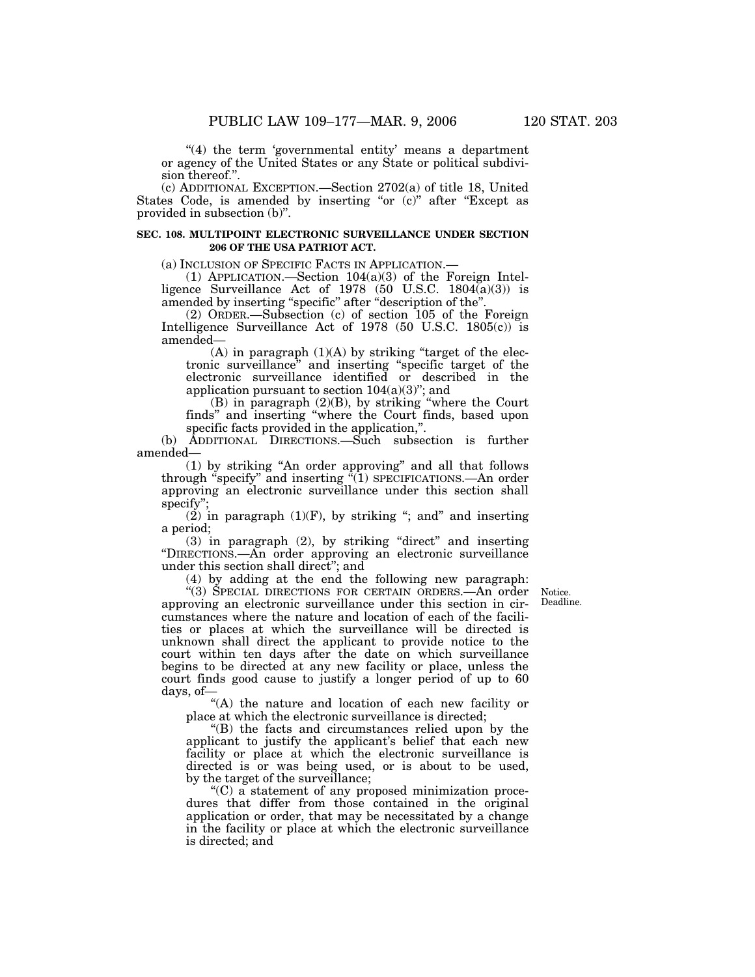"(4) the term 'governmental entity' means a department or agency of the United States or any State or political subdivision thereof.''.

(c) ADDITIONAL EXCEPTION.—Section 2702(a) of title 18, United States Code, is amended by inserting "or (c)" after "Except as provided in subsection (b)''.

### **SEC. 108. MULTIPOINT ELECTRONIC SURVEILLANCE UNDER SECTION 206 OF THE USA PATRIOT ACT.**

(a) INCLUSION OF SPECIFIC FACTS IN APPLICATION.—

(1) APPLICATION.—Section 104(a)(3) of the Foreign Intelligence Surveillance Act of 1978 (50 U.S.C. 1804 $(a)(3)$ ) is amended by inserting "specific" after "description of the".

(2) ORDER.—Subsection (c) of section 105 of the Foreign Intelligence Surveillance Act of 1978 (50 U.S.C.  $1805(c)$ ) is amended—

 $(A)$  in paragraph  $(1)(A)$  by striking "target of the electronic surveillance'' and inserting ''specific target of the electronic surveillance identified or described in the application pursuant to section  $104(a)(3)$ "; and

(B) in paragraph (2)(B), by striking ''where the Court finds'' and inserting ''where the Court finds, based upon specific facts provided in the application,''.

(b) ADDITIONAL DIRECTIONS.—Such subsection is further amended—

(1) by striking ''An order approving'' and all that follows through "specify" and inserting "(1) SPECIFICATIONS.—An order approving an electronic surveillance under this section shall specify'';

 $(2)$  in paragraph  $(1)(F)$ , by striking "; and" and inserting a period;

(3) in paragraph (2), by striking ''direct'' and inserting ''DIRECTIONS.—An order approving an electronic surveillance under this section shall direct''; and

(4) by adding at the end the following new paragraph:

Notice. Deadline.

''(3) SPECIAL DIRECTIONS FOR CERTAIN ORDERS.—An order approving an electronic surveillance under this section in circumstances where the nature and location of each of the facilities or places at which the surveillance will be directed is unknown shall direct the applicant to provide notice to the court within ten days after the date on which surveillance begins to be directed at any new facility or place, unless the court finds good cause to justify a longer period of up to 60 days, of—

''(A) the nature and location of each new facility or place at which the electronic surveillance is directed;

''(B) the facts and circumstances relied upon by the applicant to justify the applicant's belief that each new facility or place at which the electronic surveillance is directed is or was being used, or is about to be used, by the target of the surveillance;

 $C$ ) a statement of any proposed minimization procedures that differ from those contained in the original application or order, that may be necessitated by a change in the facility or place at which the electronic surveillance is directed; and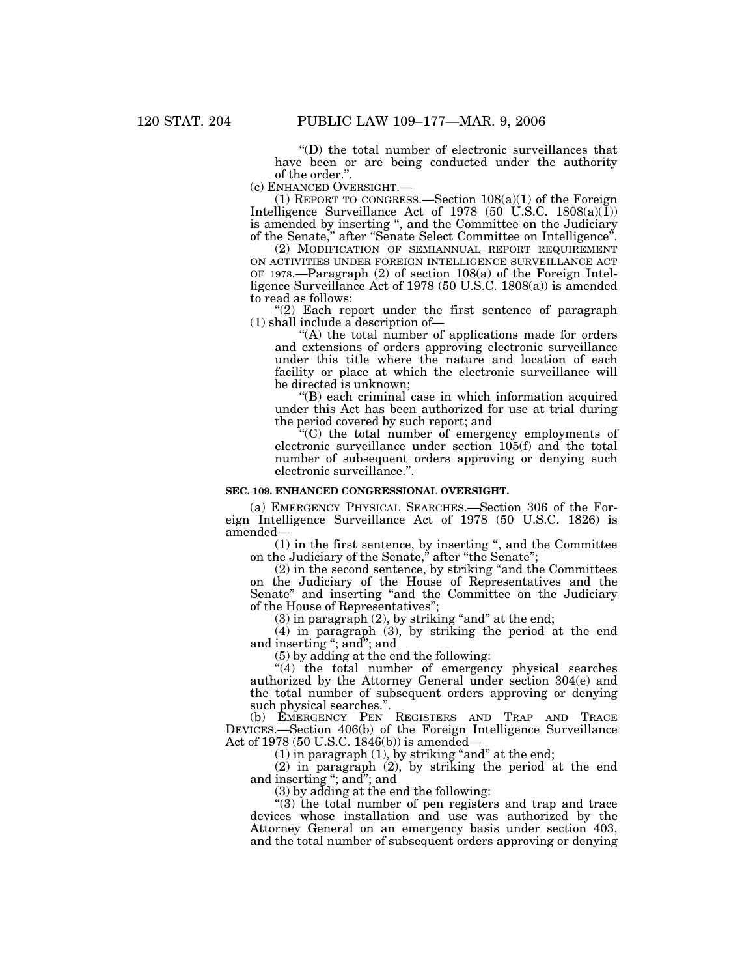''(D) the total number of electronic surveillances that have been or are being conducted under the authority of the order."

(c) ENHANCED OVERSIGHT.—<br>(1) REPORT TO CONGRESS.—Section  $108(a)(1)$  of the Foreign Intelligence Surveillance Act of 1978 (50 U.S.C.  $1808(a)(1)$ ) is amended by inserting '', and the Committee on the Judiciary of the Senate,'' after ''Senate Select Committee on Intelligence''.

(2) MODIFICATION OF SEMIANNUAL REPORT REQUIREMENT ON ACTIVITIES UNDER FOREIGN INTELLIGENCE SURVEILLANCE ACT OF 1978.—Paragraph (2) of section 108(a) of the Foreign Intelligence Surveillance Act of 1978 (50 U.S.C. 1808(a)) is amended to read as follows:

"(2) Each report under the first sentence of paragraph (1) shall include a description of—

''(A) the total number of applications made for orders and extensions of orders approving electronic surveillance under this title where the nature and location of each facility or place at which the electronic surveillance will be directed is unknown;

''(B) each criminal case in which information acquired under this Act has been authorized for use at trial during the period covered by such report; and

''(C) the total number of emergency employments of electronic surveillance under section 105(f) and the total number of subsequent orders approving or denying such electronic surveillance.''.

#### **SEC. 109. ENHANCED CONGRESSIONAL OVERSIGHT.**

(a) EMERGENCY PHYSICAL SEARCHES.—Section 306 of the Foreign Intelligence Surveillance Act of 1978 (50 U.S.C. 1826) is amended—

(1) in the first sentence, by inserting '', and the Committee on the Judiciary of the Senate,'' after ''the Senate'';

(2) in the second sentence, by striking ''and the Committees on the Judiciary of the House of Representatives and the Senate" and inserting "and the Committee on the Judiciary of the House of Representatives'';

 $(3)$  in paragraph  $(2)$ , by striking "and" at the end;

(4) in paragraph (3), by striking the period at the end and inserting ''; and''; and

(5) by adding at the end the following:

"(4) the total number of emergency physical searches authorized by the Attorney General under section 304(e) and the total number of subsequent orders approving or denying such physical searches.''.

(b) EMERGENCY PEN REGISTERS AND TRAP AND TRACE DEVICES.—Section 406(b) of the Foreign Intelligence Surveillance Act of 1978 (50 U.S.C. 1846(b)) is amended—

 $(1)$  in paragraph  $(1)$ , by striking "and" at the end;

(2) in paragraph (2), by striking the period at the end and inserting ''; and''; and

(3) by adding at the end the following:

''(3) the total number of pen registers and trap and trace devices whose installation and use was authorized by the Attorney General on an emergency basis under section 403, and the total number of subsequent orders approving or denying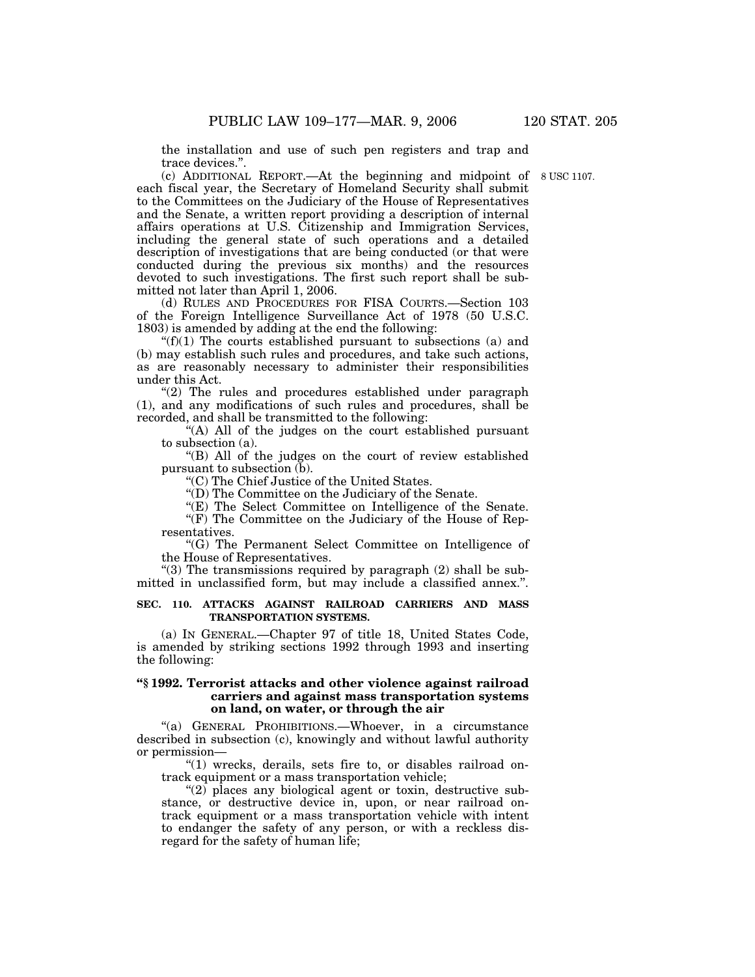the installation and use of such pen registers and trap and trace devices.''.

(c) ADDITIONAL REPORT.—At the beginning and midpoint of 8 USC 1107. each fiscal year, the Secretary of Homeland Security shall submit to the Committees on the Judiciary of the House of Representatives and the Senate, a written report providing a description of internal affairs operations at U.S. Citizenship and Immigration Services, including the general state of such operations and a detailed description of investigations that are being conducted (or that were conducted during the previous six months) and the resources devoted to such investigations. The first such report shall be submitted not later than April 1, 2006.

(d) RULES AND PROCEDURES FOR FISA COURTS.—Section 103 of the Foreign Intelligence Surveillance Act of 1978 (50 U.S.C. 1803) is amended by adding at the end the following:

" $(f)(1)$  The courts established pursuant to subsections (a) and (b) may establish such rules and procedures, and take such actions, as are reasonably necessary to administer their responsibilities under this Act.

 $(2)$  The rules and procedures established under paragraph (1), and any modifications of such rules and procedures, shall be recorded, and shall be transmitted to the following:

''(A) All of the judges on the court established pursuant to subsection (a).

''(B) All of the judges on the court of review established pursuant to subsection (b).

''(C) The Chief Justice of the United States.

''(D) The Committee on the Judiciary of the Senate.

"(E) The Select Committee on Intelligence of the Senate.

"(F) The Committee on the Judiciary of the House of Representatives.

''(G) The Permanent Select Committee on Intelligence of the House of Representatives.

"(3) The transmissions required by paragraph (2) shall be submitted in unclassified form, but may include a classified annex.''.

### **SEC. 110. ATTACKS AGAINST RAILROAD CARRIERS AND MASS TRANSPORTATION SYSTEMS.**

(a) IN GENERAL.—Chapter 97 of title 18, United States Code, is amended by striking sections 1992 through 1993 and inserting the following:

### **''§ 1992. Terrorist attacks and other violence against railroad carriers and against mass transportation systems on land, on water, or through the air**

''(a) GENERAL PROHIBITIONS.—Whoever, in a circumstance described in subsection (c), knowingly and without lawful authority or permission—

"(1) wrecks, derails, sets fire to, or disables railroad ontrack equipment or a mass transportation vehicle;

" $(2)$  places any biological agent or toxin, destructive substance, or destructive device in, upon, or near railroad ontrack equipment or a mass transportation vehicle with intent to endanger the safety of any person, or with a reckless disregard for the safety of human life;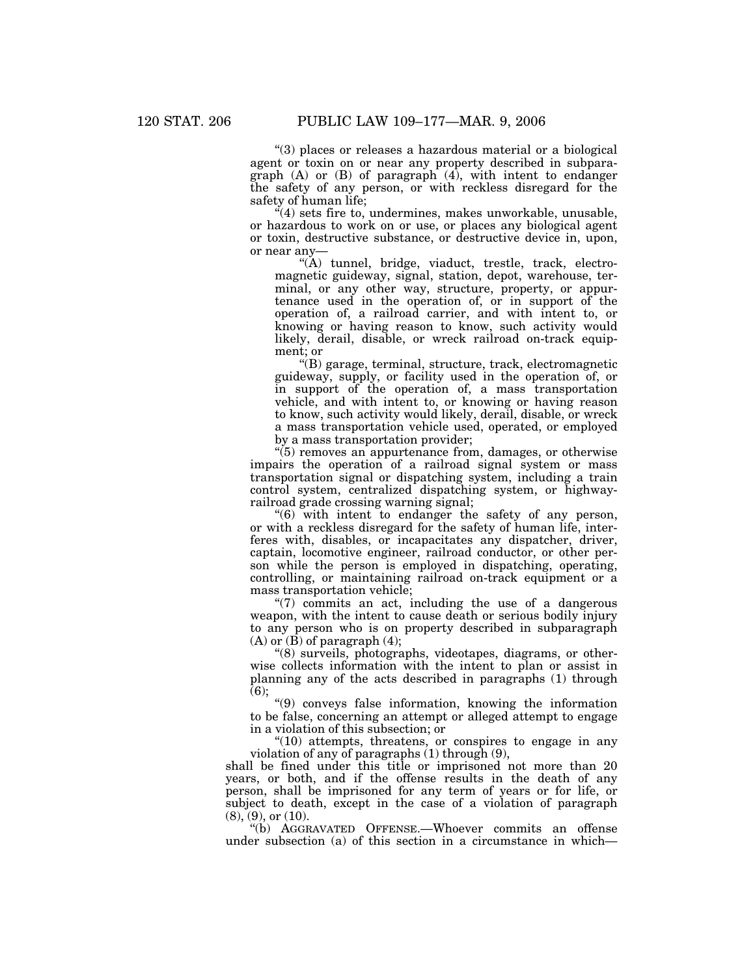''(3) places or releases a hazardous material or a biological agent or toxin on or near any property described in subparagraph (A) or (B) of paragraph (4), with intent to endanger the safety of any person, or with reckless disregard for the safety of human life;

''(4) sets fire to, undermines, makes unworkable, unusable, or hazardous to work on or use, or places any biological agent or toxin, destructive substance, or destructive device in, upon, or near any—

''(A) tunnel, bridge, viaduct, trestle, track, electromagnetic guideway, signal, station, depot, warehouse, terminal, or any other way, structure, property, or appurtenance used in the operation of, or in support of the operation of, a railroad carrier, and with intent to, or knowing or having reason to know, such activity would likely, derail, disable, or wreck railroad on-track equipment; or

''(B) garage, terminal, structure, track, electromagnetic guideway, supply, or facility used in the operation of, or in support of the operation of, a mass transportation vehicle, and with intent to, or knowing or having reason to know, such activity would likely, derail, disable, or wreck a mass transportation vehicle used, operated, or employed by a mass transportation provider;

''(5) removes an appurtenance from, damages, or otherwise impairs the operation of a railroad signal system or mass transportation signal or dispatching system, including a train control system, centralized dispatching system, or highwayrailroad grade crossing warning signal;

"(6) with intent to endanger the safety of any person, or with a reckless disregard for the safety of human life, interferes with, disables, or incapacitates any dispatcher, driver, captain, locomotive engineer, railroad conductor, or other person while the person is employed in dispatching, operating, controlling, or maintaining railroad on-track equipment or a mass transportation vehicle;

''(7) commits an act, including the use of a dangerous weapon, with the intent to cause death or serious bodily injury to any person who is on property described in subparagraph  $(A)$  or  $(B)$  of paragraph  $(4)$ ;

"(8) surveils, photographs, videotapes, diagrams, or otherwise collects information with the intent to plan or assist in planning any of the acts described in paragraphs (1) through  $(6)$ :

''(9) conveys false information, knowing the information to be false, concerning an attempt or alleged attempt to engage in a violation of this subsection; or

"(10) attempts, threatens, or conspires to engage in any violation of any of paragraphs (1) through (9),

shall be fined under this title or imprisoned not more than 20 years, or both, and if the offense results in the death of any person, shall be imprisoned for any term of years or for life, or subject to death, except in the case of a violation of paragraph (8), (9), or (10).

''(b) AGGRAVATED OFFENSE.—Whoever commits an offense under subsection (a) of this section in a circumstance in which—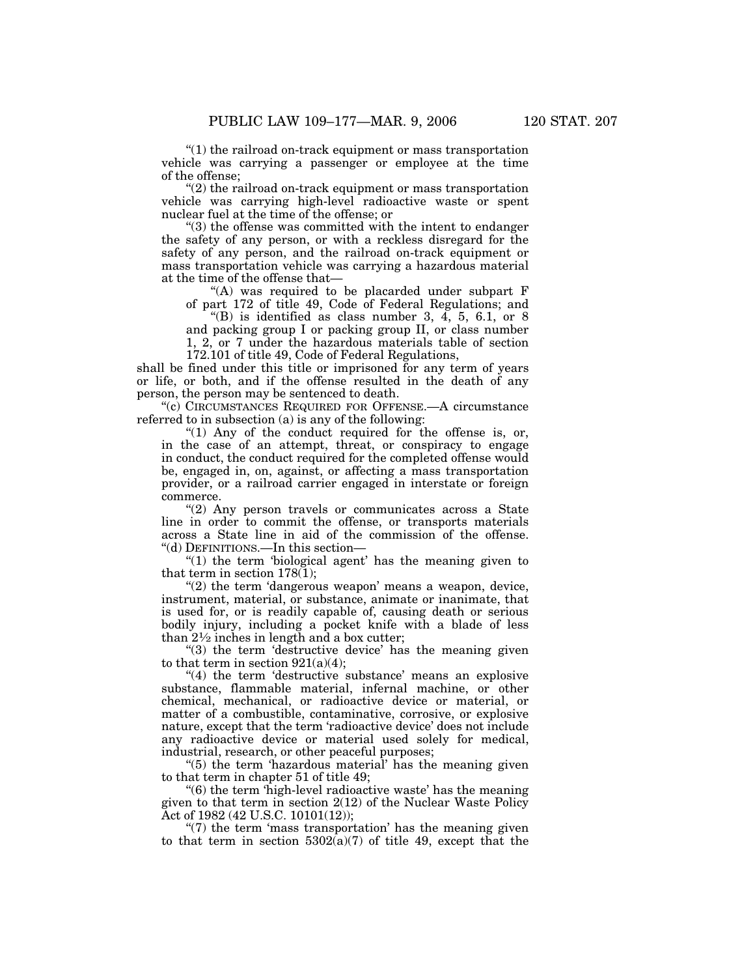$(1)$  the railroad on-track equipment or mass transportation vehicle was carrying a passenger or employee at the time of the offense;

 $(2)$  the railroad on-track equipment or mass transportation vehicle was carrying high-level radioactive waste or spent nuclear fuel at the time of the offense; or

''(3) the offense was committed with the intent to endanger the safety of any person, or with a reckless disregard for the safety of any person, and the railroad on-track equipment or mass transportation vehicle was carrying a hazardous material at the time of the offense that—

"(A) was required to be placarded under subpart F of part 172 of title 49, Code of Federal Regulations; and

 $($ <sup>"(B)</sup> is identified as class number 3, 4, 5, 6.1, or 8 and packing group I or packing group II, or class number 1, 2, or 7 under the hazardous materials table of section

172.101 of title 49, Code of Federal Regulations,

shall be fined under this title or imprisoned for any term of years or life, or both, and if the offense resulted in the death of any person, the person may be sentenced to death.

''(c) CIRCUMSTANCES REQUIRED FOR OFFENSE.—A circumstance referred to in subsection (a) is any of the following:

" $(1)$  Any of the conduct required for the offense is, or, in the case of an attempt, threat, or conspiracy to engage in conduct, the conduct required for the completed offense would be, engaged in, on, against, or affecting a mass transportation provider, or a railroad carrier engaged in interstate or foreign commerce.

"(2) Any person travels or communicates across a State line in order to commit the offense, or transports materials across a State line in aid of the commission of the offense. ''(d) DEFINITIONS.—In this section—

" $(1)$  the term 'biological agent' has the meaning given to that term in section 178(1);

 $(2)$  the term 'dangerous weapon' means a weapon, device, instrument, material, or substance, animate or inanimate, that is used for, or is readily capable of, causing death or serious bodily injury, including a pocket knife with a blade of less than  $2\frac{1}{2}$  inches in length and a box cutter;

 $(3)$  the term 'destructive device' has the meaning given to that term in section  $921(a)(4)$ ;

"(4) the term 'destructive substance' means an explosive substance, flammable material, infernal machine, or other chemical, mechanical, or radioactive device or material, or matter of a combustible, contaminative, corrosive, or explosive nature, except that the term 'radioactive device' does not include any radioactive device or material used solely for medical, industrial, research, or other peaceful purposes;

" $(5)$  the term 'hazardous material' has the meaning given to that term in chapter 51 of title 49;

''(6) the term 'high-level radioactive waste' has the meaning given to that term in section 2(12) of the Nuclear Waste Policy Act of 1982 (42 U.S.C. 10101(12));

" $(7)$  the term 'mass transportation' has the meaning given to that term in section  $5302(a)(7)$  of title 49, except that the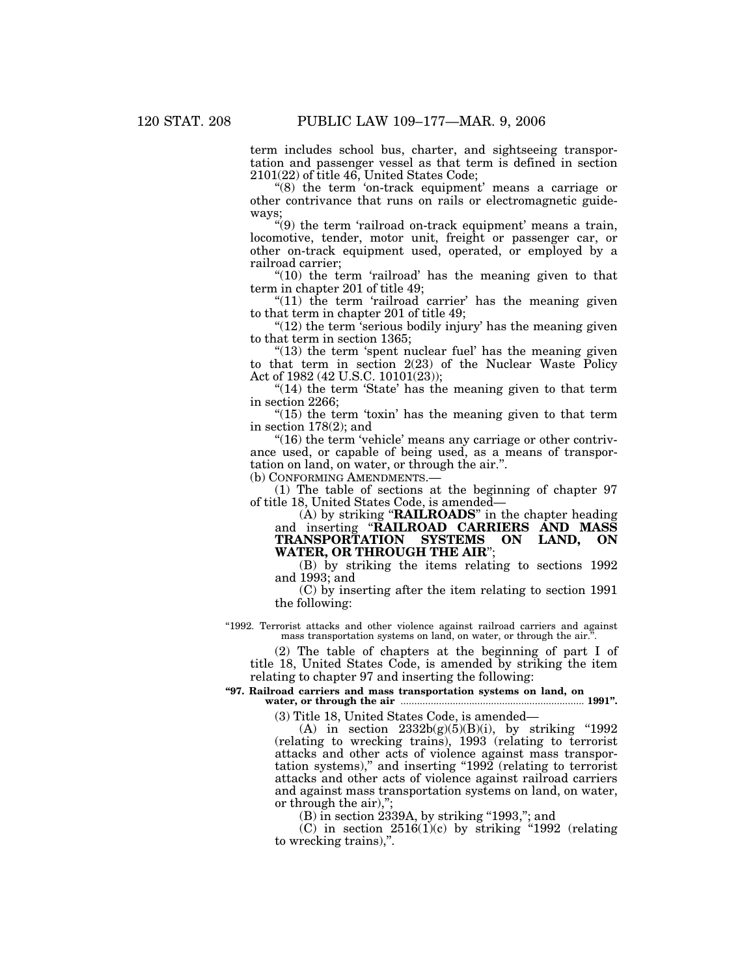term includes school bus, charter, and sightseeing transportation and passenger vessel as that term is defined in section 2101(22) of title 46, United States Code;

"(8) the term 'on-track equipment' means a carriage or other contrivance that runs on rails or electromagnetic guideways;

"(9) the term 'railroad on-track equipment' means a train, locomotive, tender, motor unit, freight or passenger car, or other on-track equipment used, operated, or employed by a railroad carrier;

"(10) the term 'railroad' has the meaning given to that term in chapter 201 of title 49;

" $(11)$  the term 'railroad carrier' has the meaning given to that term in chapter 201 of title 49;

" $(12)$  the term 'serious bodily injury' has the meaning given to that term in section 1365;

" $(13)$  the term 'spent nuclear fuel' has the meaning given to that term in section  $2(23)$  of the Nuclear Waste Policy Act of 1982 (42 U.S.C. 10101(23));

 $"$ (14) the term 'State' has the meaning given to that term in section 2266;

" $(15)$  the term 'toxin' has the meaning given to that term in section 178(2); and

 $\degree$ (16) the term 'vehicle' means any carriage or other contrivance used, or capable of being used, as a means of transportation on land, on water, or through the air.''.

(b) CONFORMING AMENDMENTS.—

(1) The table of sections at the beginning of chapter 97 of title 18, United States Code, is amended—

(A) by striking ''**RAILROADS**'' in the chapter heading and inserting ''**RAILROAD CARRIERS AND MASS TRANSPORTATION SYSTEMS ON LAND, ON WATER, OR THROUGH THE AIR**'';

(B) by striking the items relating to sections 1992 and 1993; and

(C) by inserting after the item relating to section 1991 the following:

''1992. Terrorist attacks and other violence against railroad carriers and against mass transportation systems on land, on water, or through the air.''.

(2) The table of chapters at the beginning of part I of title 18, United States Code, is amended by striking the item relating to chapter 97 and inserting the following:

**''97. Railroad carriers and mass transportation systems on land, on water, or through the air** ................................................................... **1991''.**

(3) Title 18, United States Code, is amended—

(A) in section  $2332b(g)(5)(B)(i)$ , by striking "1992 (relating to wrecking trains), 1993 (relating to terrorist attacks and other acts of violence against mass transportation systems)," and inserting " $199\overline{2}$  (relating to terrorist attacks and other acts of violence against railroad carriers and against mass transportation systems on land, on water, or through the air),'';

 $(B)$  in section 2339A, by striking "1993,"; and

(C) in section  $2516(1)$ (c) by striking "1992 (relating to wrecking trains),''.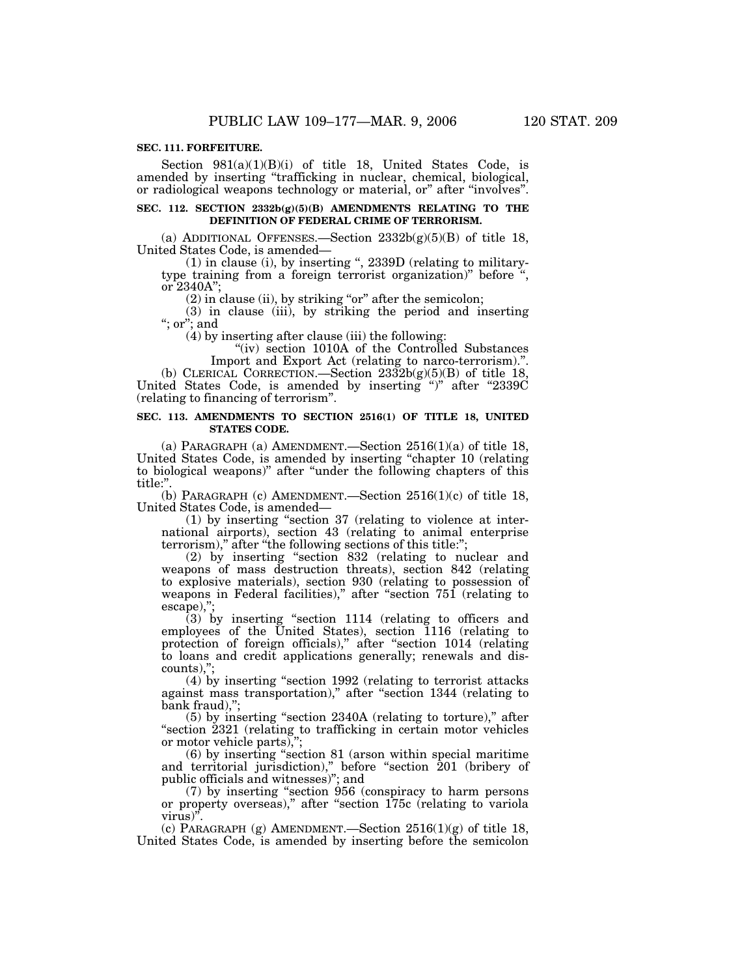### **SEC. 111. FORFEITURE.**

Section  $981(a)(1)(B)(i)$  of title 18, United States Code, is amended by inserting "trafficking in nuclear, chemical, biological, or radiological weapons technology or material, or" after "involves".

#### **SEC. 112. SECTION 2332b(g)(5)(B) AMENDMENTS RELATING TO THE DEFINITION OF FEDERAL CRIME OF TERRORISM.**

(a) ADDITIONAL OFFENSES.—Section  $2332b(g)(5)(B)$  of title 18, United States Code, is amended—

(1) in clause (i), by inserting '', 2339D (relating to militarytype training from a foreign terrorist organization)'' before '', or 2340A'';

 $(2)$  in clause (ii), by striking "or" after the semicolon;

(3) in clause (iii), by striking the period and inserting ''; or''; and

 $(4)$  by inserting after clause (iii) the following:

''(iv) section 1010A of the Controlled Substances Import and Export Act (relating to narco-terrorism).''.

(b) CLERICAL CORRECTION.—Section  $2332b(g)(5)(B)$  of title 18, United States Code, is amended by inserting ")" after "2339C (relating to financing of terrorism''.

#### **SEC. 113. AMENDMENTS TO SECTION 2516(1) OF TITLE 18, UNITED STATES CODE.**

(a) PARAGRAPH (a) AMENDMENT.—Section  $2516(1)(a)$  of title 18, United States Code, is amended by inserting ''chapter 10 (relating to biological weapons)'' after ''under the following chapters of this title:''.

(b) PARAGRAPH (c) AMENDMENT.—Section  $2516(1)(c)$  of title 18, United States Code, is amended—

(1) by inserting ''section 37 (relating to violence at international airports), section 43 (relating to animal enterprise terrorism)," after "the following sections of this title:";

(2) by inserting ''section 832 (relating to nuclear and weapons of mass destruction threats), section 842 (relating to explosive materials), section 930 (relating to possession of weapons in Federal facilities)," after "section 751 (relating to escape),'';

(3) by inserting ''section 1114 (relating to officers and employees of the United States), section 1116 (relating to protection of foreign officials)," after "section 1014 (relating to loans and credit applications generally; renewals and discounts),'';

(4) by inserting ''section 1992 (relating to terrorist attacks against mass transportation)," after "section 1344 (relating to bank fraud),'';

(5) by inserting "section 2340A (relating to torture)," after ''section 2321 (relating to trafficking in certain motor vehicles or motor vehicle parts),'';

(6) by inserting ''section 81 (arson within special maritime and territorial jurisdiction)," before "section 201 (bribery of public officials and witnesses)''; and

(7) by inserting ''section 956 (conspiracy to harm persons or property overseas),'' after ''section 175c (relating to variola virus)".

(c) PARAGRAPH  $(g)$  AMENDMENT.—Section  $2516(1)(g)$  of title 18, United States Code, is amended by inserting before the semicolon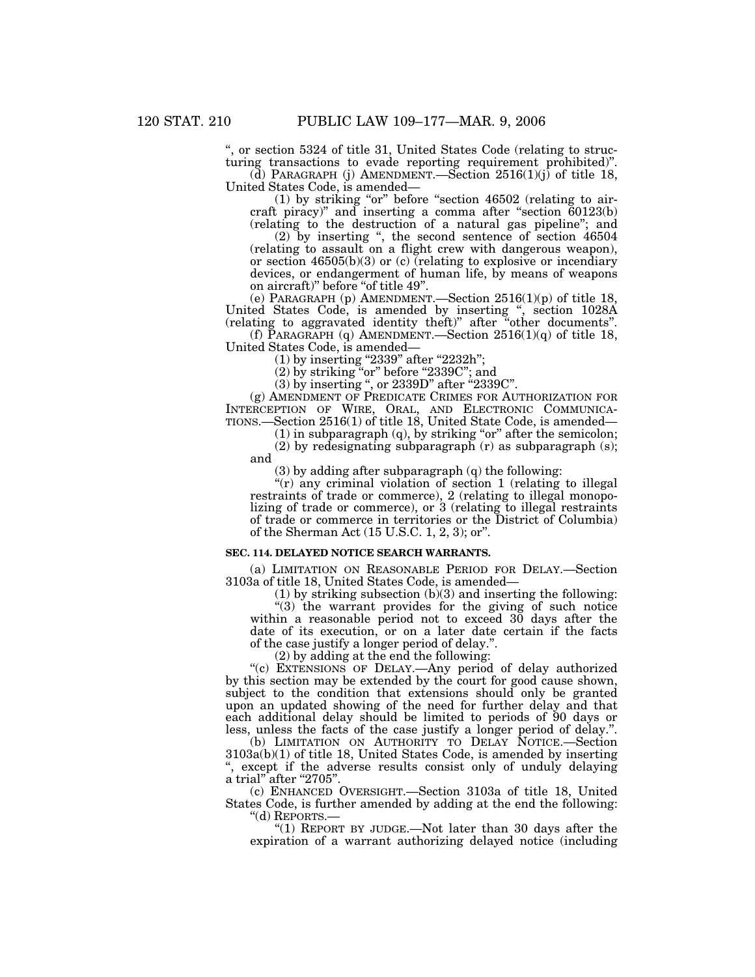'', or section 5324 of title 31, United States Code (relating to structuring transactions to evade reporting requirement prohibited)''.

(d) PARAGRAPH (j) AMENDMENT.—Section  $2516(1)(j)$  of title 18, United States Code, is amended—

 $(1)$  by striking "or" before "section 46502 (relating to aircraft piracy)" and inserting a comma after "section  $60123(b)$ (relating to the destruction of a natural gas pipeline''; and

(2) by inserting '', the second sentence of section 46504 (relating to assault on a flight crew with dangerous weapon), or section  $46505(b)(3)$  or (c) (relating to explosive or incendiary devices, or endangerment of human life, by means of weapons on aircraft)" before "of title 49".

(e) PARAGRAPH (p) AMENDMENT.—Section  $2516(1)(p)$  of title 18, United States Code, is amended by inserting ", section 1028A (relating to aggravated identity theft)'' after ''other documents''.

(f) PARAGRAPH (q) AMENDMENT.—Section 2516(1)(q) of title 18, United States Code, is amended—

 $(1)$  by inserting "2339" after "2232h";

(2) by striking ''or'' before ''2339C''; and

 $(3)$  by inserting ", or  $2339D$ " after " $2339C$ ".

(g) AMENDMENT OF PREDICATE CRIMES FOR AUTHORIZATION FOR INTERCEPTION OF WIRE, ORAL, AND ELECTRONIC COMMUNICA-TIONS.—Section 2516(1) of title 18, United State Code, is amended—

 $(1)$  in subparagraph  $(q)$ , by striking "or" after the semicolon;

(2) by redesignating subparagraph  $(r)$  as subparagraph  $(s)$ ; and

(3) by adding after subparagraph (q) the following:

 $\mathbf{r}(r)$  any criminal violation of section 1 (relating to illegal restraints of trade or commerce), 2 (relating to illegal monopolizing of trade or commerce), or 3 (relating to illegal restraints of trade or commerce in territories or the District of Columbia) of the Sherman Act (15 U.S.C. 1, 2, 3); or''.

#### **SEC. 114. DELAYED NOTICE SEARCH WARRANTS.**

(a) LIMITATION ON REASONABLE PERIOD FOR DELAY.—Section 3103a of title 18, United States Code, is amended—

(1) by striking subsection (b)(3) and inserting the following:

"(3) the warrant provides for the giving of such notice within a reasonable period not to exceed 30 days after the date of its execution, or on a later date certain if the facts of the case justify a longer period of delay.''.

(2) by adding at the end the following:

''(c) EXTENSIONS OF DELAY.—Any period of delay authorized by this section may be extended by the court for good cause shown, subject to the condition that extensions should only be granted upon an updated showing of the need for further delay and that each additional delay should be limited to periods of 90 days or less, unless the facts of the case justify a longer period of delay.''.

(b) LIMITATION ON AUTHORITY TO DELAY NOTICE.—Section 3103a(b)(1) of title 18, United States Code, is amended by inserting , except if the adverse results consist only of unduly delaying  $a$  trial" after "2705".

(c) ENHANCED OVERSIGHT.—Section 3103a of title 18, United States Code, is further amended by adding at the end the following:

"(d) REPORTS.—<br>"(1) REPORT BY JUDGE.—Not later than 30 days after the expiration of a warrant authorizing delayed notice (including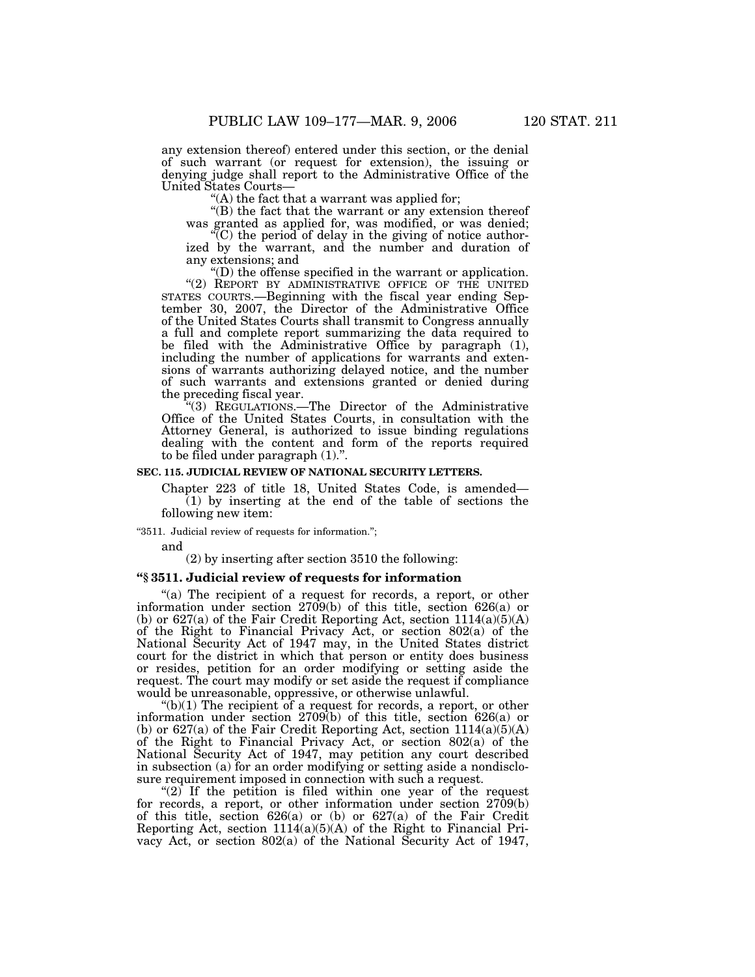any extension thereof) entered under this section, or the denial of such warrant (or request for extension), the issuing or denying judge shall report to the Administrative Office of the United States Courts—

 $(A)$  the fact that a warrant was applied for;

"(B) the fact that the warrant or any extension thereof was granted as applied for, was modified, or was denied;

 $C$ ) the period of delay in the giving of notice authorized by the warrant, and the number and duration of any extensions; and

''(D) the offense specified in the warrant or application. "(2) REPORT BY ADMINISTRATIVE OFFICE OF THE UNITED STATES COURTS.—Beginning with the fiscal year ending September 30, 2007, the Director of the Administrative Office of the United States Courts shall transmit to Congress annually a full and complete report summarizing the data required to be filed with the Administrative Office by paragraph (1), including the number of applications for warrants and extensions of warrants authorizing delayed notice, and the number of such warrants and extensions granted or denied during the preceding fiscal year.

''(3) REGULATIONS.—The Director of the Administrative Office of the United States Courts, in consultation with the Attorney General, is authorized to issue binding regulations dealing with the content and form of the reports required to be filed under paragraph (1).''.

#### **SEC. 115. JUDICIAL REVIEW OF NATIONAL SECURITY LETTERS.**

Chapter 223 of title 18, United States Code, is amended— (1) by inserting at the end of the table of sections the following new item:

''3511. Judicial review of requests for information.'';

and

(2) by inserting after section 3510 the following:

### **''§ 3511. Judicial review of requests for information**

"(a) The recipient of a request for records, a report, or other information under section 2709(b) of this title, section 626(a) or (b) or  $627(a)$  of the Fair Credit Reporting Act, section  $1114(a)(5)(A)$ of the Right to Financial Privacy Act, or section 802(a) of the National Security Act of 1947 may, in the United States district court for the district in which that person or entity does business or resides, petition for an order modifying or setting aside the request. The court may modify or set aside the request if compliance would be unreasonable, oppressive, or otherwise unlawful.

" $(b)(1)$  The recipient of a request for records, a report, or other information under section 2709(b) of this title, section 626(a) or (b) or  $627(a)$  of the Fair Credit Reporting Act, section  $1114(a)(5)(A)$ of the Right to Financial Privacy Act, or section 802(a) of the National Security Act of 1947, may petition any court described in subsection (a) for an order modifying or setting aside a nondisclosure requirement imposed in connection with such a request.

" $(2)$  If the petition is filed within one year of the request for records, a report, or other information under section 2709(b) of this title, section 626(a) or (b) or 627(a) of the Fair Credit Reporting Act, section 1114(a)(5)(A) of the Right to Financial Privacy Act, or section 802(a) of the National Security Act of 1947,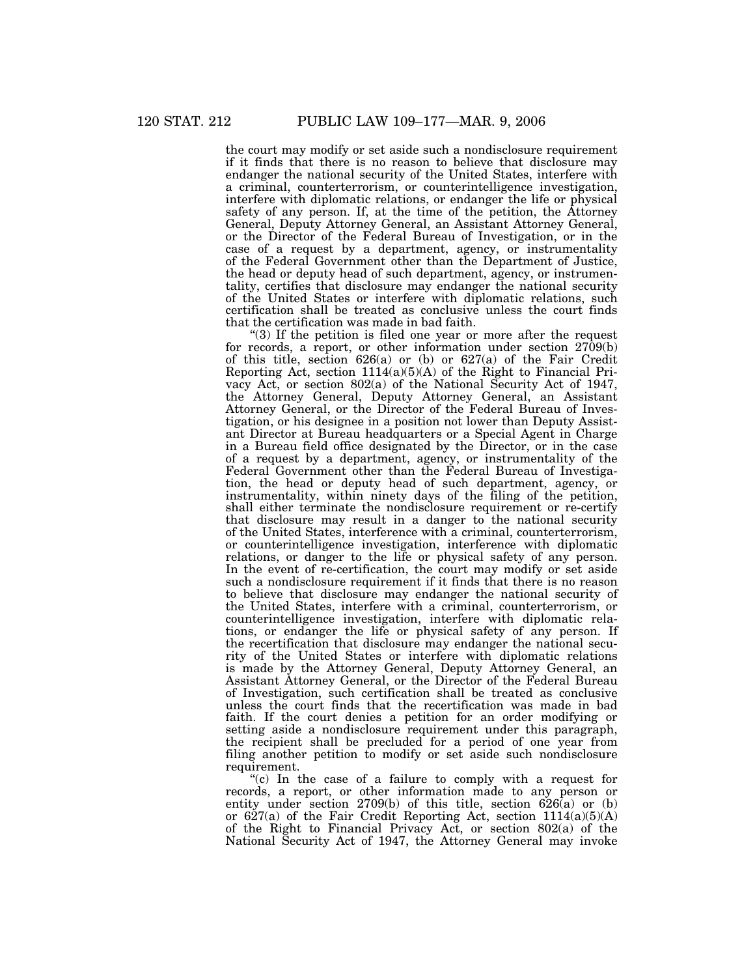the court may modify or set aside such a nondisclosure requirement if it finds that there is no reason to believe that disclosure may endanger the national security of the United States, interfere with a criminal, counterterrorism, or counterintelligence investigation, interfere with diplomatic relations, or endanger the life or physical safety of any person. If, at the time of the petition, the Attorney General, Deputy Attorney General, an Assistant Attorney General, or the Director of the Federal Bureau of Investigation, or in the case of a request by a department, agency, or instrumentality of the Federal Government other than the Department of Justice, the head or deputy head of such department, agency, or instrumentality, certifies that disclosure may endanger the national security of the United States or interfere with diplomatic relations, such certification shall be treated as conclusive unless the court finds that the certification was made in bad faith.

"(3) If the petition is filed one year or more after the request for records, a report, or other information under section 2709(b) of this title, section 626(a) or (b) or 627(a) of the Fair Credit Reporting Act, section 1114(a)(5)(A) of the Right to Financial Privacy Act, or section 802(a) of the National Security Act of 1947, the Attorney General, Deputy Attorney General, an Assistant Attorney General, or the Director of the Federal Bureau of Investigation, or his designee in a position not lower than Deputy Assistant Director at Bureau headquarters or a Special Agent in Charge in a Bureau field office designated by the Director, or in the case of a request by a department, agency, or instrumentality of the Federal Government other than the Federal Bureau of Investigation, the head or deputy head of such department, agency, or instrumentality, within ninety days of the filing of the petition, shall either terminate the nondisclosure requirement or re-certify that disclosure may result in a danger to the national security of the United States, interference with a criminal, counterterrorism, or counterintelligence investigation, interference with diplomatic relations, or danger to the life or physical safety of any person. In the event of re-certification, the court may modify or set aside such a nondisclosure requirement if it finds that there is no reason to believe that disclosure may endanger the national security of the United States, interfere with a criminal, counterterrorism, or counterintelligence investigation, interfere with diplomatic relations, or endanger the life or physical safety of any person. If the recertification that disclosure may endanger the national security of the United States or interfere with diplomatic relations is made by the Attorney General, Deputy Attorney General, an Assistant Attorney General, or the Director of the Federal Bureau of Investigation, such certification shall be treated as conclusive unless the court finds that the recertification was made in bad faith. If the court denies a petition for an order modifying or setting aside a nondisclosure requirement under this paragraph, the recipient shall be precluded for a period of one year from filing another petition to modify or set aside such nondisclosure requirement.

"(c) In the case of a failure to comply with a request for records, a report, or other information made to any person or entity under section  $2709(b)$  of this title, section  $626(a)$  or (b) or 627(a) of the Fair Credit Reporting Act, section 1114(a)(5)(A) of the Right to Financial Privacy Act, or section 802(a) of the National Security Act of 1947, the Attorney General may invoke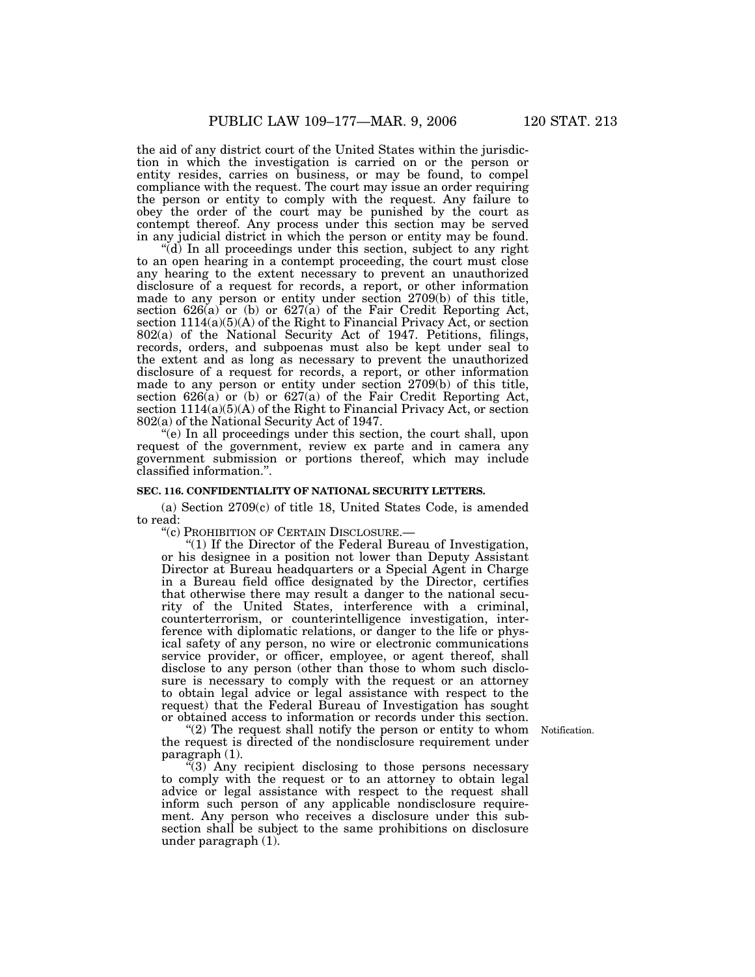the aid of any district court of the United States within the jurisdiction in which the investigation is carried on or the person or entity resides, carries on business, or may be found, to compel compliance with the request. The court may issue an order requiring the person or entity to comply with the request. Any failure to obey the order of the court may be punished by the court as contempt thereof. Any process under this section may be served in any judicial district in which the person or entity may be found.

''(d) In all proceedings under this section, subject to any right to an open hearing in a contempt proceeding, the court must close any hearing to the extent necessary to prevent an unauthorized disclosure of a request for records, a report, or other information made to any person or entity under section 2709(b) of this title, section 626(a) or (b) or 627(a) of the Fair Credit Reporting Act, section  $1114(a)(5)(A)$  of the Right to Financial Privacy Act, or section 802(a) of the National Security Act of 1947. Petitions, filings, records, orders, and subpoenas must also be kept under seal to the extent and as long as necessary to prevent the unauthorized disclosure of a request for records, a report, or other information made to any person or entity under section 2709(b) of this title, section 626(a) or (b) or 627(a) of the Fair Credit Reporting Act, section  $1114(a)(5)(A)$  of the Right to Financial Privacy Act, or section 802(a) of the National Security Act of 1947.

''(e) In all proceedings under this section, the court shall, upon request of the government, review ex parte and in camera any government submission or portions thereof, which may include classified information.''.

#### **SEC. 116. CONFIDENTIALITY OF NATIONAL SECURITY LETTERS.**

(a) Section 2709(c) of title 18, United States Code, is amended to read:

''(c) PROHIBITION OF CERTAIN DISCLOSURE.—

''(1) If the Director of the Federal Bureau of Investigation, or his designee in a position not lower than Deputy Assistant Director at Bureau headquarters or a Special Agent in Charge in a Bureau field office designated by the Director, certifies that otherwise there may result a danger to the national security of the United States, interference with a criminal, counterterrorism, or counterintelligence investigation, interference with diplomatic relations, or danger to the life or physical safety of any person, no wire or electronic communications service provider, or officer, employee, or agent thereof, shall disclose to any person (other than those to whom such disclosure is necessary to comply with the request or an attorney to obtain legal advice or legal assistance with respect to the request) that the Federal Bureau of Investigation has sought or obtained access to information or records under this section.

Notification.

"(2) The request shall notify the person or entity to whom the request is directed of the nondisclosure requirement under paragraph (1).

''(3) Any recipient disclosing to those persons necessary to comply with the request or to an attorney to obtain legal advice or legal assistance with respect to the request shall inform such person of any applicable nondisclosure requirement. Any person who receives a disclosure under this subsection shall be subject to the same prohibitions on disclosure under paragraph (1).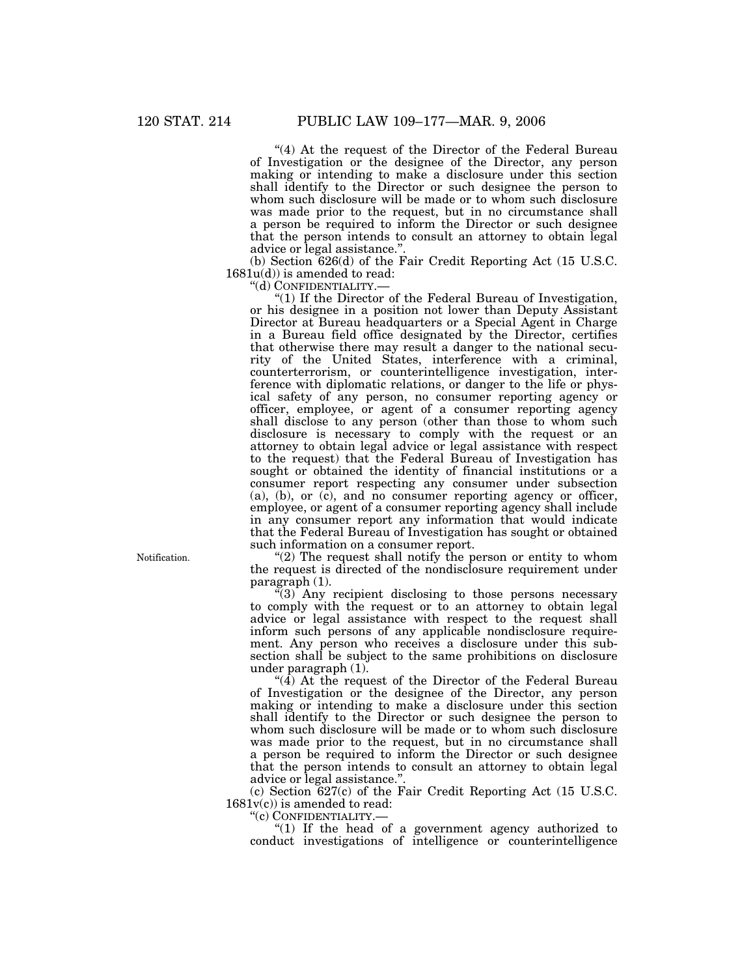"(4) At the request of the Director of the Federal Bureau of Investigation or the designee of the Director, any person making or intending to make a disclosure under this section shall identify to the Director or such designee the person to whom such disclosure will be made or to whom such disclosure was made prior to the request, but in no circumstance shall a person be required to inform the Director or such designee that the person intends to consult an attorney to obtain legal advice or legal assistance."

(b) Section 626(d) of the Fair Credit Reporting Act (15 U.S.C.  $1681u(d)$ ) is amended to read:<br>"(d) CONFIDENTIALITY.—

"(1) If the Director of the Federal Bureau of Investigation, or his designee in a position not lower than Deputy Assistant Director at Bureau headquarters or a Special Agent in Charge in a Bureau field office designated by the Director, certifies that otherwise there may result a danger to the national security of the United States, interference with a criminal, counterterrorism, or counterintelligence investigation, interference with diplomatic relations, or danger to the life or physical safety of any person, no consumer reporting agency or officer, employee, or agent of a consumer reporting agency shall disclose to any person (other than those to whom such disclosure is necessary to comply with the request or an attorney to obtain legal advice or legal assistance with respect to the request) that the Federal Bureau of Investigation has sought or obtained the identity of financial institutions or a consumer report respecting any consumer under subsection  $(a)$ ,  $(b)$ , or  $(c)$ , and no consumer reporting agency or officer, employee, or agent of a consumer reporting agency shall include in any consumer report any information that would indicate that the Federal Bureau of Investigation has sought or obtained such information on a consumer report.

" $(2)$  The request shall notify the person or entity to whom the request is directed of the nondisclosure requirement under paragraph (1).

''(3) Any recipient disclosing to those persons necessary to comply with the request or to an attorney to obtain legal advice or legal assistance with respect to the request shall inform such persons of any applicable nondisclosure requirement. Any person who receives a disclosure under this subsection shall be subject to the same prohibitions on disclosure under paragraph (1).

" $(4)$  At the request of the Director of the Federal Bureau of Investigation or the designee of the Director, any person making or intending to make a disclosure under this section shall identify to the Director or such designee the person to whom such disclosure will be made or to whom such disclosure was made prior to the request, but in no circumstance shall a person be required to inform the Director or such designee that the person intends to consult an attorney to obtain legal advice or legal assistance."

(c) Section 627(c) of the Fair Credit Reporting Act (15 U.S.C.  $1681v(c)$ ) is amended to read:<br>"(c) CONFIDENTIALITY.—

''(c) CONFIDENTIALITY.— ''(1) If the head of a government agency authorized to conduct investigations of intelligence or counterintelligence

Notification.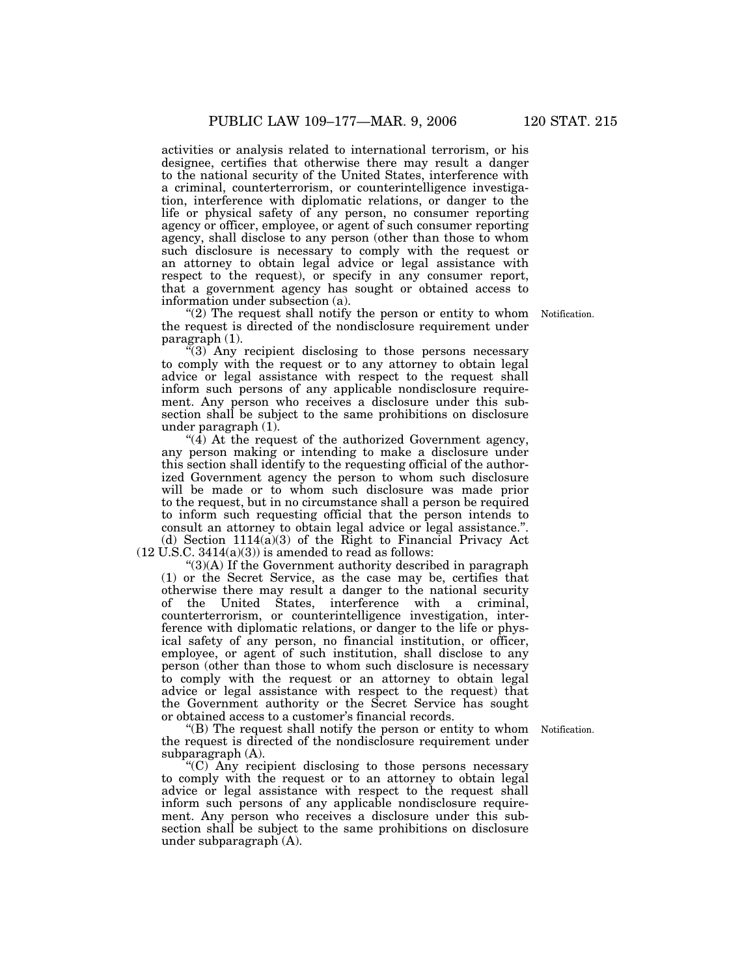activities or analysis related to international terrorism, or his designee, certifies that otherwise there may result a danger to the national security of the United States, interference with a criminal, counterterrorism, or counterintelligence investigation, interference with diplomatic relations, or danger to the life or physical safety of any person, no consumer reporting agency or officer, employee, or agent of such consumer reporting agency, shall disclose to any person (other than those to whom such disclosure is necessary to comply with the request or an attorney to obtain legal advice or legal assistance with respect to the request), or specify in any consumer report, that a government agency has sought or obtained access to information under subsection (a).

"(2) The request shall notify the person or entity to whom Notification. the request is directed of the nondisclosure requirement under paragraph (1).

"(3) Any recipient disclosing to those persons necessary to comply with the request or to any attorney to obtain legal advice or legal assistance with respect to the request shall inform such persons of any applicable nondisclosure requirement. Any person who receives a disclosure under this subsection shall be subject to the same prohibitions on disclosure under paragraph (1).

" $(4)$  At the request of the authorized Government agency, any person making or intending to make a disclosure under this section shall identify to the requesting official of the authorized Government agency the person to whom such disclosure will be made or to whom such disclosure was made prior to the request, but in no circumstance shall a person be required to inform such requesting official that the person intends to consult an attorney to obtain legal advice or legal assistance.''. (d) Section 1114(a)(3) of the Right to Financial Privacy Act  $(12 \text{ U.S.C. } 3414(a)(3))$  is amended to read as follows:

 $"(3)(A)$  If the Government authority described in paragraph (1) or the Secret Service, as the case may be, certifies that otherwise there may result a danger to the national security United States, interference with a criminal, counterterrorism, or counterintelligence investigation, interference with diplomatic relations, or danger to the life or physical safety of any person, no financial institution, or officer, employee, or agent of such institution, shall disclose to any person (other than those to whom such disclosure is necessary to comply with the request or an attorney to obtain legal advice or legal assistance with respect to the request) that the Government authority or the Secret Service has sought or obtained access to a customer's financial records.

''(B) The request shall notify the person or entity to whom the request is directed of the nondisclosure requirement under subparagraph (A).

''(C) Any recipient disclosing to those persons necessary to comply with the request or to an attorney to obtain legal advice or legal assistance with respect to the request shall inform such persons of any applicable nondisclosure requirement. Any person who receives a disclosure under this subsection shall be subject to the same prohibitions on disclosure under subparagraph (A).

Notification.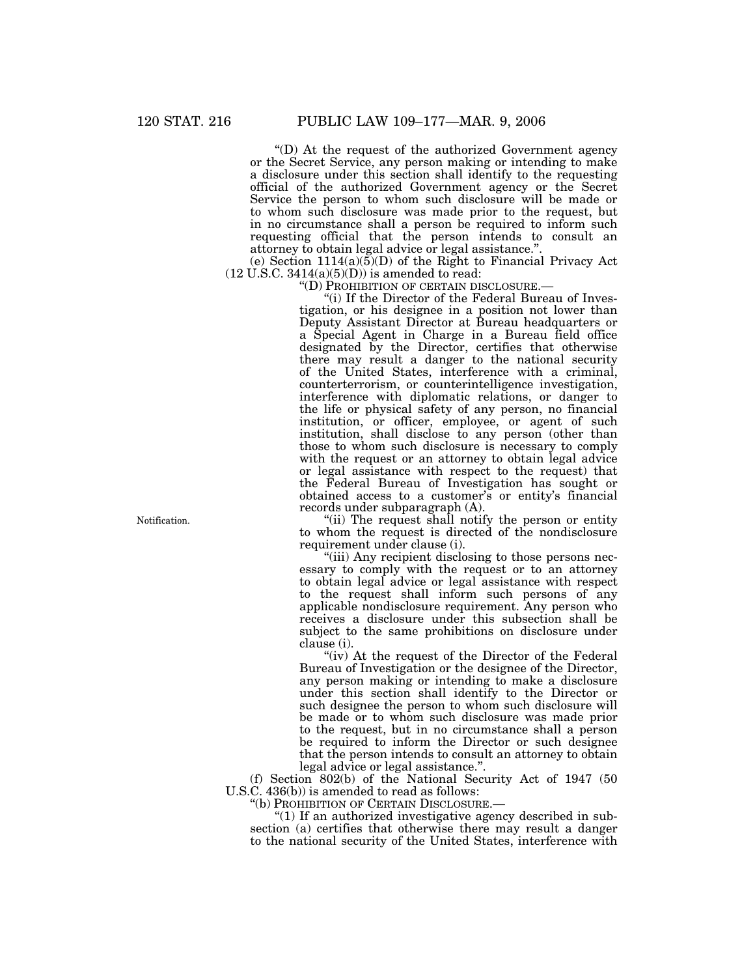''(D) At the request of the authorized Government agency or the Secret Service, any person making or intending to make a disclosure under this section shall identify to the requesting official of the authorized Government agency or the Secret Service the person to whom such disclosure will be made or to whom such disclosure was made prior to the request, but in no circumstance shall a person be required to inform such requesting official that the person intends to consult an attorney to obtain legal advice or legal assistance.''.

(e) Section  $1114(a)(5)(D)$  of the Right to Financial Privacy Act  $(12 \text{ U.S.C. } 3414(a)(5)(D))$  is amended to read:

''(D) PROHIBITION OF CERTAIN DISCLOSURE.— ''(i) If the Director of the Federal Bureau of Investigation, or his designee in a position not lower than Deputy Assistant Director at Bureau headquarters or a Special Agent in Charge in a Bureau field office designated by the Director, certifies that otherwise there may result a danger to the national security of the United States, interference with a criminal, counterterrorism, or counterintelligence investigation, interference with diplomatic relations, or danger to the life or physical safety of any person, no financial institution, or officer, employee, or agent of such institution, shall disclose to any person (other than those to whom such disclosure is necessary to comply with the request or an attorney to obtain legal advice or legal assistance with respect to the request) that the Federal Bureau of Investigation has sought or obtained access to a customer's or entity's financial records under subparagraph (A).

"(ii) The request shall notify the person or entity to whom the request is directed of the nondisclosure requirement under clause (i).

''(iii) Any recipient disclosing to those persons necessary to comply with the request or to an attorney to obtain legal advice or legal assistance with respect to the request shall inform such persons of any applicable nondisclosure requirement. Any person who receives a disclosure under this subsection shall be subject to the same prohibitions on disclosure under clause (i).

"(iv) At the request of the Director of the Federal Bureau of Investigation or the designee of the Director, any person making or intending to make a disclosure under this section shall identify to the Director or such designee the person to whom such disclosure will be made or to whom such disclosure was made prior to the request, but in no circumstance shall a person be required to inform the Director or such designee that the person intends to consult an attorney to obtain legal advice or legal assistance.''.

(f) Section 802(b) of the National Security Act of 1947 (50 U.S.C. 436(b)) is amended to read as follows:

''(b) PROHIBITION OF CERTAIN DISCLOSURE.—

"(1) If an authorized investigative agency described in subsection (a) certifies that otherwise there may result a danger to the national security of the United States, interference with

Notification.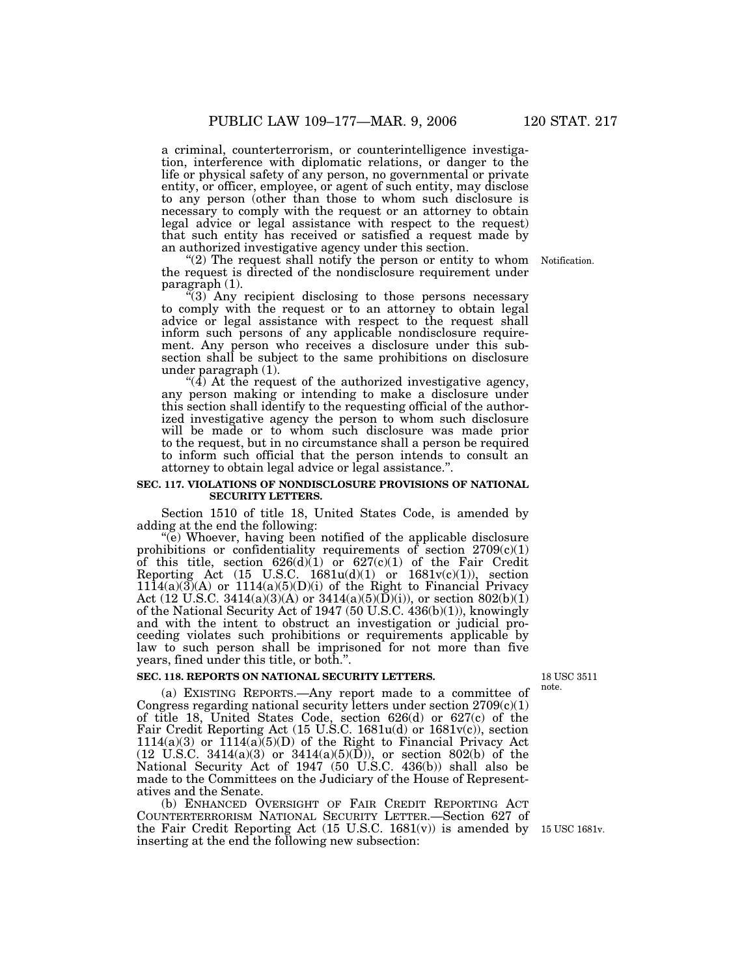a criminal, counterterrorism, or counterintelligence investigation, interference with diplomatic relations, or danger to the life or physical safety of any person, no governmental or private entity, or officer, employee, or agent of such entity, may disclose to any person (other than those to whom such disclosure is necessary to comply with the request or an attorney to obtain legal advice or legal assistance with respect to the request) that such entity has received or satisfied a request made by an authorized investigative agency under this section.

"(2) The request shall notify the person or entity to whom Notification. the request is directed of the nondisclosure requirement under paragraph (1).

 $\sqrt[4]{(3)}$  Any recipient disclosing to those persons necessary to comply with the request or to an attorney to obtain legal advice or legal assistance with respect to the request shall inform such persons of any applicable nondisclosure requirement. Any person who receives a disclosure under this subsection shall be subject to the same prohibitions on disclosure under paragraph (1).

"(4) At the request of the authorized investigative agency, any person making or intending to make a disclosure under this section shall identify to the requesting official of the authorized investigative agency the person to whom such disclosure will be made or to whom such disclosure was made prior to the request, but in no circumstance shall a person be required to inform such official that the person intends to consult an attorney to obtain legal advice or legal assistance.''.

#### **SEC. 117. VIOLATIONS OF NONDISCLOSURE PROVISIONS OF NATIONAL SECURITY LETTERS.**

Section 1510 of title 18, United States Code, is amended by adding at the end the following:

''(e) Whoever, having been notified of the applicable disclosure prohibitions or confidentiality requirements of section  $2709(c)(1)$ of this title, section  $626(d)(1)$  or  $627(c)(1)$  of the Fair Credit Reporting Act (15 U.S.C.  $1681u(d)(1)$  or  $1681v(c)(1)$ ), section  $11\overline{1}4(a)(\overline{3})(A)$  or  $1114(a)(\overline{5})(D)(i)$  of the Right to Financial Privacy Act (12 U.S.C. 3414(a)(3)(A) or 3414(a)(5)(D)(i)), or section 802(b)(1) of the National Security Act of 1947 (50 U.S.C. 436(b)(1)), knowingly and with the intent to obstruct an investigation or judicial proceeding violates such prohibitions or requirements applicable by law to such person shall be imprisoned for not more than five years, fined under this title, or both.''.

#### **SEC. 118. REPORTS ON NATIONAL SECURITY LETTERS.**

(a) EXISTING REPORTS.—Any report made to a committee of Congress regarding national security letters under section  $2709(c)(1)$ of title 18, United States Code, section 626(d) or 627(c) of the Fair Credit Reporting Act (15 U.S.C. 1681u(d) or 1681v(c)), section  $1114(a)(3)$  or  $1114(a)(5)(D)$  of the Right to Financial Privacy Act (12 U.S.C. 3414(a)(3) or 3414(a)(5)(D)), or section 802(b) of the National Security Act of 1947 (50 U.S.C. 436(b)) shall also be made to the Committees on the Judiciary of the House of Representatives and the Senate.

(b) ENHANCED OVERSIGHT OF FAIR CREDIT REPORTING ACT COUNTERTERRORISM NATIONAL SECURITY LETTER.—Section 627 of the Fair Credit Reporting Act (15 U.S.C. 1681(v)) is amended by 15 USC 1681v. inserting at the end the following new subsection:

18 USC 3511 note.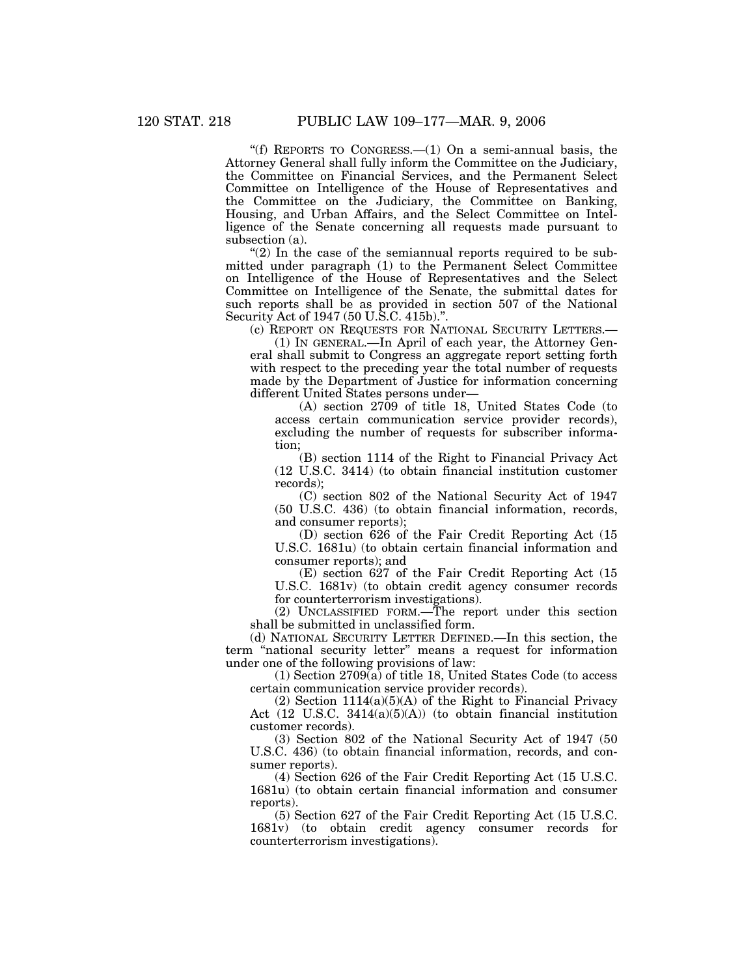"(f) REPORTS TO CONGRESS.— $(1)$  On a semi-annual basis, the Attorney General shall fully inform the Committee on the Judiciary, the Committee on Financial Services, and the Permanent Select Committee on Intelligence of the House of Representatives and the Committee on the Judiciary, the Committee on Banking, Housing, and Urban Affairs, and the Select Committee on Intelligence of the Senate concerning all requests made pursuant to subsection (a).

" $(2)$  In the case of the semiannual reports required to be submitted under paragraph (1) to the Permanent Select Committee on Intelligence of the House of Representatives and the Select Committee on Intelligence of the Senate, the submittal dates for such reports shall be as provided in section 507 of the National Security Act of 1947 (50 U.S.C. 415b).''.

(c) REPORT ON REQUESTS FOR NATIONAL SECURITY LETTERS.—

(1) IN GENERAL.—In April of each year, the Attorney General shall submit to Congress an aggregate report setting forth with respect to the preceding year the total number of requests made by the Department of Justice for information concerning different United States persons under—

(A) section 2709 of title 18, United States Code (to access certain communication service provider records), excluding the number of requests for subscriber information;

(B) section 1114 of the Right to Financial Privacy Act (12 U.S.C. 3414) (to obtain financial institution customer records);

(C) section 802 of the National Security Act of 1947 (50 U.S.C. 436) (to obtain financial information, records, and consumer reports);

(D) section 626 of the Fair Credit Reporting Act (15 U.S.C. 1681u) (to obtain certain financial information and consumer reports); and

(E) section 627 of the Fair Credit Reporting Act (15 U.S.C. 1681v) (to obtain credit agency consumer records for counterterrorism investigations).

(2) UNCLASSIFIED FORM.—The report under this section shall be submitted in unclassified form.

(d) NATIONAL SECURITY LETTER DEFINED.—In this section, the term ''national security letter'' means a request for information under one of the following provisions of law:

(1) Section 2709(a) of title 18, United States Code (to access certain communication service provider records).

(2) Section  $1114(a)(5)(A)$  of the Right to Financial Privacy Act (12 U.S.C. 3414(a)(5)(A)) (to obtain financial institution customer records).

(3) Section 802 of the National Security Act of 1947 (50 U.S.C. 436) (to obtain financial information, records, and consumer reports).

(4) Section 626 of the Fair Credit Reporting Act (15 U.S.C. 1681u) (to obtain certain financial information and consumer reports).

(5) Section 627 of the Fair Credit Reporting Act (15 U.S.C. 1681v) (to obtain credit agency consumer records for counterterrorism investigations).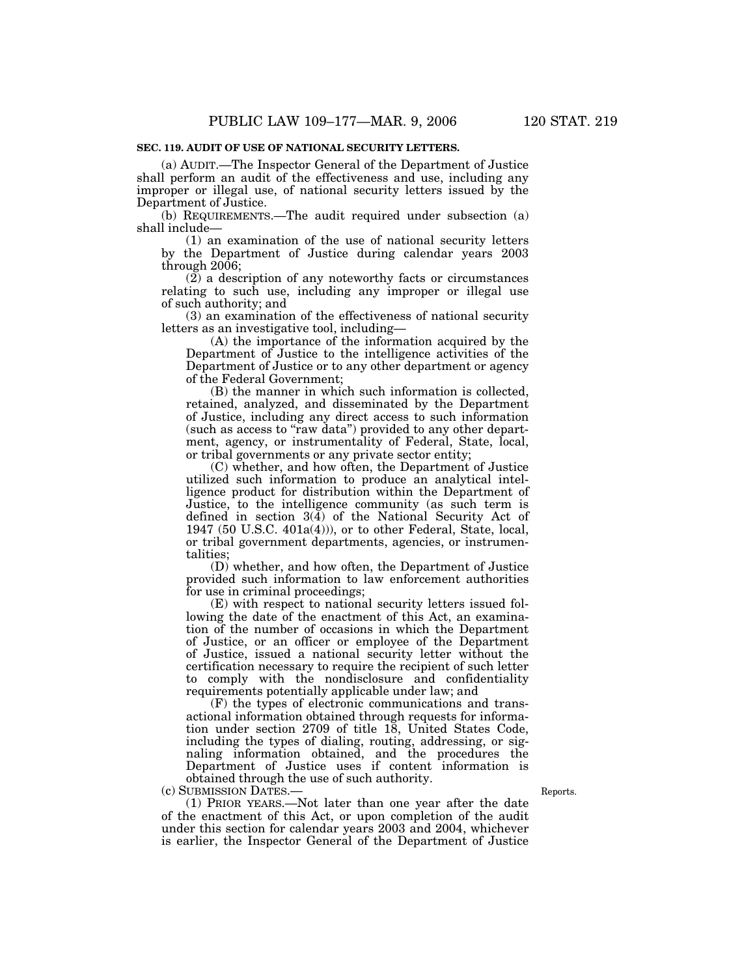### **SEC. 119. AUDIT OF USE OF NATIONAL SECURITY LETTERS.**

(a) AUDIT.—The Inspector General of the Department of Justice shall perform an audit of the effectiveness and use, including any improper or illegal use, of national security letters issued by the Department of Justice.

(b) REQUIREMENTS.—The audit required under subsection (a) shall include—

(1) an examination of the use of national security letters by the Department of Justice during calendar years 2003 through 2006;

 $(2)$  a description of any noteworthy facts or circumstances relating to such use, including any improper or illegal use of such authority; and

(3) an examination of the effectiveness of national security letters as an investigative tool, including—

(A) the importance of the information acquired by the Department of Justice to the intelligence activities of the Department of Justice or to any other department or agency of the Federal Government;

(B) the manner in which such information is collected, retained, analyzed, and disseminated by the Department of Justice, including any direct access to such information (such as access to "raw data") provided to any other department, agency, or instrumentality of Federal, State, local, or tribal governments or any private sector entity;

(C) whether, and how often, the Department of Justice utilized such information to produce an analytical intelligence product for distribution within the Department of Justice, to the intelligence community (as such term is defined in section  $3(4)$  of the National Security Act of 1947 (50 U.S.C. 401a(4))), or to other Federal, State, local, or tribal government departments, agencies, or instrumentalities;

(D) whether, and how often, the Department of Justice provided such information to law enforcement authorities for use in criminal proceedings;

(E) with respect to national security letters issued following the date of the enactment of this Act, an examination of the number of occasions in which the Department of Justice, or an officer or employee of the Department of Justice, issued a national security letter without the certification necessary to require the recipient of such letter to comply with the nondisclosure and confidentiality requirements potentially applicable under law; and

(F) the types of electronic communications and transactional information obtained through requests for information under section 2709 of title 18, United States Code, including the types of dialing, routing, addressing, or signaling information obtained, and the procedures the Department of Justice uses if content information is obtained through the use of such authority.

(c) SUBMISSION DATES.—

(1) PRIOR YEARS.—Not later than one year after the date of the enactment of this Act, or upon completion of the audit under this section for calendar years 2003 and 2004, whichever is earlier, the Inspector General of the Department of Justice

Reports.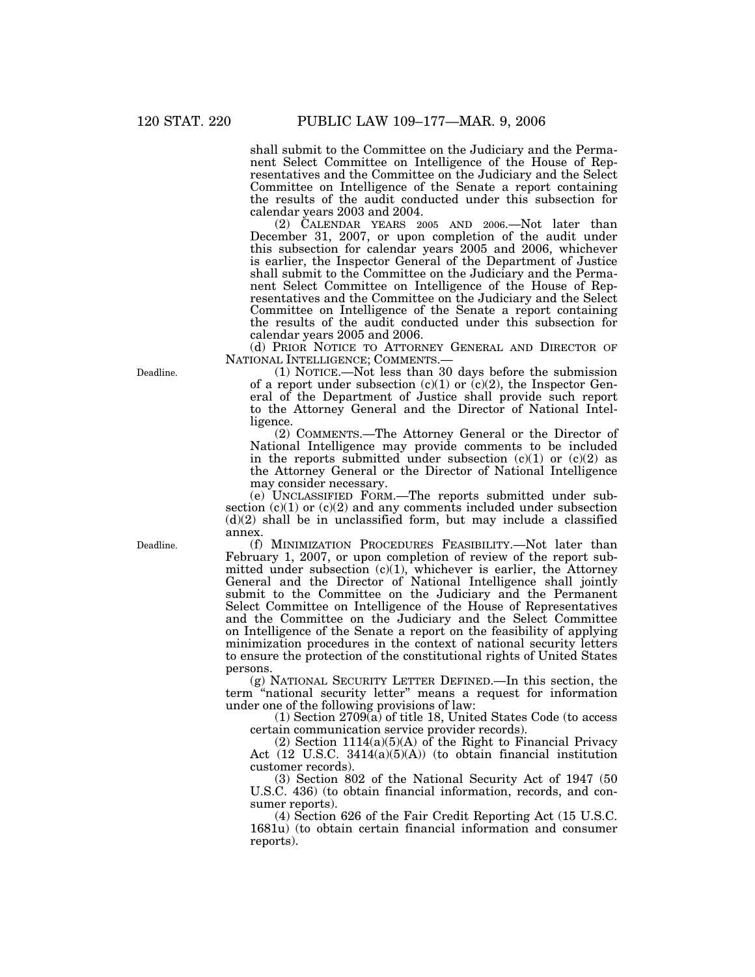shall submit to the Committee on the Judiciary and the Permanent Select Committee on Intelligence of the House of Representatives and the Committee on the Judiciary and the Select Committee on Intelligence of the Senate a report containing the results of the audit conducted under this subsection for calendar years 2003 and 2004.

(2) CALENDAR YEARS 2005 AND 2006.—Not later than December 31, 2007, or upon completion of the audit under this subsection for calendar years 2005 and 2006, whichever is earlier, the Inspector General of the Department of Justice shall submit to the Committee on the Judiciary and the Permanent Select Committee on Intelligence of the House of Representatives and the Committee on the Judiciary and the Select Committee on Intelligence of the Senate a report containing the results of the audit conducted under this subsection for calendar years 2005 and 2006.

(d) PRIOR NOTICE TO ATTORNEY GENERAL AND DIRECTOR OF NATIONAL INTELLIGENCE; COMMENTS.—

(1) NOTICE.—Not less than 30 days before the submission of a report under subsection  $(c)(1)$  or  $(c)(2)$ , the Inspector General of the Department of Justice shall provide such report to the Attorney General and the Director of National Intelligence.

(2) COMMENTS.—The Attorney General or the Director of National Intelligence may provide comments to be included in the reports submitted under subsection  $(c)(1)$  or  $(c)(2)$  as the Attorney General or the Director of National Intelligence may consider necessary.

(e) UNCLASSIFIED FORM.—The reports submitted under subsection  $(c)(1)$  or  $(c)(2)$  and any comments included under subsection  $(d)(2)$  shall be in unclassified form, but may include a classified annex.

(f) MINIMIZATION PROCEDURES FEASIBILITY.—Not later than February 1, 2007, or upon completion of review of the report submitted under subsection (c)(1), whichever is earlier, the Attorney General and the Director of National Intelligence shall jointly submit to the Committee on the Judiciary and the Permanent Select Committee on Intelligence of the House of Representatives and the Committee on the Judiciary and the Select Committee on Intelligence of the Senate a report on the feasibility of applying minimization procedures in the context of national security letters to ensure the protection of the constitutional rights of United States persons.

(g) NATIONAL SECURITY LETTER DEFINED.—In this section, the term ''national security letter'' means a request for information under one of the following provisions of law:

(1) Section 2709(a) of title 18, United States Code (to access certain communication service provider records).

(2) Section 1114(a)(5)(A) of the Right to Financial Privacy Act (12 U.S.C. 3414(a)(5)(A)) (to obtain financial institution customer records).

(3) Section 802 of the National Security Act of 1947 (50 U.S.C. 436) (to obtain financial information, records, and consumer reports).

(4) Section 626 of the Fair Credit Reporting Act (15 U.S.C. 1681u) (to obtain certain financial information and consumer reports).

Deadline.

Deadline.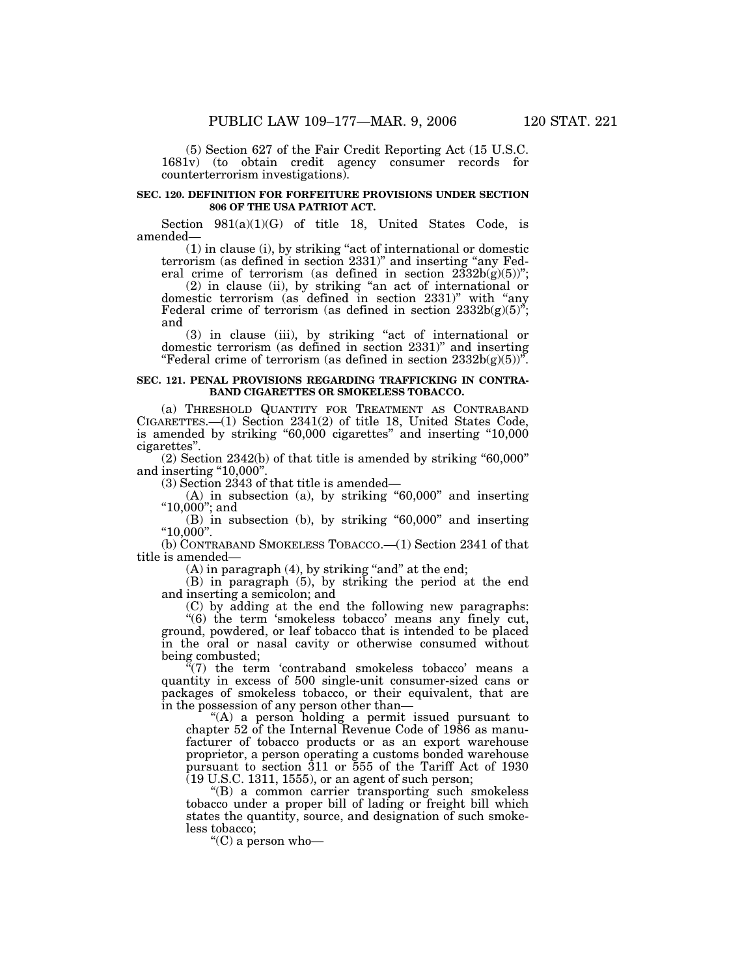(5) Section 627 of the Fair Credit Reporting Act (15 U.S.C. 1681v) (to obtain credit agency consumer records for counterterrorism investigations).

#### **SEC. 120. DEFINITION FOR FORFEITURE PROVISIONS UNDER SECTION 806 OF THE USA PATRIOT ACT.**

Section 981(a)(1)(G) of title 18, United States Code, is amended—

(1) in clause (i), by striking ''act of international or domestic terrorism (as defined in section 2331)'' and inserting ''any Federal crime of terrorism (as defined in section  $2332b(g)(5)$ ";

(2) in clause (ii), by striking ''an act of international or domestic terrorism (as defined in section 2331)'' with ''any Federal crime of terrorism (as defined in section  $2332b(g)(5)^{5}$ ; and

(3) in clause (iii), by striking ''act of international or domestic terrorism (as defined in section 2331)'' and inserting "Federal crime of terrorism (as defined in section  $2332b(g)(5)$ ".

#### **SEC. 121. PENAL PROVISIONS REGARDING TRAFFICKING IN CONTRA-BAND CIGARETTES OR SMOKELESS TOBACCO.**

(a) THRESHOLD QUANTITY FOR TREATMENT AS CONTRABAND CIGARETTES.—(1) Section 2341(2) of title 18, United States Code, is amended by striking "60,000 cigarettes" and inserting "10,000 cigarettes''.

 $(2)$  Section 2342(b) of that title is amended by striking "60,000" and inserting "10,000".

(3) Section 2343 of that title is amended—

 $(A)$  in subsection  $(a)$ , by striking "60,000" and inserting "10,000"; and

 $(B)$  in subsection (b), by striking "60,000" and inserting ''10,000''.

(b) CONTRABAND SMOKELESS TOBACCO.—(1) Section 2341 of that title is amended—

 $(A)$  in paragraph  $(4)$ , by striking "and" at the end;

(B) in paragraph (5), by striking the period at the end and inserting a semicolon; and

(C) by adding at the end the following new paragraphs:

''(6) the term 'smokeless tobacco' means any finely cut, ground, powdered, or leaf tobacco that is intended to be placed in the oral or nasal cavity or otherwise consumed without being combusted;

 $\sqrt[n]{7}$  the term 'contraband smokeless tobacco' means a quantity in excess of 500 single-unit consumer-sized cans or packages of smokeless tobacco, or their equivalent, that are in the possession of any person other than—

"(A) a person holding a permit issued pursuant to chapter 52 of the Internal Revenue Code of 1986 as manufacturer of tobacco products or as an export warehouse proprietor, a person operating a customs bonded warehouse pursuant to section 311 or 555 of the Tariff Act of 1930 (19 U.S.C. 1311, 1555), or an agent of such person;

''(B) a common carrier transporting such smokeless tobacco under a proper bill of lading or freight bill which states the quantity, source, and designation of such smokeless tobacco;

''(C) a person who—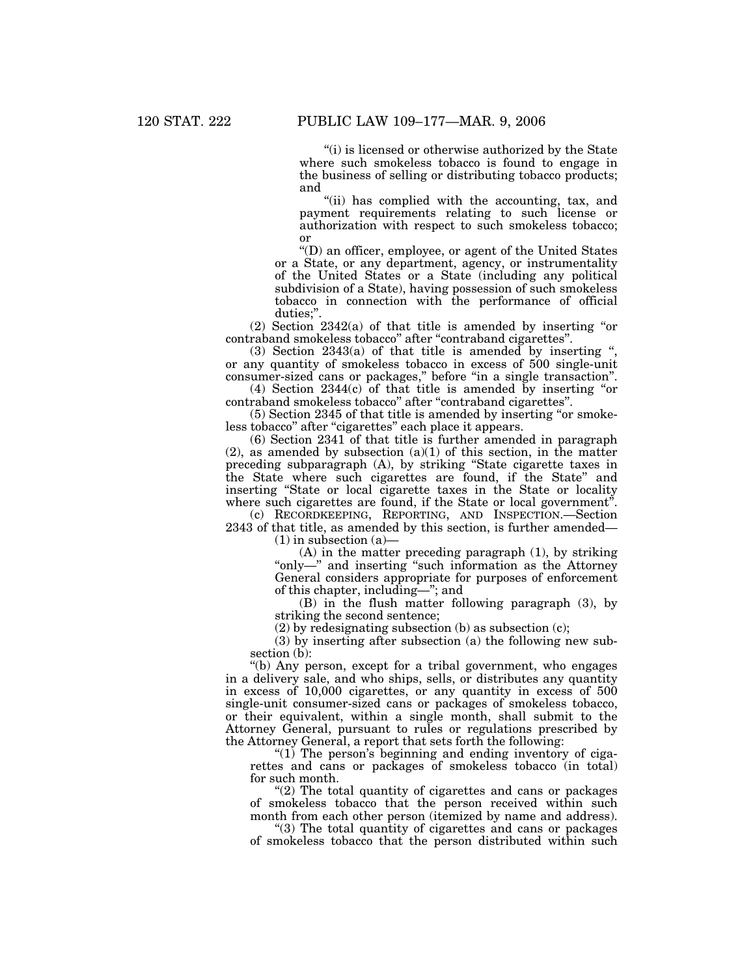"(i) is licensed or otherwise authorized by the State" where such smokeless tobacco is found to engage in the business of selling or distributing tobacco products; and

"(ii) has complied with the accounting, tax, and payment requirements relating to such license or authorization with respect to such smokeless tobacco; or

''(D) an officer, employee, or agent of the United States or a State, or any department, agency, or instrumentality of the United States or a State (including any political subdivision of a State), having possession of such smokeless tobacco in connection with the performance of official duties;".

 $(2)$  Section 2342 $(a)$  of that title is amended by inserting "or contraband smokeless tobacco'' after ''contraband cigarettes''.

(3) Section  $2343(a)$  of that title is amended by inserting ' or any quantity of smokeless tobacco in excess of 500 single-unit consumer-sized cans or packages,'' before ''in a single transaction''.

(4) Section 2344(c) of that title is amended by inserting ''or contraband smokeless tobacco'' after ''contraband cigarettes''.

(5) Section 2345 of that title is amended by inserting ''or smokeless tobacco'' after ''cigarettes'' each place it appears.

(6) Section 2341 of that title is further amended in paragraph  $(2)$ , as amended by subsection  $(a)(1)$  of this section, in the matter preceding subparagraph (A), by striking ''State cigarette taxes in the State where such cigarettes are found, if the State'' and inserting ''State or local cigarette taxes in the State or locality where such cigarettes are found, if the State or local government".

(c) RECORDKEEPING, REPORTING, AND INSPECTION.—Section 2343 of that title, as amended by this section, is further amended—

 $(1)$  in subsection  $(a)$ 

(A) in the matter preceding paragraph (1), by striking ''only—'' and inserting ''such information as the Attorney General considers appropriate for purposes of enforcement of this chapter, including—''; and

(B) in the flush matter following paragraph (3), by striking the second sentence;

(2) by redesignating subsection (b) as subsection (c);

(3) by inserting after subsection (a) the following new subsection (b):

''(b) Any person, except for a tribal government, who engages in a delivery sale, and who ships, sells, or distributes any quantity in excess of 10,000 cigarettes, or any quantity in excess of 500 single-unit consumer-sized cans or packages of smokeless tobacco, or their equivalent, within a single month, shall submit to the Attorney General, pursuant to rules or regulations prescribed by the Attorney General, a report that sets forth the following:

" $(1)$  The person's beginning and ending inventory of cigarettes and cans or packages of smokeless tobacco (in total) for such month.

 $(2)$  The total quantity of cigarettes and cans or packages of smokeless tobacco that the person received within such month from each other person (itemized by name and address).

''(3) The total quantity of cigarettes and cans or packages of smokeless tobacco that the person distributed within such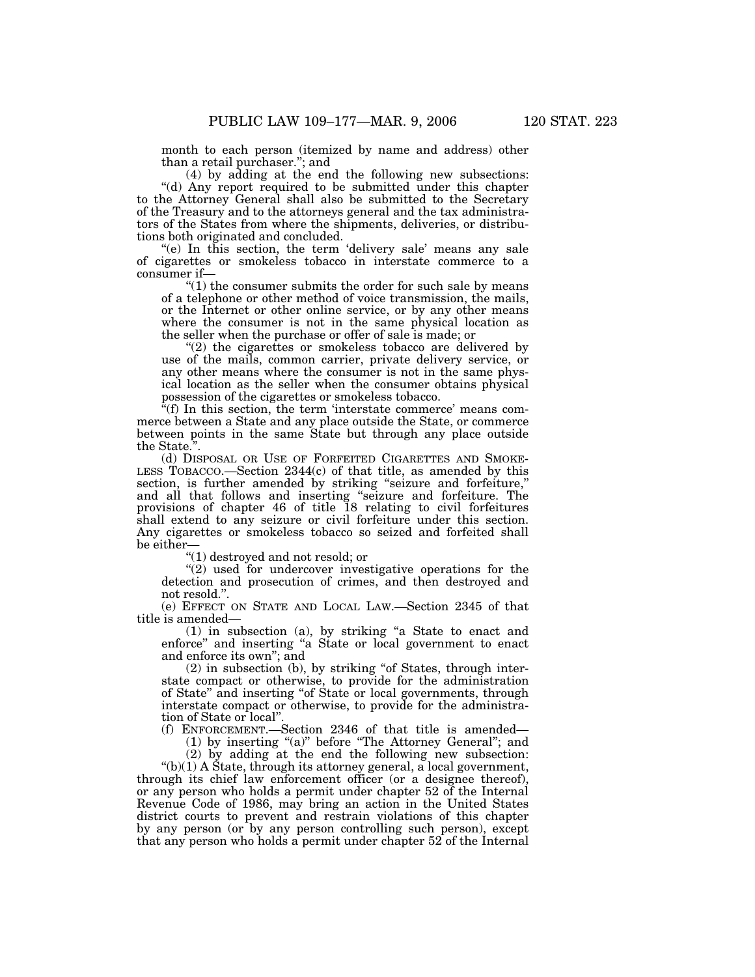month to each person (itemized by name and address) other than a retail purchaser.''; and

(4) by adding at the end the following new subsections: "(d) Any report required to be submitted under this chapter to the Attorney General shall also be submitted to the Secretary of the Treasury and to the attorneys general and the tax administrators of the States from where the shipments, deliveries, or distributions both originated and concluded.

"(e) In this section, the term 'delivery sale' means any sale of cigarettes or smokeless tobacco in interstate commerce to a consumer if—

''(1) the consumer submits the order for such sale by means of a telephone or other method of voice transmission, the mails, or the Internet or other online service, or by any other means where the consumer is not in the same physical location as the seller when the purchase or offer of sale is made; or

 $(2)$  the cigarettes or smokeless tobacco are delivered by use of the mails, common carrier, private delivery service, or any other means where the consumer is not in the same physical location as the seller when the consumer obtains physical possession of the cigarettes or smokeless tobacco.

 $\mathbf{F}(f)$  In this section, the term 'interstate commerce' means commerce between a State and any place outside the State, or commerce between points in the same State but through any place outside the State."

(d) DISPOSAL OR USE OF FORFEITED CIGARETTES AND SMOKE-LESS TOBACCO.—Section  $2344(c)$  of that title, as amended by this section, is further amended by striking "seizure and forfeiture," and all that follows and inserting ''seizure and forfeiture. The provisions of chapter 46 of title 18 relating to civil forfeitures shall extend to any seizure or civil forfeiture under this section. Any cigarettes or smokeless tobacco so seized and forfeited shall be either—

''(1) destroyed and not resold; or

 $''(2)$  used for undercover investigative operations for the detection and prosecution of crimes, and then destroyed and not resold.''.

(e) EFFECT ON STATE AND LOCAL LAW.—Section 2345 of that title is amended—

(1) in subsection (a), by striking ''a State to enact and enforce'' and inserting ''a State or local government to enact and enforce its own''; and

(2) in subsection (b), by striking ''of States, through interstate compact or otherwise, to provide for the administration of State'' and inserting ''of State or local governments, through interstate compact or otherwise, to provide for the administration of State or local''.

(f) ENFORCEMENT.—Section 2346 of that title is amended—

(1) by inserting "(a)" before "The Attorney General"; and

(2) by adding at the end the following new subsection: " $(b)(1)$  A State, through its attorney general, a local government, through its chief law enforcement officer (or a designee thereof), or any person who holds a permit under chapter 52 of the Internal Revenue Code of 1986, may bring an action in the United States district courts to prevent and restrain violations of this chapter by any person (or by any person controlling such person), except that any person who holds a permit under chapter 52 of the Internal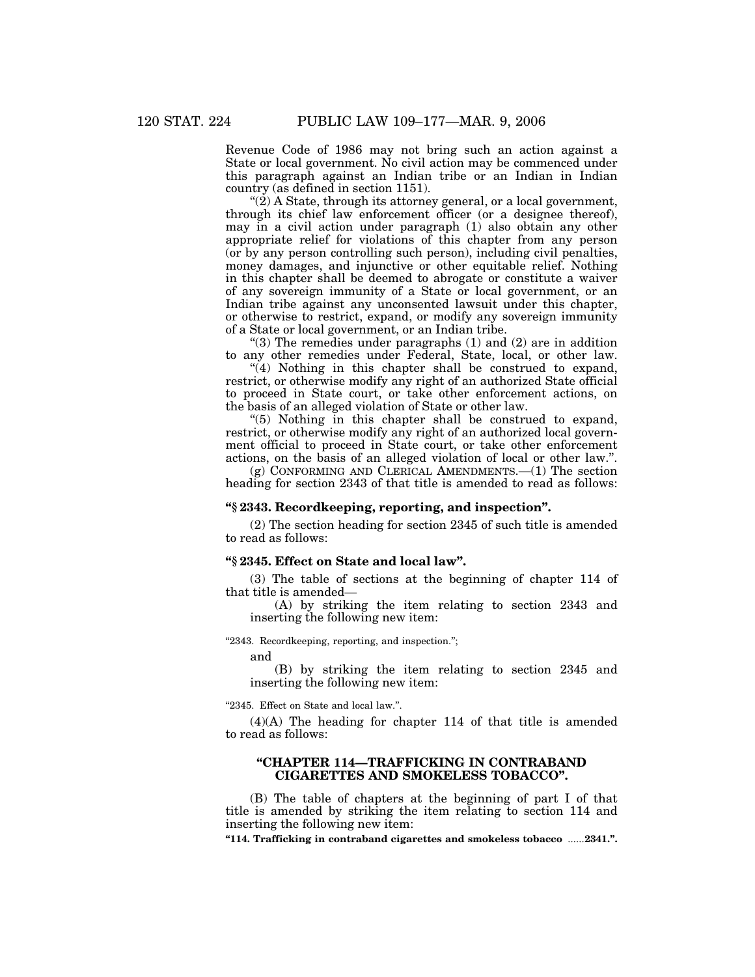Revenue Code of 1986 may not bring such an action against a State or local government. No civil action may be commenced under this paragraph against an Indian tribe or an Indian in Indian country (as defined in section 1151).

 $"(2)$  A State, through its attorney general, or a local government, through its chief law enforcement officer (or a designee thereof), may in a civil action under paragraph (1) also obtain any other appropriate relief for violations of this chapter from any person (or by any person controlling such person), including civil penalties, money damages, and injunctive or other equitable relief. Nothing in this chapter shall be deemed to abrogate or constitute a waiver of any sovereign immunity of a State or local government, or an Indian tribe against any unconsented lawsuit under this chapter, or otherwise to restrict, expand, or modify any sovereign immunity of a State or local government, or an Indian tribe.

" $(3)$  The remedies under paragraphs  $(1)$  and  $(2)$  are in addition to any other remedies under Federal, State, local, or other law.

 $\mathcal{L}(4)$  Nothing in this chapter shall be construed to expand, restrict, or otherwise modify any right of an authorized State official to proceed in State court, or take other enforcement actions, on the basis of an alleged violation of State or other law.

''(5) Nothing in this chapter shall be construed to expand, restrict, or otherwise modify any right of an authorized local government official to proceed in State court, or take other enforcement actions, on the basis of an alleged violation of local or other law.''.

(g) CONFORMING AND CLERICAL AMENDMENTS.—(1) The section heading for section 2343 of that title is amended to read as follows:

### **''§ 2343. Recordkeeping, reporting, and inspection''.**

(2) The section heading for section 2345 of such title is amended to read as follows:

#### **''§ 2345. Effect on State and local law''.**

(3) The table of sections at the beginning of chapter 114 of that title is amended—

(A) by striking the item relating to section 2343 and inserting the following new item:

''2343. Recordkeeping, reporting, and inspection.'';

and

(B) by striking the item relating to section 2345 and inserting the following new item:

''2345. Effect on State and local law.''.

(4)(A) The heading for chapter 114 of that title is amended to read as follows:

### **''CHAPTER 114—TRAFFICKING IN CONTRABAND CIGARETTES AND SMOKELESS TOBACCO''.**

(B) The table of chapters at the beginning of part I of that title is amended by striking the item relating to section 114 and inserting the following new item:

**''114. Trafficking in contraband cigarettes and smokeless tobacco** ......**2341.''.**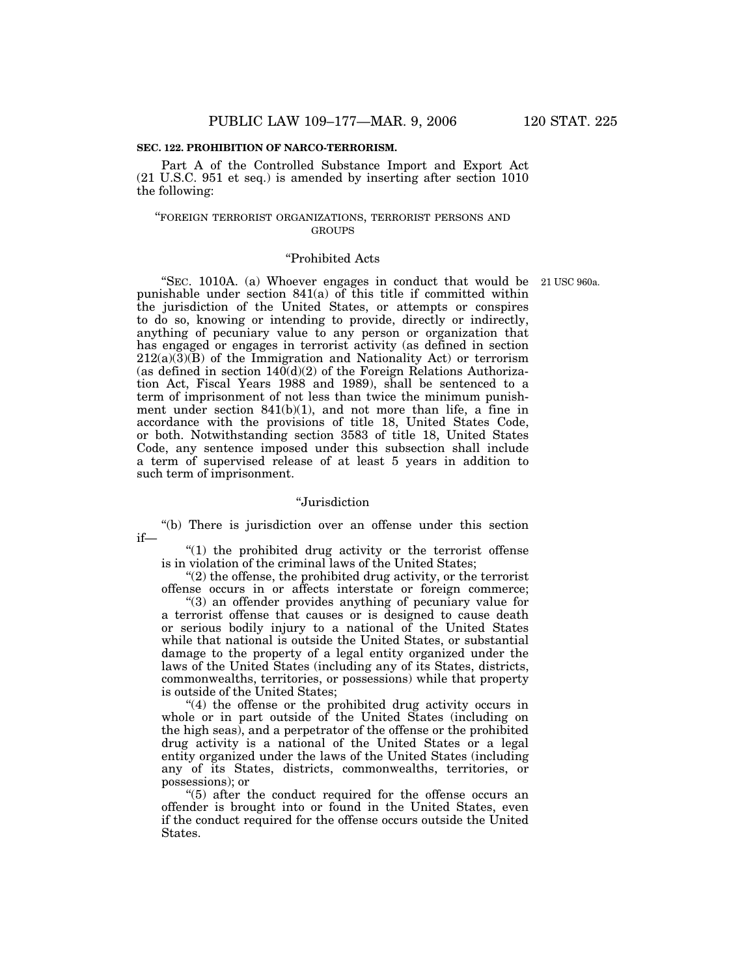### **SEC. 122. PROHIBITION OF NARCO-TERRORISM.**

Part A of the Controlled Substance Import and Export Act (21 U.S.C. 951 et seq.) is amended by inserting after section 1010 the following:

### ''FOREIGN TERRORIST ORGANIZATIONS, TERRORIST PERSONS AND **GROUPS**

### ''Prohibited Acts

''SEC. 1010A. (a) Whoever engages in conduct that would be 21 USC 960a. punishable under section 841(a) of this title if committed within the jurisdiction of the United States, or attempts or conspires to do so, knowing or intending to provide, directly or indirectly, anything of pecuniary value to any person or organization that has engaged or engages in terrorist activity (as defined in section  $212(a)(\bar{3})(\bar{B})$  of the Immigration and Nationality Act) or terrorism (as defined in section  $140(d)(2)$  of the Foreign Relations Authorization Act, Fiscal Years 1988 and 1989), shall be sentenced to a term of imprisonment of not less than twice the minimum punishment under section 841(b)(1), and not more than life, a fine in accordance with the provisions of title 18, United States Code, or both. Notwithstanding section 3583 of title 18, United States Code, any sentence imposed under this subsection shall include a term of supervised release of at least 5 years in addition to such term of imprisonment.

### ''Jurisdiction

"(b) There is jurisdiction over an offense under this section if—

 $(1)$  the prohibited drug activity or the terrorist offense is in violation of the criminal laws of the United States;

 $(2)$  the offense, the prohibited drug activity, or the terrorist offense occurs in or affects interstate or foreign commerce;

''(3) an offender provides anything of pecuniary value for a terrorist offense that causes or is designed to cause death or serious bodily injury to a national of the United States while that national is outside the United States, or substantial damage to the property of a legal entity organized under the laws of the United States (including any of its States, districts, commonwealths, territories, or possessions) while that property is outside of the United States;

"(4) the offense or the prohibited drug activity occurs in whole or in part outside of the United States (including on the high seas), and a perpetrator of the offense or the prohibited drug activity is a national of the United States or a legal entity organized under the laws of the United States (including any of its States, districts, commonwealths, territories, or possessions); or

''(5) after the conduct required for the offense occurs an offender is brought into or found in the United States, even if the conduct required for the offense occurs outside the United States.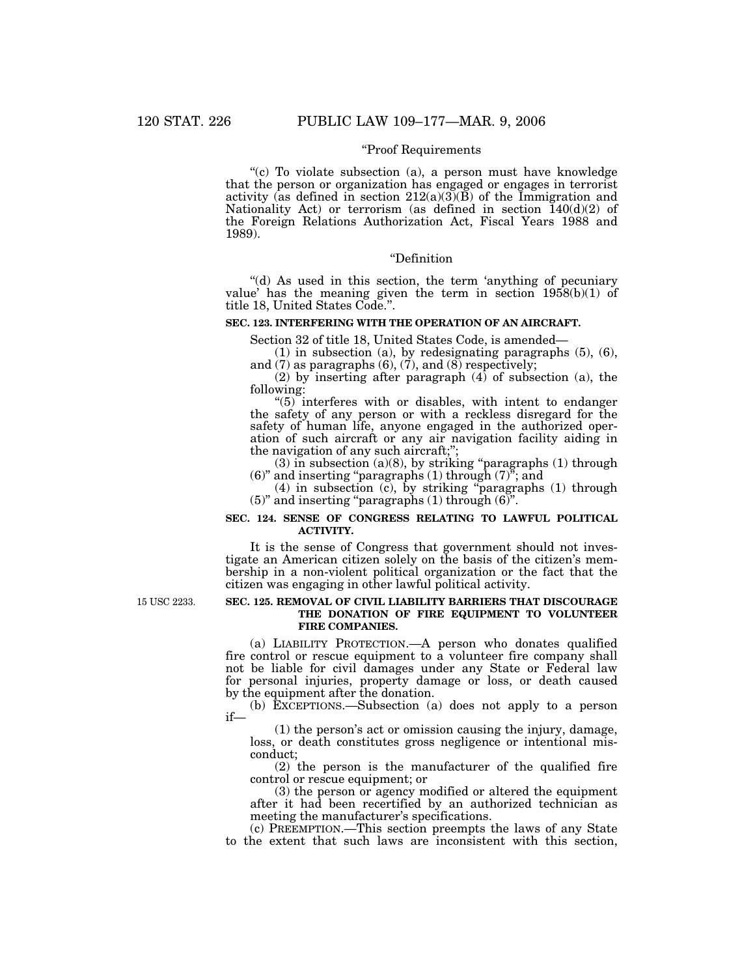### ''Proof Requirements

"(c) To violate subsection (a), a person must have knowledge that the person or organization has engaged or engages in terrorist activity (as defined in section  $212(a)(3)(B)$  of the Immigration and Nationality Act) or terrorism (as defined in section  $140(d)(2)$  of the Foreign Relations Authorization Act, Fiscal Years 1988 and 1989).

### ''Definition

''(d) As used in this section, the term 'anything of pecuniary value' has the meaning given the term in section  $1958(b)(1)$  of title 18, United States Code.''.

#### **SEC. 123. INTERFERING WITH THE OPERATION OF AN AIRCRAFT.**

Section 32 of title 18, United States Code, is amended—

(1) in subsection (a), by redesignating paragraphs (5), (6), and (7) as paragraphs  $(6)$ ,  $(7)$ , and  $(8)$  respectively;

(2) by inserting after paragraph (4) of subsection (a), the following:

"(5) interferes with or disables, with intent to endanger the safety of any person or with a reckless disregard for the safety of human life, anyone engaged in the authorized operation of such aircraft or any air navigation facility aiding in the navigation of any such aircraft;'';

 $(3)$  in subsection  $(a)(8)$ , by striking "paragraphs  $(1)$  through  $(6)$ " and inserting "paragraphs  $(1)$  through  $(7)$ "; and

(4) in subsection (c), by striking ''paragraphs (1) through  $(5)$ " and inserting "paragraphs  $(1)$  through  $(6)$ ".

#### **SEC. 124. SENSE OF CONGRESS RELATING TO LAWFUL POLITICAL ACTIVITY.**

It is the sense of Congress that government should not investigate an American citizen solely on the basis of the citizen's membership in a non-violent political organization or the fact that the citizen was engaging in other lawful political activity.

#### **SEC. 125. REMOVAL OF CIVIL LIABILITY BARRIERS THAT DISCOURAGE THE DONATION OF FIRE EQUIPMENT TO VOLUNTEER FIRE COMPANIES.**

(a) LIABILITY PROTECTION.—A person who donates qualified fire control or rescue equipment to a volunteer fire company shall not be liable for civil damages under any State or Federal law for personal injuries, property damage or loss, or death caused by the equipment after the donation.

(b) EXCEPTIONS.—Subsection (a) does not apply to a person if—

(1) the person's act or omission causing the injury, damage, loss, or death constitutes gross negligence or intentional misconduct;

(2) the person is the manufacturer of the qualified fire control or rescue equipment; or

(3) the person or agency modified or altered the equipment after it had been recertified by an authorized technician as meeting the manufacturer's specifications.

(c) PREEMPTION.—This section preempts the laws of any State to the extent that such laws are inconsistent with this section,

15 USC 2233.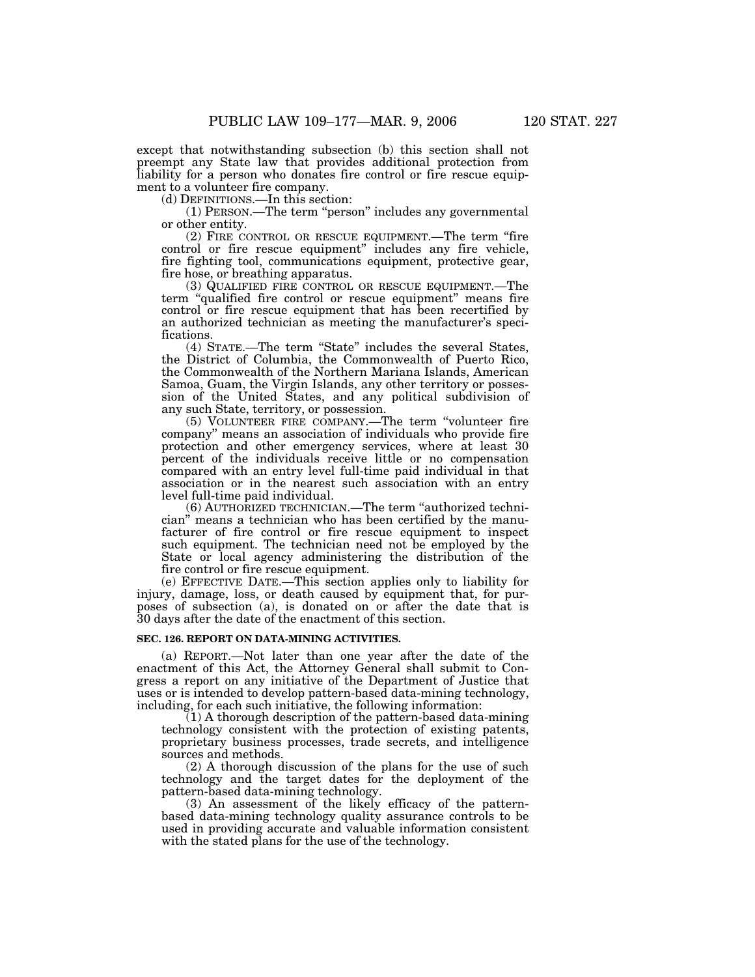except that notwithstanding subsection (b) this section shall not preempt any State law that provides additional protection from liability for a person who donates fire control or fire rescue equipment to a volunteer fire company.

(d) DEFINITIONS.—In this section:

(1) PERSON.—The term ''person'' includes any governmental or other entity.

(2) FIRE CONTROL OR RESCUE EQUIPMENT.—The term ''fire control or fire rescue equipment'' includes any fire vehicle, fire fighting tool, communications equipment, protective gear, fire hose, or breathing apparatus.

(3) QUALIFIED FIRE CONTROL OR RESCUE EQUIPMENT.—The term "qualified fire control or rescue equipment" means fire control or fire rescue equipment that has been recertified by an authorized technician as meeting the manufacturer's specifications.

(4) STATE.—The term ''State'' includes the several States, the District of Columbia, the Commonwealth of Puerto Rico, the Commonwealth of the Northern Mariana Islands, American Samoa, Guam, the Virgin Islands, any other territory or possession of the United States, and any political subdivision of any such State, territory, or possession.

(5) VOLUNTEER FIRE COMPANY.—The term ''volunteer fire company'' means an association of individuals who provide fire protection and other emergency services, where at least 30 percent of the individuals receive little or no compensation compared with an entry level full-time paid individual in that association or in the nearest such association with an entry level full-time paid individual.

(6) AUTHORIZED TECHNICIAN.—The term ''authorized technician'' means a technician who has been certified by the manufacturer of fire control or fire rescue equipment to inspect such equipment. The technician need not be employed by the State or local agency administering the distribution of the fire control or fire rescue equipment.

(e) EFFECTIVE DATE.—This section applies only to liability for injury, damage, loss, or death caused by equipment that, for purposes of subsection (a), is donated on or after the date that is 30 days after the date of the enactment of this section.

### **SEC. 126. REPORT ON DATA-MINING ACTIVITIES.**

(a) REPORT.—Not later than one year after the date of the enactment of this Act, the Attorney General shall submit to Congress a report on any initiative of the Department of Justice that uses or is intended to develop pattern-based data-mining technology, including, for each such initiative, the following information:

(1) A thorough description of the pattern-based data-mining technology consistent with the protection of existing patents, proprietary business processes, trade secrets, and intelligence sources and methods.

(2) A thorough discussion of the plans for the use of such technology and the target dates for the deployment of the pattern-based data-mining technology.

(3) An assessment of the likely efficacy of the patternbased data-mining technology quality assurance controls to be used in providing accurate and valuable information consistent with the stated plans for the use of the technology.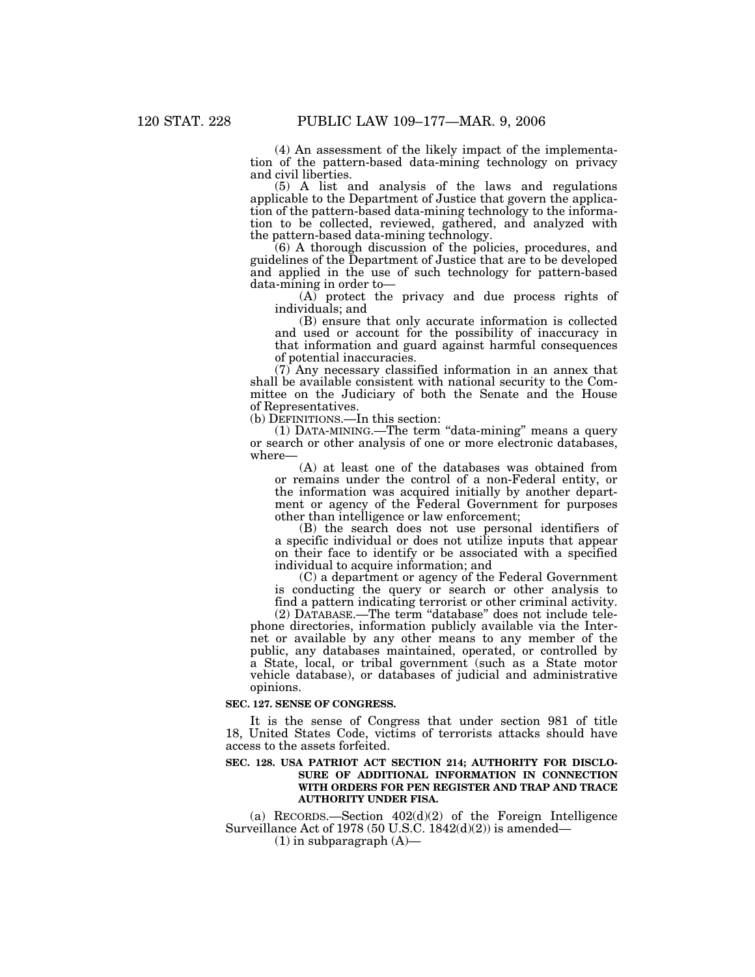(4) An assessment of the likely impact of the implementation of the pattern-based data-mining technology on privacy and civil liberties.

(5) A list and analysis of the laws and regulations applicable to the Department of Justice that govern the application of the pattern-based data-mining technology to the information to be collected, reviewed, gathered, and analyzed with the pattern-based data-mining technology.

(6) A thorough discussion of the policies, procedures, and guidelines of the Department of Justice that are to be developed and applied in the use of such technology for pattern-based data-mining in order to—

(A) protect the privacy and due process rights of individuals; and

(B) ensure that only accurate information is collected and used or account for the possibility of inaccuracy in that information and guard against harmful consequences of potential inaccuracies.

(7) Any necessary classified information in an annex that shall be available consistent with national security to the Committee on the Judiciary of both the Senate and the House of Representatives.

(b) DEFINITIONS.—In this section:

(1) DATA-MINING.—The term ''data-mining'' means a query or search or other analysis of one or more electronic databases, where—

(A) at least one of the databases was obtained from or remains under the control of a non-Federal entity, or the information was acquired initially by another department or agency of the Federal Government for purposes other than intelligence or law enforcement;

(B) the search does not use personal identifiers of a specific individual or does not utilize inputs that appear on their face to identify or be associated with a specified individual to acquire information; and

(C) a department or agency of the Federal Government is conducting the query or search or other analysis to find a pattern indicating terrorist or other criminal activity.

(2) DATABASE.—The term ''database'' does not include telephone directories, information publicly available via the Internet or available by any other means to any member of the public, any databases maintained, operated, or controlled by a State, local, or tribal government (such as a State motor vehicle database), or databases of judicial and administrative opinions.

## **SEC. 127. SENSE OF CONGRESS.**

It is the sense of Congress that under section 981 of title 18, United States Code, victims of terrorists attacks should have access to the assets forfeited.

## **SEC. 128. USA PATRIOT ACT SECTION 214; AUTHORITY FOR DISCLO-SURE OF ADDITIONAL INFORMATION IN CONNECTION WITH ORDERS FOR PEN REGISTER AND TRAP AND TRACE AUTHORITY UNDER FISA.**

(a) RECORDS.—Section  $402(d)(2)$  of the Foreign Intelligence Surveillance Act of 1978 (50 U.S.C. 1842(d)(2)) is amended—

 $(1)$  in subparagraph  $(A)$ —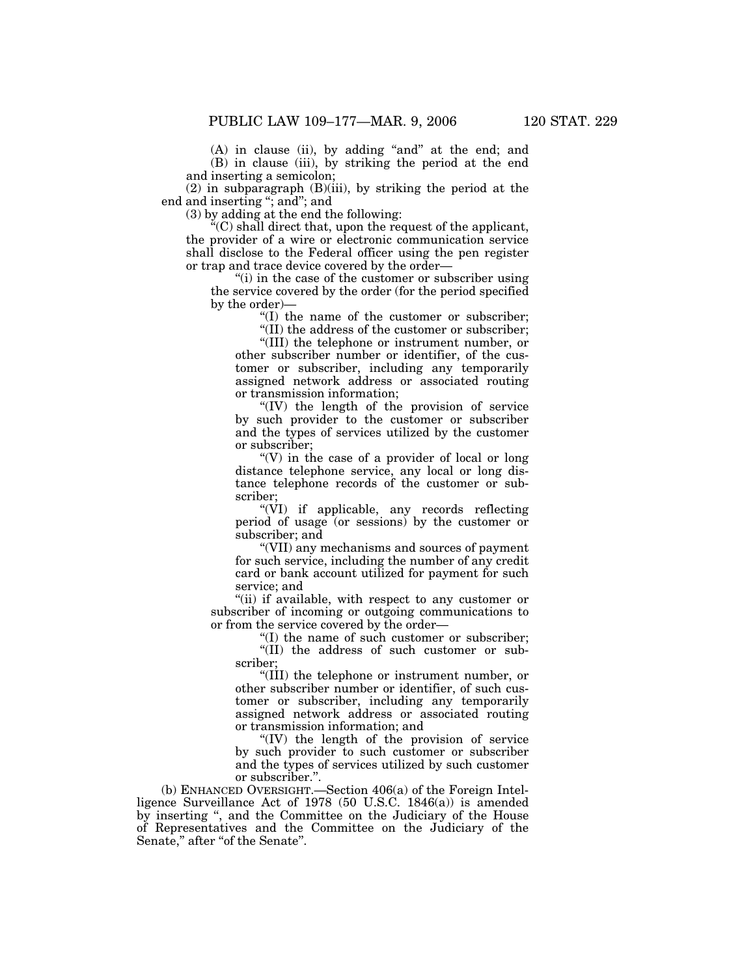(A) in clause (ii), by adding "and" at the end; and (B) in clause (iii), by striking the period at the end and inserting a semicolon;

(2) in subparagraph (B)(iii), by striking the period at the end and inserting "; and"; and

(3) by adding at the end the following:

 $C$ ) shall direct that, upon the request of the applicant, the provider of a wire or electronic communication service shall disclose to the Federal officer using the pen register or trap and trace device covered by the order—

''(i) in the case of the customer or subscriber using the service covered by the order (for the period specified by the order)—

''(I) the name of the customer or subscriber;

''(II) the address of the customer or subscriber;

''(III) the telephone or instrument number, or other subscriber number or identifier, of the customer or subscriber, including any temporarily assigned network address or associated routing or transmission information;

" $(IV)$  the length of the provision of service" by such provider to the customer or subscriber and the types of services utilized by the customer or subscriber;

"(V) in the case of a provider of local or long" distance telephone service, any local or long distance telephone records of the customer or subscriber;

"(VI) if applicable, any records reflecting period of usage (or sessions) by the customer or subscriber; and

''(VII) any mechanisms and sources of payment for such service, including the number of any credit card or bank account utilized for payment for such service; and

"(ii) if available, with respect to any customer or subscriber of incoming or outgoing communications to or from the service covered by the order—

''(I) the name of such customer or subscriber; ''(II) the address of such customer or subscriber;

''(III) the telephone or instrument number, or other subscriber number or identifier, of such customer or subscriber, including any temporarily assigned network address or associated routing or transmission information; and

" $(IV)$  the length of the provision of service" by such provider to such customer or subscriber and the types of services utilized by such customer or subscriber.''.

(b) ENHANCED OVERSIGHT.—Section 406(a) of the Foreign Intelligence Surveillance Act of 1978 (50 U.S.C. 1846(a)) is amended by inserting ", and the Committee on the Judiciary of the House of Representatives and the Committee on the Judiciary of the Senate," after "of the Senate".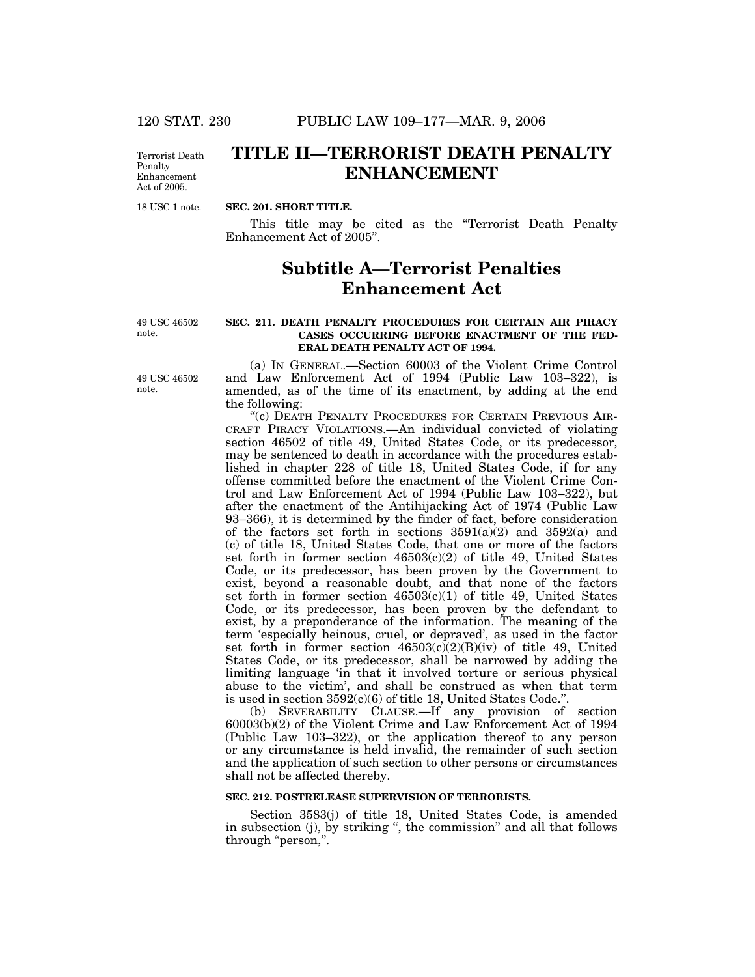Terrorist Death Penalty Enhancement Act of 2005.

# **TITLE II—TERRORIST DEATH PENALTY ENHANCEMENT**

18 USC 1 note.

# **SEC. 201. SHORT TITLE.**

This title may be cited as the "Terrorist Death Penalty Enhancement Act of 2005''.

# **Subtitle A—Terrorist Penalties Enhancement Act**

**SEC. 211. DEATH PENALTY PROCEDURES FOR CERTAIN AIR PIRACY**

**ERAL DEATH PENALTY ACT OF 1994.**

**CASES OCCURRING BEFORE ENACTMENT OF THE FED-**

49 USC 46502 note.

#### 49 USC 46502 note.

(a) IN GENERAL.—Section 60003 of the Violent Crime Control and Law Enforcement Act of 1994 (Public Law 103–322), is amended, as of the time of its enactment, by adding at the end the following:

''(c) DEATH PENALTY PROCEDURES FOR CERTAIN PREVIOUS AIR-CRAFT PIRACY VIOLATIONS.—An individual convicted of violating section 46502 of title 49, United States Code, or its predecessor, may be sentenced to death in accordance with the procedures established in chapter 228 of title 18, United States Code, if for any offense committed before the enactment of the Violent Crime Control and Law Enforcement Act of 1994 (Public Law 103–322), but after the enactment of the Antihijacking Act of 1974 (Public Law 93–366), it is determined by the finder of fact, before consideration of the factors set forth in sections  $3591(a)(2)$  and  $3592(a)$  and (c) of title 18, United States Code, that one or more of the factors set forth in former section  $46503(c)(2)$  of title 49, United States Code, or its predecessor, has been proven by the Government to exist, beyond a reasonable doubt, and that none of the factors set forth in former section 46503(c)(1) of title 49, United States Code, or its predecessor, has been proven by the defendant to exist, by a preponderance of the information. The meaning of the term 'especially heinous, cruel, or depraved', as used in the factor set forth in former section  $46503(c)(2)(B)(iv)$  of title 49, United States Code, or its predecessor, shall be narrowed by adding the limiting language 'in that it involved torture or serious physical abuse to the victim', and shall be construed as when that term is used in section 3592(c)(6) of title 18, United States Code.''.

(b) SEVERABILITY CLAUSE.—If any provision of section 60003(b)(2) of the Violent Crime and Law Enforcement Act of 1994 (Public Law 103–322), or the application thereof to any person or any circumstance is held invalid, the remainder of such section and the application of such section to other persons or circumstances shall not be affected thereby.

### **SEC. 212. POSTRELEASE SUPERVISION OF TERRORISTS.**

Section 3583(j) of title 18, United States Code, is amended in subsection (j), by striking ", the commission" and all that follows through "person,".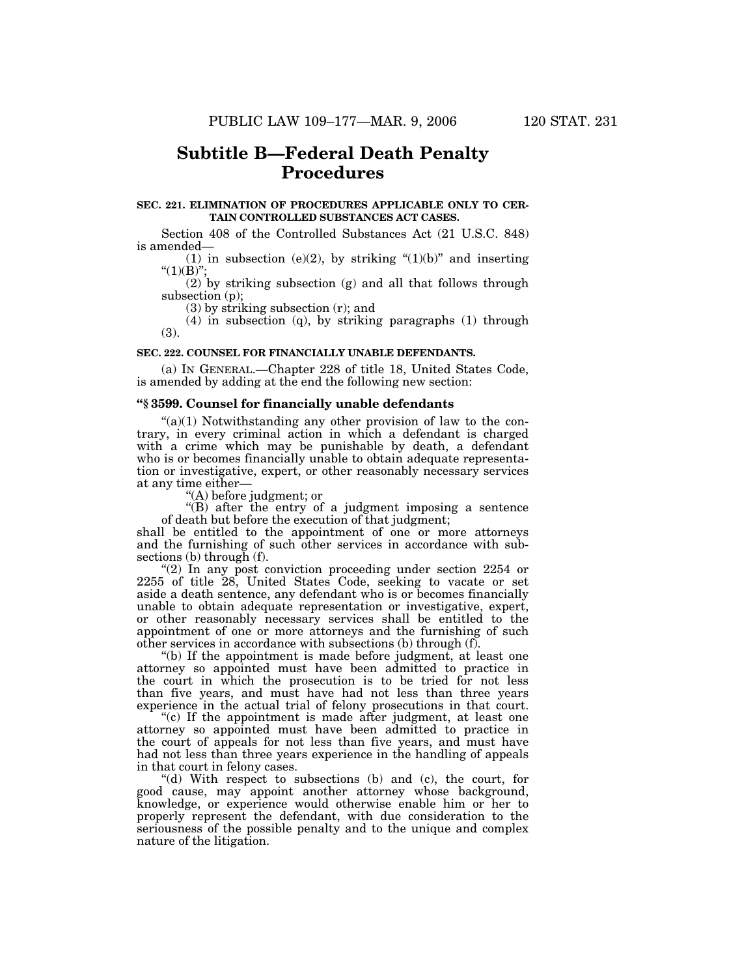# **Subtitle B—Federal Death Penalty Procedures**

# **SEC. 221. ELIMINATION OF PROCEDURES APPLICABLE ONLY TO CER-TAIN CONTROLLED SUBSTANCES ACT CASES.**

Section 408 of the Controlled Substances Act (21 U.S.C. 848) is amended—

(1) in subsection (e)(2), by striking " $(1)(b)$ " and inserting " $(1)(B)$ ";

(2) by striking subsection (g) and all that follows through subsection (p);

(3) by striking subsection (r); and

(4) in subsection (q), by striking paragraphs (1) through (3).

# **SEC. 222. COUNSEL FOR FINANCIALLY UNABLE DEFENDANTS.**

(a) IN GENERAL.—Chapter 228 of title 18, United States Code, is amended by adding at the end the following new section:

# **''§ 3599. Counsel for financially unable defendants**

" $(a)(1)$  Notwithstanding any other provision of law to the contrary, in every criminal action in which a defendant is charged with a crime which may be punishable by death, a defendant who is or becomes financially unable to obtain adequate representation or investigative, expert, or other reasonably necessary services at any time either—

''(A) before judgment; or

"(B) after the entry of a judgment imposing a sentence of death but before the execution of that judgment;

shall be entitled to the appointment of one or more attorneys and the furnishing of such other services in accordance with subsections (b) through (f).

"(2) In any post conviction proceeding under section 2254 or 2255 of title 28, United States Code, seeking to vacate or set aside a death sentence, any defendant who is or becomes financially unable to obtain adequate representation or investigative, expert, or other reasonably necessary services shall be entitled to the appointment of one or more attorneys and the furnishing of such other services in accordance with subsections (b) through (f).

"(b) If the appointment is made before judgment, at least one attorney so appointed must have been admitted to practice in the court in which the prosecution is to be tried for not less than five years, and must have had not less than three years experience in the actual trial of felony prosecutions in that court.

''(c) If the appointment is made after judgment, at least one attorney so appointed must have been admitted to practice in the court of appeals for not less than five years, and must have had not less than three years experience in the handling of appeals in that court in felony cases.

"(d) With respect to subsections (b) and (c), the court, for good cause, may appoint another attorney whose background, knowledge, or experience would otherwise enable him or her to properly represent the defendant, with due consideration to the seriousness of the possible penalty and to the unique and complex nature of the litigation.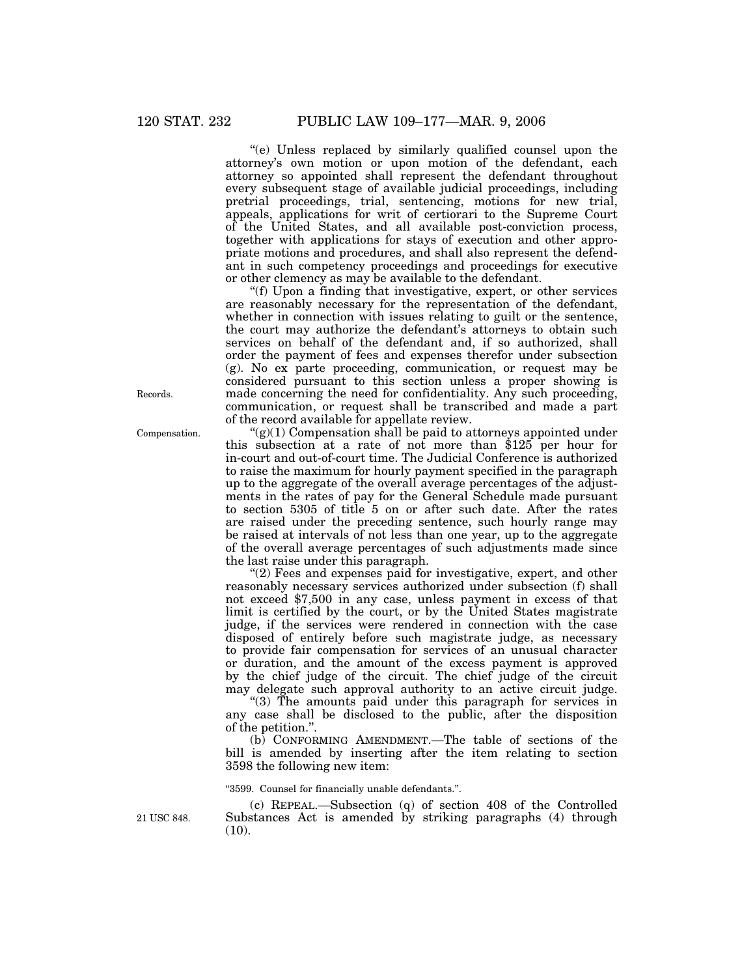''(e) Unless replaced by similarly qualified counsel upon the attorney's own motion or upon motion of the defendant, each attorney so appointed shall represent the defendant throughout every subsequent stage of available judicial proceedings, including pretrial proceedings, trial, sentencing, motions for new trial, appeals, applications for writ of certiorari to the Supreme Court of the United States, and all available post-conviction process, together with applications for stays of execution and other appropriate motions and procedures, and shall also represent the defendant in such competency proceedings and proceedings for executive or other clemency as may be available to the defendant.

''(f) Upon a finding that investigative, expert, or other services are reasonably necessary for the representation of the defendant, whether in connection with issues relating to guilt or the sentence, the court may authorize the defendant's attorneys to obtain such services on behalf of the defendant and, if so authorized, shall order the payment of fees and expenses therefor under subsection (g). No ex parte proceeding, communication, or request may be considered pursuant to this section unless a proper showing is made concerning the need for confidentiality. Any such proceeding, communication, or request shall be transcribed and made a part of the record available for appellate review.

 $\mathcal{L}(g)(1)$  Compensation shall be paid to attorneys appointed under this subsection at a rate of not more than \$125 per hour for in-court and out-of-court time. The Judicial Conference is authorized to raise the maximum for hourly payment specified in the paragraph up to the aggregate of the overall average percentages of the adjustments in the rates of pay for the General Schedule made pursuant to section 5305 of title 5 on or after such date. After the rates are raised under the preceding sentence, such hourly range may be raised at intervals of not less than one year, up to the aggregate of the overall average percentages of such adjustments made since the last raise under this paragraph.

 $(2)$  Fees and expenses paid for investigative, expert, and other reasonably necessary services authorized under subsection (f) shall not exceed \$7,500 in any case, unless payment in excess of that limit is certified by the court, or by the United States magistrate judge, if the services were rendered in connection with the case disposed of entirely before such magistrate judge, as necessary to provide fair compensation for services of an unusual character or duration, and the amount of the excess payment is approved by the chief judge of the circuit. The chief judge of the circuit may delegate such approval authority to an active circuit judge.

''(3) The amounts paid under this paragraph for services in any case shall be disclosed to the public, after the disposition of the petition.''.

(b) CONFORMING AMENDMENT.—The table of sections of the bill is amended by inserting after the item relating to section 3598 the following new item:

''3599. Counsel for financially unable defendants.''.

(c) REPEAL.—Subsection (q) of section 408 of the Controlled Substances Act is amended by striking paragraphs (4) through  $(10).$ 

Records.

Compensation.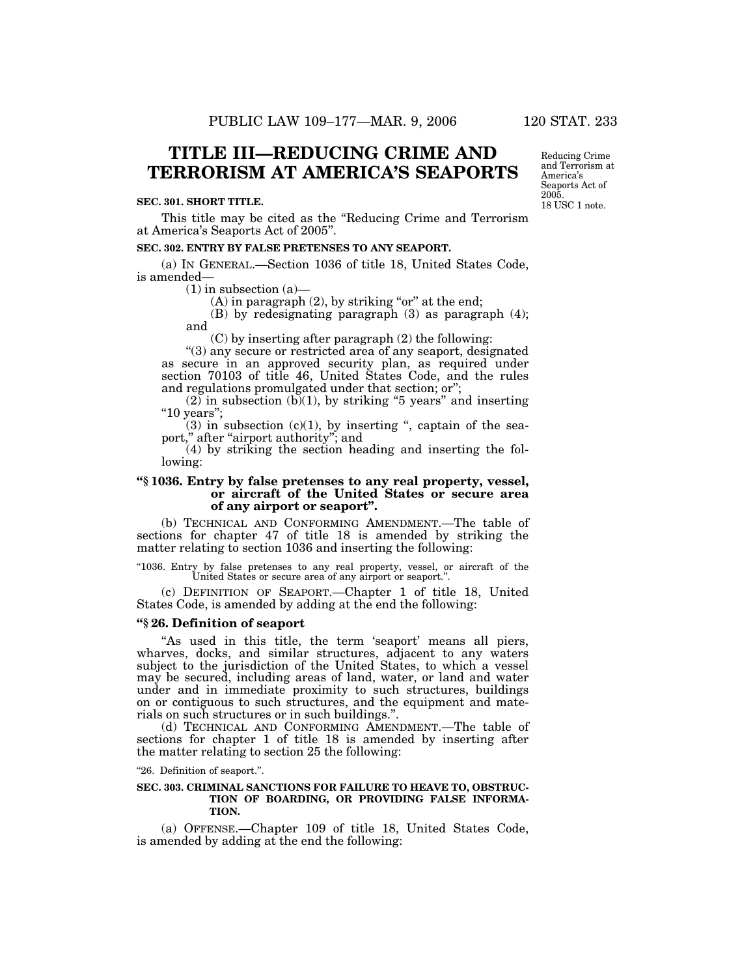# **TITLE III—REDUCING CRIME AND TERRORISM AT AMERICA'S SEAPORTS**

## **SEC. 301. SHORT TITLE.**

This title may be cited as the ''Reducing Crime and Terrorism at America's Seaports Act of 2005''.

### **SEC. 302. ENTRY BY FALSE PRETENSES TO ANY SEAPORT.**

(a) IN GENERAL.—Section 1036 of title 18, United States Code, is amended—

 $(1)$  in subsection  $(a)$ —

 $(A)$  in paragraph  $(2)$ , by striking "or" at the end;

(B) by redesignating paragraph (3) as paragraph (4); and

(C) by inserting after paragraph (2) the following:

''(3) any secure or restricted area of any seaport, designated as secure in an approved security plan, as required under section 70103 of title 46, United States Code, and the rules and regulations promulgated under that section; or'';

 $(2)$  in subsection  $(b)(1)$ , by striking "5 years" and inserting "10 years";

 $(3)$  in subsection  $(c)(1)$ , by inserting ", captain of the seaport," after "airport authority"; and

(4) by striking the section heading and inserting the following:

### **''§ 1036. Entry by false pretenses to any real property, vessel, or aircraft of the United States or secure area of any airport or seaport''.**

(b) TECHNICAL AND CONFORMING AMENDMENT.—The table of sections for chapter 47 of title 18 is amended by striking the matter relating to section 1036 and inserting the following:

"1036. Entry by false pretenses to any real property, vessel, or aircraft of the United States or secure area of any airport or seaport.''.

(c) DEFINITION OF SEAPORT.—Chapter 1 of title 18, United States Code, is amended by adding at the end the following:

# **''§ 26. Definition of seaport**

"As used in this title, the term 'seaport' means all piers, wharves, docks, and similar structures, adjacent to any waters subject to the jurisdiction of the United States, to which a vessel may be secured, including areas of land, water, or land and water under and in immediate proximity to such structures, buildings on or contiguous to such structures, and the equipment and materials on such structures or in such buildings.''.

(d) TECHNICAL AND CONFORMING AMENDMENT.—The table of sections for chapter 1 of title 18 is amended by inserting after the matter relating to section 25 the following:

''26. Definition of seaport.''.

### **SEC. 303. CRIMINAL SANCTIONS FOR FAILURE TO HEAVE TO, OBSTRUC-TION OF BOARDING, OR PROVIDING FALSE INFORMA-TION.**

(a) OFFENSE.—Chapter 109 of title 18, United States Code, is amended by adding at the end the following:

18 USC 1 note. Reducing Crime and Terrorism at America's Seaports Act of 2005.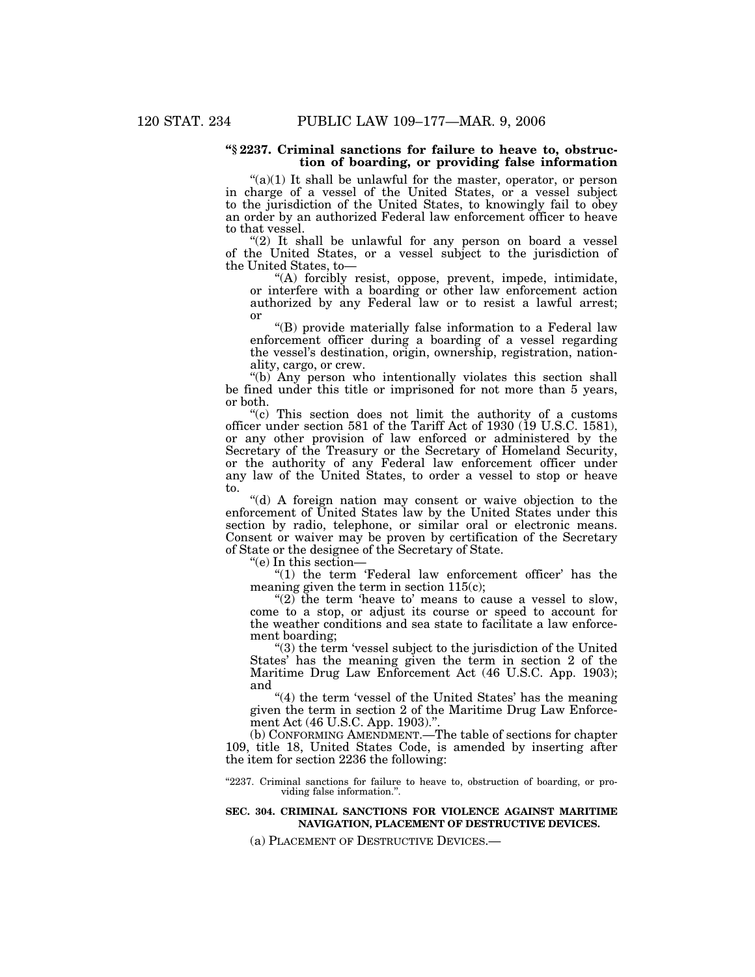# **''§ 2237. Criminal sanctions for failure to heave to, obstruction of boarding, or providing false information**

" $(a)(1)$  It shall be unlawful for the master, operator, or person in charge of a vessel of the United States, or a vessel subject to the jurisdiction of the United States, to knowingly fail to obey an order by an authorized Federal law enforcement officer to heave to that vessel.

''(2) It shall be unlawful for any person on board a vessel of the United States, or a vessel subject to the jurisdiction of the United States, to—

''(A) forcibly resist, oppose, prevent, impede, intimidate, or interfere with a boarding or other law enforcement action authorized by any Federal law or to resist a lawful arrest; or

''(B) provide materially false information to a Federal law enforcement officer during a boarding of a vessel regarding the vessel's destination, origin, ownership, registration, nationality, cargo, or crew.

"(b) Any person who intentionally violates this section shall be fined under this title or imprisoned for not more than 5 years, or both.

''(c) This section does not limit the authority of a customs officer under section 581 of the Tariff Act of 1930 (19 U.S.C. 1581), or any other provision of law enforced or administered by the Secretary of the Treasury or the Secretary of Homeland Security, or the authority of any Federal law enforcement officer under any law of the United States, to order a vessel to stop or heave to.

''(d) A foreign nation may consent or waive objection to the enforcement of United States law by the United States under this section by radio, telephone, or similar oral or electronic means. Consent or waiver may be proven by certification of the Secretary of State or the designee of the Secretary of State.

''(e) In this section—

" $(1)$  the term 'Federal law enforcement officer' has the meaning given the term in section 115(c);

" $(2)$  the term 'heave to' means to cause a vessel to slow, come to a stop, or adjust its course or speed to account for the weather conditions and sea state to facilitate a law enforcement boarding;

''(3) the term 'vessel subject to the jurisdiction of the United States' has the meaning given the term in section 2 of the Maritime Drug Law Enforcement Act (46 U.S.C. App. 1903); and

''(4) the term 'vessel of the United States' has the meaning given the term in section 2 of the Maritime Drug Law Enforcement Act (46 U.S.C. App. 1903).'

(b) CONFORMING AMENDMENT.—The table of sections for chapter 109, title 18, United States Code, is amended by inserting after the item for section 2236 the following:

''2237. Criminal sanctions for failure to heave to, obstruction of boarding, or providing false information."

### **SEC. 304. CRIMINAL SANCTIONS FOR VIOLENCE AGAINST MARITIME NAVIGATION, PLACEMENT OF DESTRUCTIVE DEVICES.**

(a) PLACEMENT OF DESTRUCTIVE DEVICES.—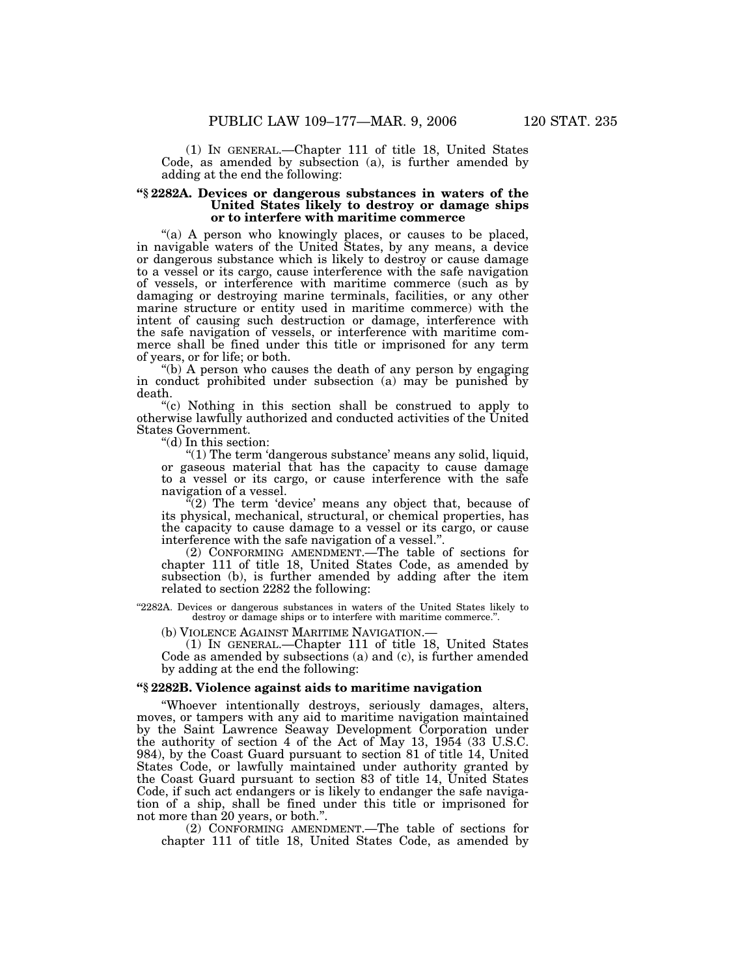(1) IN GENERAL.—Chapter 111 of title 18, United States Code, as amended by subsection (a), is further amended by adding at the end the following:

# **''§ 2282A. Devices or dangerous substances in waters of the United States likely to destroy or damage ships or to interfere with maritime commerce**

"(a) A person who knowingly places, or causes to be placed, in navigable waters of the United States, by any means, a device or dangerous substance which is likely to destroy or cause damage to a vessel or its cargo, cause interference with the safe navigation of vessels, or interference with maritime commerce (such as by damaging or destroying marine terminals, facilities, or any other marine structure or entity used in maritime commerce) with the intent of causing such destruction or damage, interference with the safe navigation of vessels, or interference with maritime commerce shall be fined under this title or imprisoned for any term of years, or for life; or both.

"(b) A person who causes the death of any person by engaging in conduct prohibited under subsection (a) may be punished by death.

''(c) Nothing in this section shall be construed to apply to otherwise lawfully authorized and conducted activities of the United States Government.

''(d) In this section:

"(1) The term 'dangerous substance' means any solid, liquid, or gaseous material that has the capacity to cause damage to a vessel or its cargo, or cause interference with the safe navigation of a vessel.

 $(2)$  The term 'device' means any object that, because of its physical, mechanical, structural, or chemical properties, has the capacity to cause damage to a vessel or its cargo, or cause interference with the safe navigation of a vessel.''.

(2) CONFORMING AMENDMENT.—The table of sections for chapter 111 of title 18, United States Code, as amended by subsection (b), is further amended by adding after the item related to section 2282 the following:

''2282A. Devices or dangerous substances in waters of the United States likely to destroy or damage ships or to interfere with maritime commerce.''.

(b) VIOLENCE AGAINST MARITIME NAVIGATION.— (1) IN GENERAL.—Chapter 111 of title 18, United States Code as amended by subsections (a) and (c), is further amended by adding at the end the following:

### **''§ 2282B. Violence against aids to maritime navigation**

''Whoever intentionally destroys, seriously damages, alters, moves, or tampers with any aid to maritime navigation maintained by the Saint Lawrence Seaway Development Corporation under the authority of section 4 of the Act of May 13, 1954 (33 U.S.C. 984), by the Coast Guard pursuant to section 81 of title 14, United States Code, or lawfully maintained under authority granted by the Coast Guard pursuant to section 83 of title 14, United States Code, if such act endangers or is likely to endanger the safe navigation of a ship, shall be fined under this title or imprisoned for not more than 20 years, or both.''.

(2) CONFORMING AMENDMENT.—The table of sections for chapter 111 of title 18, United States Code, as amended by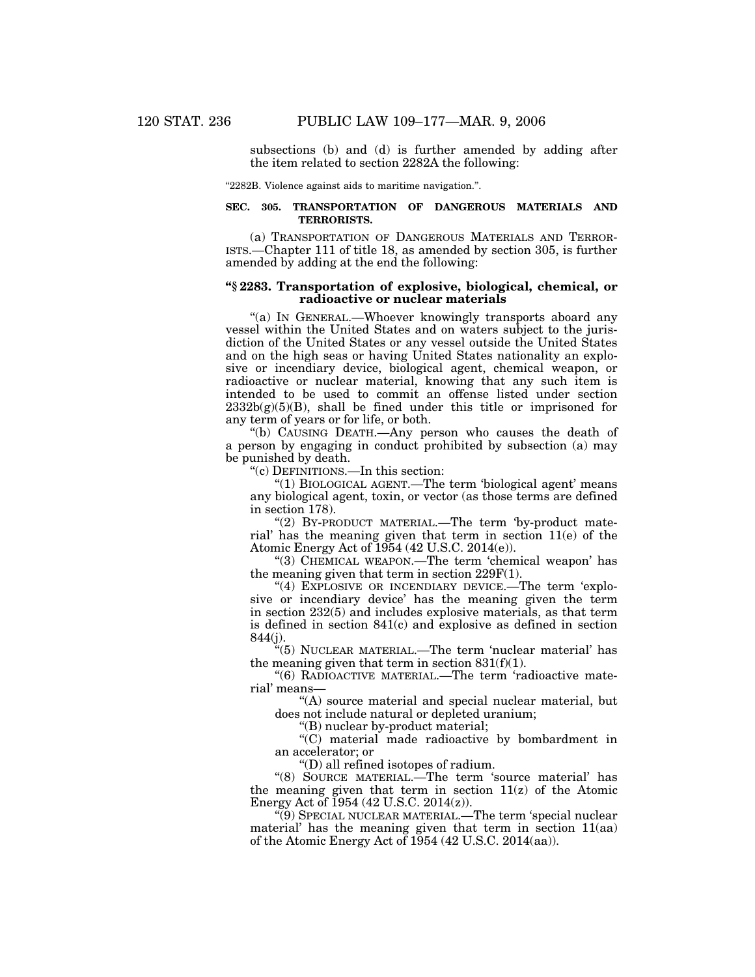subsections (b) and (d) is further amended by adding after the item related to section 2282A the following:

''2282B. Violence against aids to maritime navigation.''.

# **SEC. 305. TRANSPORTATION OF DANGEROUS MATERIALS AND TERRORISTS.**

(a) TRANSPORTATION OF DANGEROUS MATERIALS AND TERROR-ISTS.—Chapter 111 of title 18, as amended by section 305, is further amended by adding at the end the following:

# **''§ 2283. Transportation of explosive, biological, chemical, or radioactive or nuclear materials**

"(a) IN GENERAL.—Whoever knowingly transports aboard any vessel within the United States and on waters subject to the jurisdiction of the United States or any vessel outside the United States and on the high seas or having United States nationality an explosive or incendiary device, biological agent, chemical weapon, or radioactive or nuclear material, knowing that any such item is intended to be used to commit an offense listed under section  $2332b(g)(5)(B)$ , shall be fined under this title or imprisoned for any term of years or for life, or both.

''(b) CAUSING DEATH.—Any person who causes the death of a person by engaging in conduct prohibited by subsection (a) may be punished by death.

''(c) DEFINITIONS.—In this section:

"(1) BIOLOGICAL AGENT.—The term 'biological agent' means any biological agent, toxin, or vector (as those terms are defined in section 178).

"(2) BY-PRODUCT MATERIAL.—The term 'by-product material' has the meaning given that term in section 11(e) of the Atomic Energy Act of 1954 (42 U.S.C. 2014(e)).

"(3) CHEMICAL WEAPON.—The term 'chemical weapon' has the meaning given that term in section 229F(1).

"(4) EXPLOSIVE OR INCENDIARY DEVICE.—The term 'explosive or incendiary device' has the meaning given the term in section 232(5) and includes explosive materials, as that term is defined in section 841(c) and explosive as defined in section 844(j).

(5) NUCLEAR MATERIAL.—The term 'nuclear material' has the meaning given that term in section  $831(f)(1)$ .

"(6) RADIOACTIVE MATERIAL.—The term 'radioactive material' means—

"(A) source material and special nuclear material, but does not include natural or depleted uranium;

''(B) nuclear by-product material;

''(C) material made radioactive by bombardment in an accelerator; or

''(D) all refined isotopes of radium.

"(8) SOURCE MATERIAL.—The term 'source material' has the meaning given that term in section  $11(z)$  of the Atomic Energy Act of 1954 (42 U.S.C. 2014(z)).

''(9) SPECIAL NUCLEAR MATERIAL.—The term 'special nuclear material' has the meaning given that term in section 11(aa) of the Atomic Energy Act of 1954 (42 U.S.C. 2014(aa)).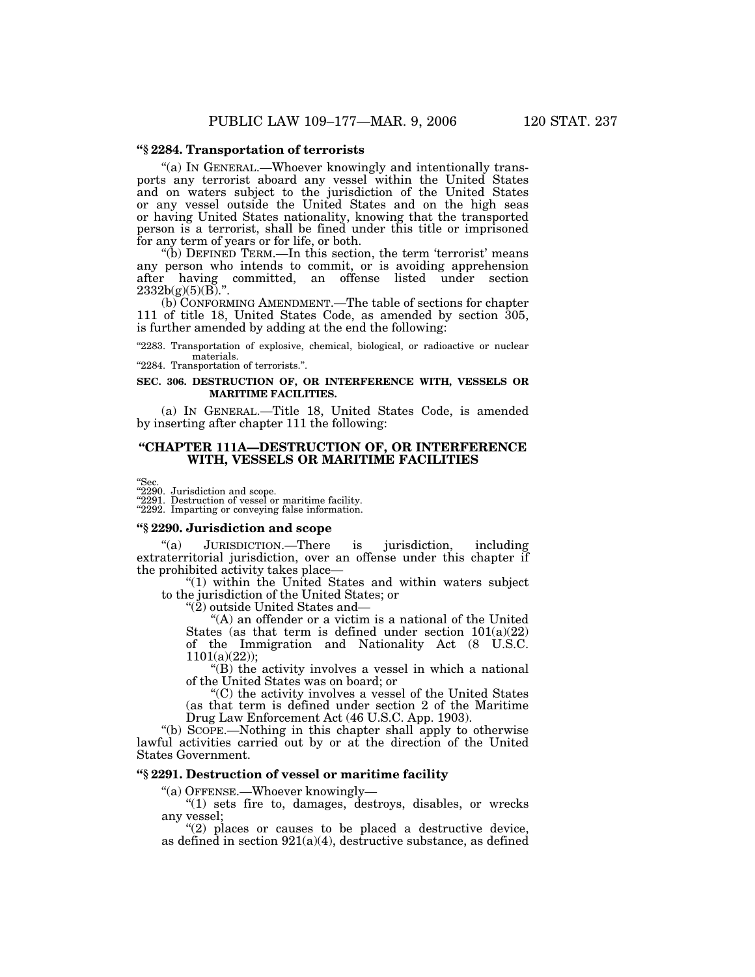''(a) IN GENERAL.—Whoever knowingly and intentionally transports any terrorist aboard any vessel within the United States and on waters subject to the jurisdiction of the United States or any vessel outside the United States and on the high seas or having United States nationality, knowing that the transported person is a terrorist, shall be fined under this title or imprisoned for any term of years or for life, or both.

''(b) DEFINED TERM.—In this section, the term 'terrorist' means any person who intends to commit, or is avoiding apprehension after having committed, an offense listed under section  $2332b(g)(5)(B).$ ".

(b) CONFORMING AMENDMENT.—The table of sections for chapter 111 of title 18, United States Code, as amended by section 305, is further amended by adding at the end the following:

"2283. Transportation of explosive, chemical, biological, or radioactive or nuclear materials. "2284. Transportation of terrorists.".

# **SEC. 306. DESTRUCTION OF, OR INTERFERENCE WITH, VESSELS OR MARITIME FACILITIES.**

(a) IN GENERAL.—Title 18, United States Code, is amended by inserting after chapter 111 the following:

# **''CHAPTER 111A—DESTRUCTION OF, OR INTERFERENCE WITH, VESSELS OR MARITIME FACILITIES**

''Sec.

"2290. Jurisdiction and scope.<br>"2291. Destruction of vessel or maritime facility.

''2292. Imparting or conveying false information.

# **''§ 2290. Jurisdiction and scope**

''(a) JURISDICTION.—There is jurisdiction, including extraterritorial jurisdiction, over an offense under this chapter if the prohibited activity takes place—

"(1) within the United States and within waters subject to the jurisdiction of the United States; or

''(2) outside United States and—

''(A) an offender or a victim is a national of the United States (as that term is defined under section 101(a)(22) of the Immigration and Nationality Act (8 U.S.C. 1101(a)(22));

''(B) the activity involves a vessel in which a national of the United States was on board; or

''(C) the activity involves a vessel of the United States (as that term is defined under section 2 of the Maritime Drug Law Enforcement Act (46 U.S.C. App. 1903).

''(b) SCOPE.—Nothing in this chapter shall apply to otherwise lawful activities carried out by or at the direction of the United States Government.

# **''§ 2291. Destruction of vessel or maritime facility**

''(a) OFFENSE.—Whoever knowingly—

 $''(1)$  sets fire to, damages, destroys, disables, or wrecks any vessel;

" $(2)$  places or causes to be placed a destructive device, as defined in section 921(a)(4), destructive substance, as defined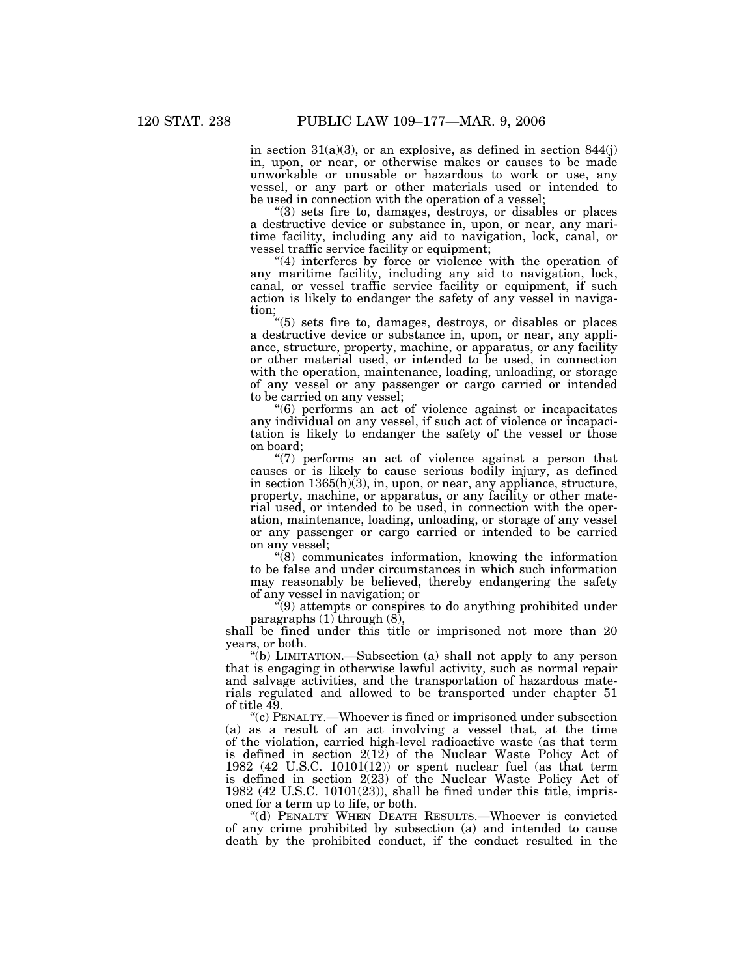in section 31(a)(3), or an explosive, as defined in section  $844(j)$ in, upon, or near, or otherwise makes or causes to be made unworkable or unusable or hazardous to work or use, any vessel, or any part or other materials used or intended to be used in connection with the operation of a vessel;

''(3) sets fire to, damages, destroys, or disables or places a destructive device or substance in, upon, or near, any maritime facility, including any aid to navigation, lock, canal, or vessel traffic service facility or equipment;

"(4) interferes by force or violence with the operation of any maritime facility, including any aid to navigation, lock, canal, or vessel traffic service facility or equipment, if such action is likely to endanger the safety of any vessel in navigation;

''(5) sets fire to, damages, destroys, or disables or places a destructive device or substance in, upon, or near, any appliance, structure, property, machine, or apparatus, or any facility or other material used, or intended to be used, in connection with the operation, maintenance, loading, unloading, or storage of any vessel or any passenger or cargo carried or intended to be carried on any vessel;

''(6) performs an act of violence against or incapacitates any individual on any vessel, if such act of violence or incapacitation is likely to endanger the safety of the vessel or those on board;

''(7) performs an act of violence against a person that causes or is likely to cause serious bodily injury, as defined in section 1365(h)(3), in, upon, or near, any appliance, structure, property, machine, or apparatus, or any facility or other material used, or intended to be used, in connection with the operation, maintenance, loading, unloading, or storage of any vessel or any passenger or cargo carried or intended to be carried on any vessel;

''(8) communicates information, knowing the information to be false and under circumstances in which such information may reasonably be believed, thereby endangering the safety of any vessel in navigation; or

''(9) attempts or conspires to do anything prohibited under paragraphs  $(1)$  through  $(8)$ ,

shall be fined under this title or imprisoned not more than 20 years, or both.

''(b) LIMITATION.—Subsection (a) shall not apply to any person that is engaging in otherwise lawful activity, such as normal repair and salvage activities, and the transportation of hazardous materials regulated and allowed to be transported under chapter 51 of title 49.

''(c) PENALTY.—Whoever is fined or imprisoned under subsection (a) as a result of an act involving a vessel that, at the time of the violation, carried high-level radioactive waste (as that term is defined in section 2(12) of the Nuclear Waste Policy Act of 1982 (42 U.S.C. 10101(12)) or spent nuclear fuel (as that term is defined in section 2(23) of the Nuclear Waste Policy Act of 1982 (42 U.S.C. 10101(23)), shall be fined under this title, imprisoned for a term up to life, or both.

"(d) PENALTY WHEN DEATH RESULTS.—Whoever is convicted of any crime prohibited by subsection (a) and intended to cause death by the prohibited conduct, if the conduct resulted in the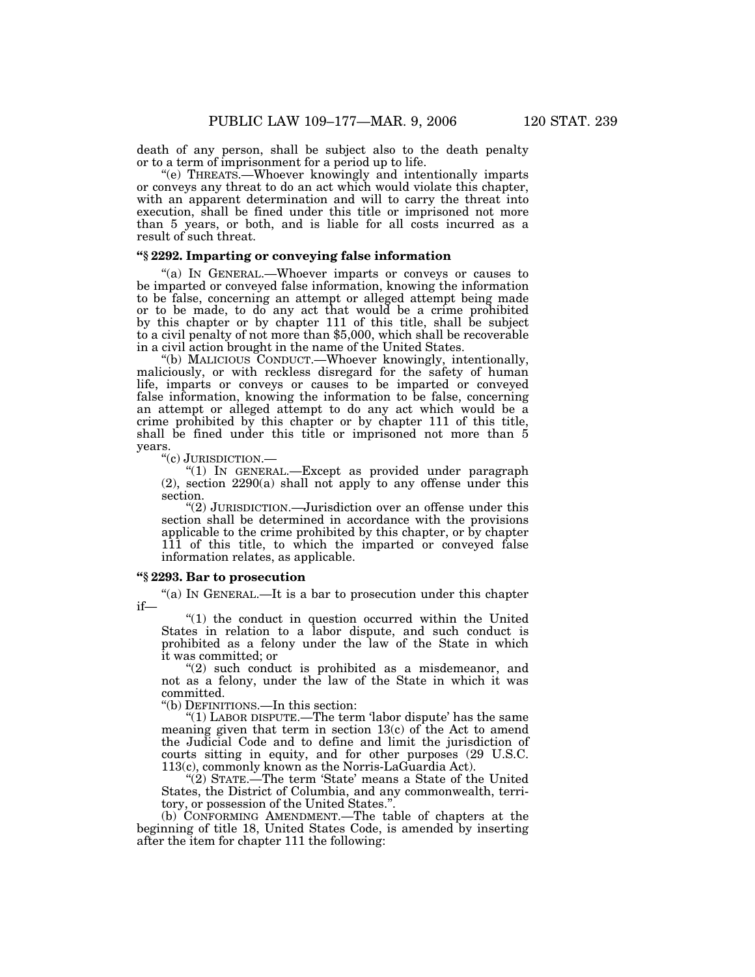death of any person, shall be subject also to the death penalty or to a term of imprisonment for a period up to life.

''(e) THREATS.—Whoever knowingly and intentionally imparts or conveys any threat to do an act which would violate this chapter, with an apparent determination and will to carry the threat into execution, shall be fined under this title or imprisoned not more than 5 years, or both, and is liable for all costs incurred as a result of such threat.

# **''§ 2292. Imparting or conveying false information**

"(a) IN GENERAL.—Whoever imparts or conveys or causes to be imparted or conveyed false information, knowing the information to be false, concerning an attempt or alleged attempt being made or to be made, to do any act that would be a crime prohibited by this chapter or by chapter 111 of this title, shall be subject to a civil penalty of not more than \$5,000, which shall be recoverable in a civil action brought in the name of the United States.

''(b) MALICIOUS CONDUCT.—Whoever knowingly, intentionally, maliciously, or with reckless disregard for the safety of human life, imparts or conveys or causes to be imparted or conveyed false information, knowing the information to be false, concerning an attempt or alleged attempt to do any act which would be a crime prohibited by this chapter or by chapter 111 of this title, shall be fined under this title or imprisoned not more than 5 years.

''(c) JURISDICTION.—

''(1) IN GENERAL.—Except as provided under paragraph  $(2)$ , section  $2290(a)$  shall not apply to any offense under this section.

''(2) JURISDICTION.—Jurisdiction over an offense under this section shall be determined in accordance with the provisions applicable to the crime prohibited by this chapter, or by chapter 111 of this title, to which the imparted or conveyed false information relates, as applicable.

# **''§ 2293. Bar to prosecution**

''(a) IN GENERAL.—It is a bar to prosecution under this chapter if—

''(1) the conduct in question occurred within the United States in relation to a labor dispute, and such conduct is prohibited as a felony under the law of the State in which it was committed; or

"(2) such conduct is prohibited as a misdemeanor, and not as a felony, under the law of the State in which it was committed.

''(b) DEFINITIONS.—In this section:

''(1) LABOR DISPUTE.—The term 'labor dispute' has the same meaning given that term in section  $13(c)$  of the Act to amend the Judicial Code and to define and limit the jurisdiction of courts sitting in equity, and for other purposes (29 U.S.C. 113(c), commonly known as the Norris-LaGuardia Act).

"(2) STATE.—The term 'State' means a State of the United States, the District of Columbia, and any commonwealth, territory, or possession of the United States.''.

(b) CONFORMING AMENDMENT.—The table of chapters at the beginning of title 18, United States Code, is amended by inserting after the item for chapter 111 the following: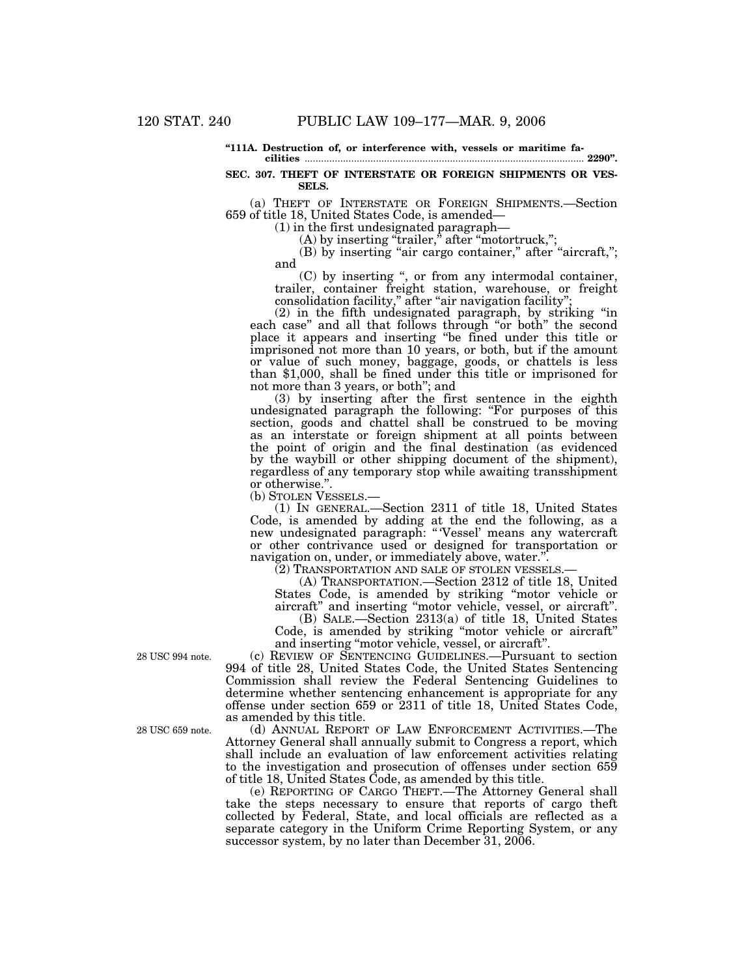#### **''111A. Destruction of, or interference with, vessels or maritime facilities** ...................................................................................................... **2290''.**

### **SEC. 307. THEFT OF INTERSTATE OR FOREIGN SHIPMENTS OR VES-SELS.**

(a) THEFT OF INTERSTATE OR FOREIGN SHIPMENTS.—Section 659 of title 18, United States Code, is amended—

(1) in the first undesignated paragraph—

 $(A)$  by inserting "trailer," after "motortruck,";

(B) by inserting "air cargo container," after "aircraft,"; and

(C) by inserting '', or from any intermodal container, trailer, container freight station, warehouse, or freight consolidation facility," after "air navigation facility";

(2) in the fifth undesignated paragraph, by striking ''in each case" and all that follows through "or both" the second place it appears and inserting ''be fined under this title or imprisoned not more than 10 years, or both, but if the amount or value of such money, baggage, goods, or chattels is less than \$1,000, shall be fined under this title or imprisoned for not more than 3 years, or both''; and

(3) by inserting after the first sentence in the eighth undesignated paragraph the following: ''For purposes of this section, goods and chattel shall be construed to be moving as an interstate or foreign shipment at all points between the point of origin and the final destination (as evidenced by the waybill or other shipping document of the shipment), regardless of any temporary stop while awaiting transshipment or otherwise.".<br>(b) STOLEN VESSELS.—

(1) IN GENERAL.—Section  $2311$  of title 18, United States Code, is amended by adding at the end the following, as a new undesignated paragraph: '' 'Vessel' means any watercraft or other contrivance used or designed for transportation or navigation on, under, or immediately above, water.".

(2) TRANSPORTATION AND SALE OF STOLEN VESSELS.—

(A) TRANSPORTATION.—Section 2312 of title 18, United States Code, is amended by striking ''motor vehicle or aircraft'' and inserting ''motor vehicle, vessel, or aircraft''.

(B) SALE.—Section 2313(a) of title 18, United States Code, is amended by striking ''motor vehicle or aircraft'' and inserting ''motor vehicle, vessel, or aircraft''.

(c) REVIEW OF SENTENCING GUIDELINES.—Pursuant to section 994 of title 28, United States Code, the United States Sentencing Commission shall review the Federal Sentencing Guidelines to determine whether sentencing enhancement is appropriate for any offense under section 659 or 2311 of title 18, United States Code, as amended by this title.

(d) ANNUAL REPORT OF LAW ENFORCEMENT ACTIVITIES.—The Attorney General shall annually submit to Congress a report, which shall include an evaluation of law enforcement activities relating to the investigation and prosecution of offenses under section 659 of title 18, United States Code, as amended by this title.

(e) REPORTING OF CARGO THEFT.—The Attorney General shall take the steps necessary to ensure that reports of cargo theft collected by Federal, State, and local officials are reflected as a separate category in the Uniform Crime Reporting System, or any successor system, by no later than December 31, 2006.

28 USC 994 note.

28 USC 659 note.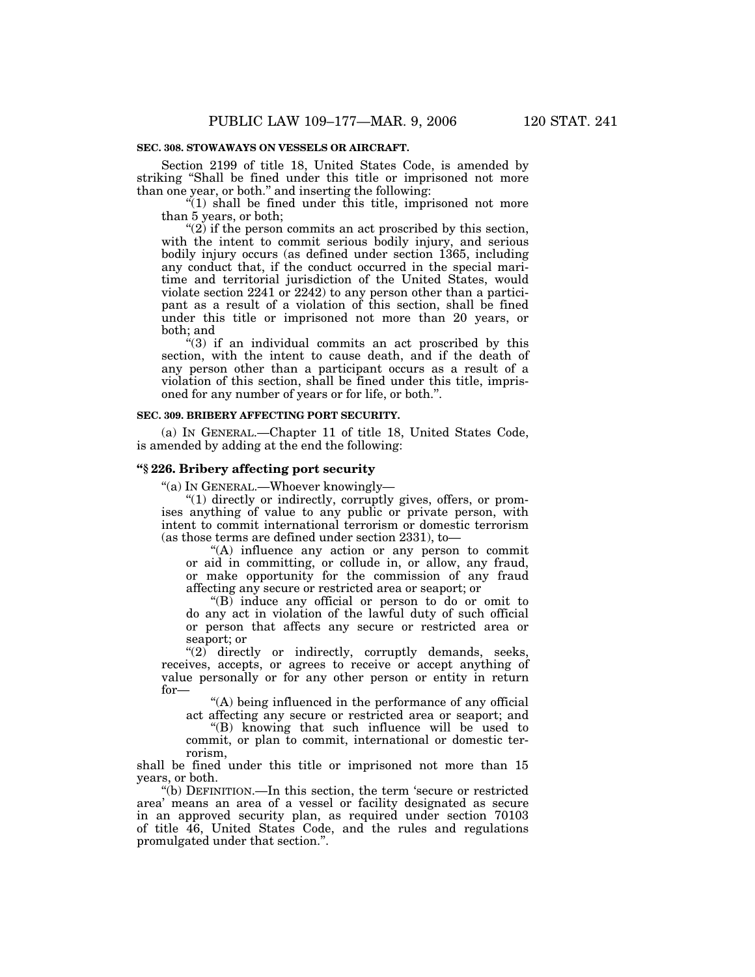Section 2199 of title 18, United States Code, is amended by striking ''Shall be fined under this title or imprisoned not more than one year, or both.'' and inserting the following:

"(1) shall be fined under this title, imprisoned not more than 5 years, or both;

" $(2)$  if the person commits an act proscribed by this section, with the intent to commit serious bodily injury, and serious bodily injury occurs (as defined under section 1365, including any conduct that, if the conduct occurred in the special maritime and territorial jurisdiction of the United States, would violate section 2241 or 2242) to any person other than a participant as a result of a violation of this section, shall be fined under this title or imprisoned not more than 20 years, or both; and

''(3) if an individual commits an act proscribed by this section, with the intent to cause death, and if the death of any person other than a participant occurs as a result of a violation of this section, shall be fined under this title, imprisoned for any number of years or for life, or both.''.

### **SEC. 309. BRIBERY AFFECTING PORT SECURITY.**

(a) IN GENERAL.—Chapter 11 of title 18, United States Code, is amended by adding at the end the following:

## **''§ 226. Bribery affecting port security**

''(a) IN GENERAL.—Whoever knowingly—

"(1) directly or indirectly, corruptly gives, offers, or promises anything of value to any public or private person, with intent to commit international terrorism or domestic terrorism (as those terms are defined under section 2331), to—

"(A) influence any action or any person to commit or aid in committing, or collude in, or allow, any fraud, or make opportunity for the commission of any fraud affecting any secure or restricted area or seaport; or

''(B) induce any official or person to do or omit to do any act in violation of the lawful duty of such official or person that affects any secure or restricted area or seaport; or

 $''(2)$  directly or indirectly, corruptly demands, seeks, receives, accepts, or agrees to receive or accept anything of value personally or for any other person or entity in return for—

''(A) being influenced in the performance of any official act affecting any secure or restricted area or seaport; and

''(B) knowing that such influence will be used to

commit, or plan to commit, international or domestic terrorism,

shall be fined under this title or imprisoned not more than 15 years, or both.

''(b) DEFINITION.—In this section, the term 'secure or restricted area' means an area of a vessel or facility designated as secure in an approved security plan, as required under section 70103 of title 46, United States Code, and the rules and regulations promulgated under that section.''.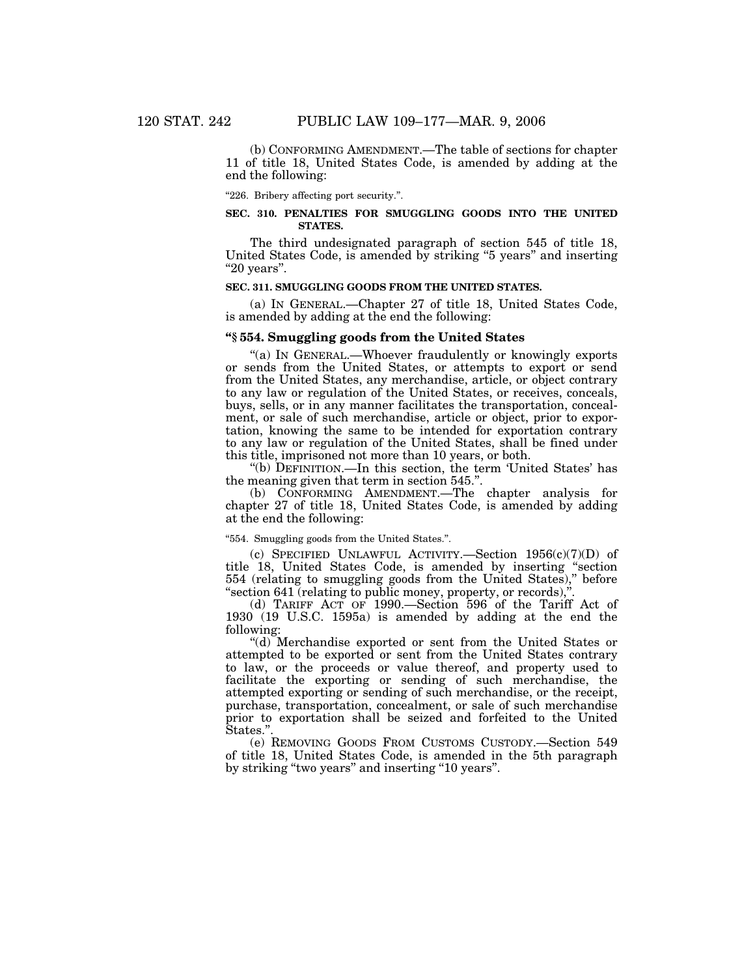(b) CONFORMING AMENDMENT.—The table of sections for chapter 11 of title 18, United States Code, is amended by adding at the end the following:

''226. Bribery affecting port security.''.

### **SEC. 310. PENALTIES FOR SMUGGLING GOODS INTO THE UNITED STATES.**

The third undesignated paragraph of section 545 of title 18, United States Code, is amended by striking ''5 years'' and inserting "20 years".

### **SEC. 311. SMUGGLING GOODS FROM THE UNITED STATES.**

(a) IN GENERAL.—Chapter 27 of title 18, United States Code, is amended by adding at the end the following:

### **''§ 554. Smuggling goods from the United States**

''(a) IN GENERAL.—Whoever fraudulently or knowingly exports or sends from the United States, or attempts to export or send from the United States, any merchandise, article, or object contrary to any law or regulation of the United States, or receives, conceals, buys, sells, or in any manner facilitates the transportation, concealment, or sale of such merchandise, article or object, prior to exportation, knowing the same to be intended for exportation contrary to any law or regulation of the United States, shall be fined under this title, imprisoned not more than 10 years, or both.

''(b) DEFINITION.—In this section, the term 'United States' has the meaning given that term in section 545.''.

(b) CONFORMING AMENDMENT.—The chapter analysis for chapter 27 of title 18, United States Code, is amended by adding at the end the following:

### ''554. Smuggling goods from the United States.''.

(c) SPECIFIED UNLAWFUL ACTIVITY.—Section  $1956(c)(7)(D)$  of title 18, United States Code, is amended by inserting ''section 554 (relating to smuggling goods from the United States),'' before ''section 641 (relating to public money, property, or records),''.

(d) TARIFF ACT OF 1990.—Section 596 of the Tariff Act of 1930 (19 U.S.C. 1595a) is amended by adding at the end the following:

''(d) Merchandise exported or sent from the United States or attempted to be exported or sent from the United States contrary to law, or the proceeds or value thereof, and property used to facilitate the exporting or sending of such merchandise, the attempted exporting or sending of such merchandise, or the receipt, purchase, transportation, concealment, or sale of such merchandise prior to exportation shall be seized and forfeited to the United States."

(e) REMOVING GOODS FROM CUSTOMS CUSTODY.—Section 549 of title 18, United States Code, is amended in the 5th paragraph by striking "two years" and inserting "10 years".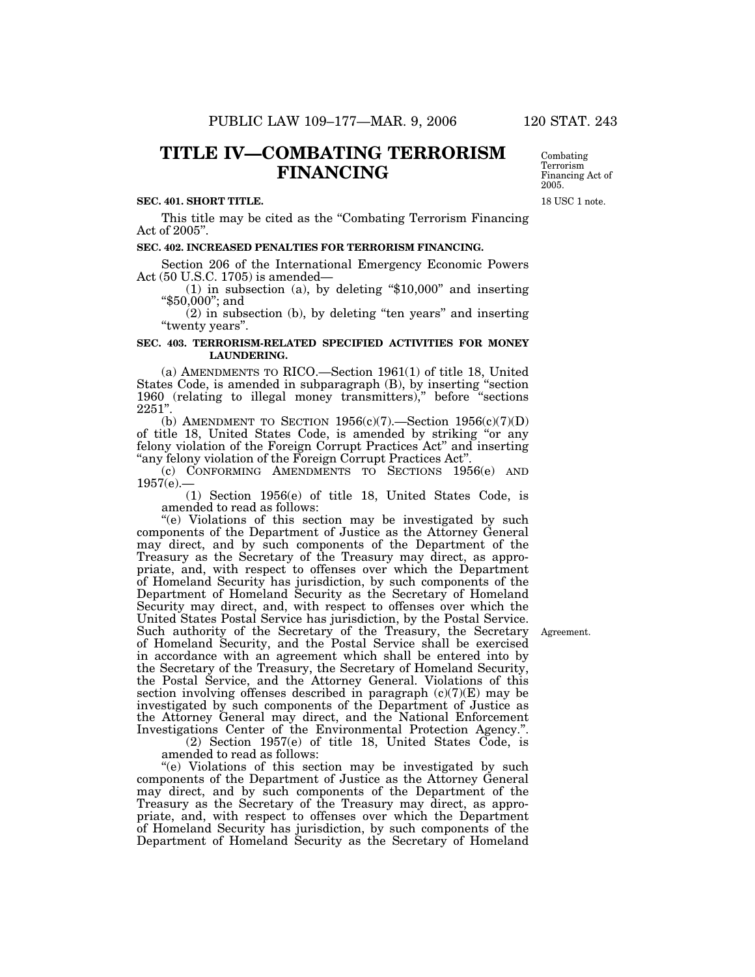# **TITLE IV—COMBATING TERRORISM FINANCING**

# **SEC. 401. SHORT TITLE.**

This title may be cited as the "Combating Terrorism Financing" Act of 2005''.

#### **SEC. 402. INCREASED PENALTIES FOR TERRORISM FINANCING.**

Section 206 of the International Emergency Economic Powers Act (50 U.S.C. 1705) is amended—

(1) in subsection (a), by deleting " $$10,000"$  and inserting " $$50,000"$ ; and

(2) in subsection (b), by deleting ''ten years'' and inserting ''twenty years''.

### **SEC. 403. TERRORISM-RELATED SPECIFIED ACTIVITIES FOR MONEY LAUNDERING.**

(a) AMENDMENTS TO RICO.—Section 1961(1) of title 18, United States Code, is amended in subparagraph (B), by inserting ''section 1960 (relating to illegal money transmitters)," before "sections  $2251'$ 

(b) AMENDMENT TO SECTION  $1956(c)(7)$ . Section  $1956(c)(7)(D)$ of title 18, United States Code, is amended by striking ''or any felony violation of the Foreign Corrupt Practices Act'' and inserting ''any felony violation of the Foreign Corrupt Practices Act''.

(c) CONFORMING AMENDMENTS TO SECTIONS 1956(e) AND  $1957(e)$ .

(1) Section 1956(e) of title 18, United States Code, is amended to read as follows:

''(e) Violations of this section may be investigated by such components of the Department of Justice as the Attorney General may direct, and by such components of the Department of the Treasury as the Secretary of the Treasury may direct, as appropriate, and, with respect to offenses over which the Department of Homeland Security has jurisdiction, by such components of the Department of Homeland Security as the Secretary of Homeland Security may direct, and, with respect to offenses over which the United States Postal Service has jurisdiction, by the Postal Service. Such authority of the Secretary of the Treasury, the Secretary of Homeland Security, and the Postal Service shall be exercised in accordance with an agreement which shall be entered into by the Secretary of the Treasury, the Secretary of Homeland Security, the Postal Service, and the Attorney General. Violations of this section involving offenses described in paragraph  $(c)(7)(E)$  may be investigated by such components of the Department of Justice as the Attorney General may direct, and the National Enforcement Investigations Center of the Environmental Protection Agency.''.

(2) Section 1957(e) of title 18, United States Code, is amended to read as follows:

''(e) Violations of this section may be investigated by such components of the Department of Justice as the Attorney General may direct, and by such components of the Department of the Treasury as the Secretary of the Treasury may direct, as appropriate, and, with respect to offenses over which the Department of Homeland Security has jurisdiction, by such components of the Department of Homeland Security as the Secretary of Homeland

Agreement.

18 USC 1 note. Combating Terrorism Financing Act of 2005.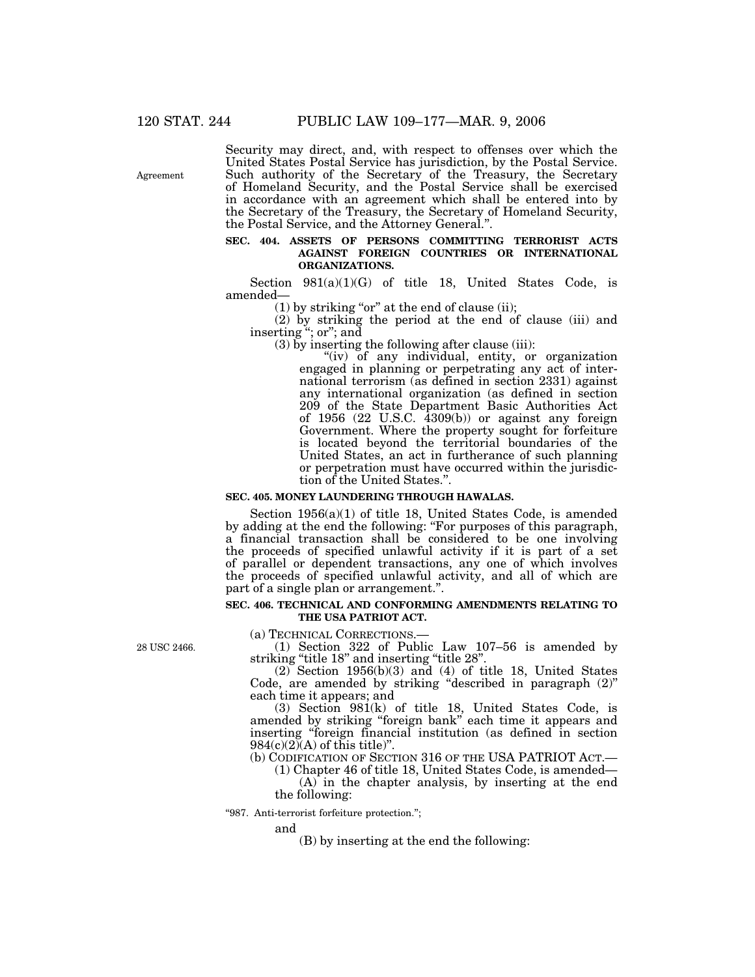Agreement

Security may direct, and, with respect to offenses over which the United States Postal Service has jurisdiction, by the Postal Service. Such authority of the Secretary of the Treasury, the Secretary of Homeland Security, and the Postal Service shall be exercised in accordance with an agreement which shall be entered into by the Secretary of the Treasury, the Secretary of Homeland Security, the Postal Service, and the Attorney General.''.

### **SEC. 404. ASSETS OF PERSONS COMMITTING TERRORIST ACTS AGAINST FOREIGN COUNTRIES OR INTERNATIONAL ORGANIZATIONS.**

Section  $981(a)(1)(G)$  of title 18, United States Code, is amended—

 $(1)$  by striking "or" at the end of clause (ii);

(2) by striking the period at the end of clause (iii) and inserting ''; or''; and

 $(3)$  by inserting the following after clause (iii):

"(iv) of any individual, entity, or organization engaged in planning or perpetrating any act of international terrorism (as defined in section 2331) against any international organization (as defined in section 209 of the State Department Basic Authorities Act of 1956 (22 U.S.C. 4309(b)) or against any foreign Government. Where the property sought for forfeiture is located beyond the territorial boundaries of the United States, an act in furtherance of such planning or perpetration must have occurred within the jurisdiction of the United States."

### **SEC. 405. MONEY LAUNDERING THROUGH HAWALAS.**

Section 1956(a)(1) of title 18, United States Code, is amended by adding at the end the following: ''For purposes of this paragraph, a financial transaction shall be considered to be one involving the proceeds of specified unlawful activity if it is part of a set of parallel or dependent transactions, any one of which involves the proceeds of specified unlawful activity, and all of which are part of a single plan or arrangement.''.

## **SEC. 406. TECHNICAL AND CONFORMING AMENDMENTS RELATING TO THE USA PATRIOT ACT.**

(a) TECHNICAL CORRECTIONS.—

(1) Section 322 of Public Law 107–56 is amended by striking ''title 18'' and inserting ''title 28''.

(2) Section 1956(b)(3) and (4) of title 18, United States Code, are amended by striking ''described in paragraph (2)'' each time it appears; and

(3) Section 981(k) of title 18, United States Code, is amended by striking ''foreign bank'' each time it appears and inserting ''foreign financial institution (as defined in section  $984(c)(2)(A)$  of this title)".

(b) CODIFICATION OF SECTION 316 OF THE USA PATRIOT ACT.—

(1) Chapter 46 of title 18, United States Code, is amended— (A) in the chapter analysis, by inserting at the end

the following:

''987. Anti-terrorist forfeiture protection.'';

and

(B) by inserting at the end the following:

28 USC 2466.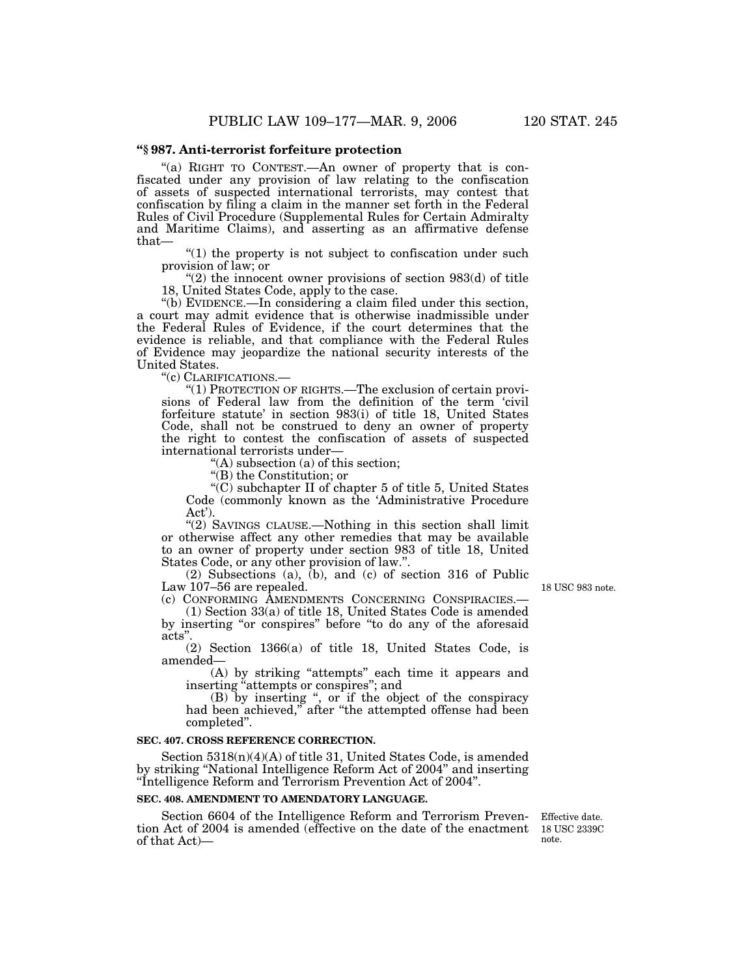"(a) RIGHT TO CONTEST.—An owner of property that is confiscated under any provision of law relating to the confiscation of assets of suspected international terrorists, may contest that confiscation by filing a claim in the manner set forth in the Federal Rules of Civil Procedure (Supplemental Rules for Certain Admiralty and Maritime Claims), and asserting as an affirmative defense that—

 $(1)$  the property is not subject to confiscation under such provision of law; or

" $(2)$  the innocent owner provisions of section 983 $(d)$  of title 18, United States Code, apply to the case.

''(b) EVIDENCE.—In considering a claim filed under this section, a court may admit evidence that is otherwise inadmissible under the Federal Rules of Evidence, if the court determines that the evidence is reliable, and that compliance with the Federal Rules of Evidence may jeopardize the national security interests of the United States.

''(c) CLARIFICATIONS.—

''(1) PROTECTION OF RIGHTS.—The exclusion of certain provisions of Federal law from the definition of the term 'civil forfeiture statute' in section 983(i) of title 18, United States Code, shall not be construed to deny an owner of property the right to contest the confiscation of assets of suspected international terrorists under—

''(A) subsection (a) of this section;

''(B) the Constitution; or

 $\mathrm{``(C)}$  subchapter II of chapter 5 of title 5, United States Code (commonly known as the 'Administrative Procedure Act').

''(2) SAVINGS CLAUSE.—Nothing in this section shall limit or otherwise affect any other remedies that may be available to an owner of property under section 983 of title 18, United States Code, or any other provision of law.''.

(2) Subsections (a), (b), and (c) of section 316 of Public Law 107–56 are repealed.

18 USC 983 note.

(c) CONFORMING AMENDMENTS CONCERNING CONSPIRACIES.— (1) Section 33(a) of title 18, United States Code is amended by inserting "or conspires" before "to do any of the aforesaid acts''.

(2) Section 1366(a) of title 18, United States Code, is amended—

(A) by striking ''attempts'' each time it appears and inserting "attempts or conspires"; and

(B) by inserting '', or if the object of the conspiracy had been achieved,'' after ''the attempted offense had been completed''.

# **SEC. 407. CROSS REFERENCE CORRECTION.**

Section 5318(n)(4)(A) of title 31, United States Code, is amended by striking ''National Intelligence Reform Act of 2004'' and inserting ''Intelligence Reform and Terrorism Prevention Act of 2004''.

# **SEC. 408. AMENDMENT TO AMENDATORY LANGUAGE.**

Section 6604 of the Intelligence Reform and Terrorism Prevention Act of 2004 is amended (effective on the date of the enactment of that Act)—

18 USC 2339C note. Effective date.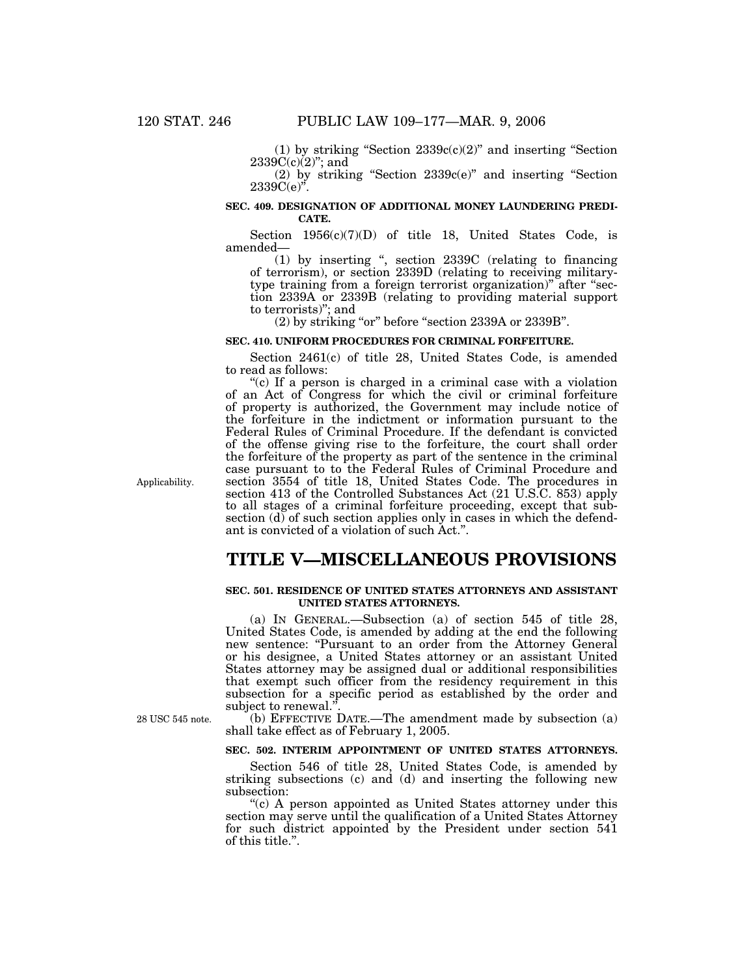(1) by striking "Section  $2339c(c)(2)$ " and inserting "Section  $2339C(c)(2)$ "; and

(2) by striking ''Section 2339c(e)'' and inserting ''Section  $2339C(e)$ <sup>"</sup>.

## **SEC. 409. DESIGNATION OF ADDITIONAL MONEY LAUNDERING PREDI-CATE.**

Section 1956(c)(7)(D) of title 18, United States Code, is amended—

(1) by inserting '', section 2339C (relating to financing of terrorism), or section 2339D (relating to receiving militarytype training from a foreign terrorist organization)" after "section 2339A or 2339B (relating to providing material support to terrorists)''; and

(2) by striking "or" before "section 2339A or 2339B".

### **SEC. 410. UNIFORM PROCEDURES FOR CRIMINAL FORFEITURE.**

Section 2461(c) of title 28, United States Code, is amended to read as follows:

"(c) If a person is charged in a criminal case with a violation of an Act of Congress for which the civil or criminal forfeiture of property is authorized, the Government may include notice of the forfeiture in the indictment or information pursuant to the Federal Rules of Criminal Procedure. If the defendant is convicted of the offense giving rise to the forfeiture, the court shall order the forfeiture of the property as part of the sentence in the criminal case pursuant to to the Federal Rules of Criminal Procedure and section 3554 of title 18, United States Code. The procedures in section 413 of the Controlled Substances Act (21 U.S.C. 853) apply to all stages of a criminal forfeiture proceeding, except that subsection  $(d)$  of such section applies only in cases in which the defendant is convicted of a violation of such Act.''.

**TITLE V—MISCELLANEOUS PROVISIONS**

# **SEC. 501. RESIDENCE OF UNITED STATES ATTORNEYS AND ASSISTANT UNITED STATES ATTORNEYS.**

(a) IN GENERAL.—Subsection (a) of section 545 of title 28, United States Code, is amended by adding at the end the following new sentence: "Pursuant to an order from the Attorney General or his designee, a United States attorney or an assistant United States attorney may be assigned dual or additional responsibilities that exempt such officer from the residency requirement in this subsection for a specific period as established by the order and subject to renewal."

(b) EFFECTIVE DATE.—The amendment made by subsection (a) shall take effect as of February 1, 2005.

# **SEC. 502. INTERIM APPOINTMENT OF UNITED STATES ATTORNEYS.**

Section 546 of title 28, United States Code, is amended by striking subsections (c) and (d) and inserting the following new subsection:

"(c) A person appointed as United States attorney under this section may serve until the qualification of a United States Attorney for such district appointed by the President under section 541 of this title.''.

28 USC 545 note.

Applicability.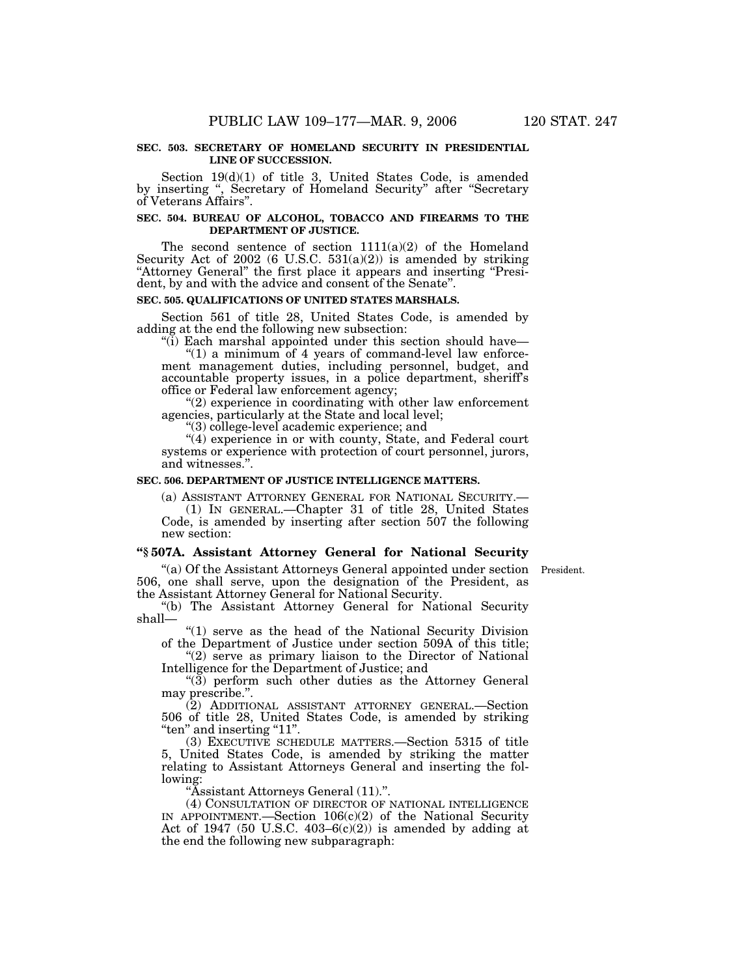### **SEC. 503. SECRETARY OF HOMELAND SECURITY IN PRESIDENTIAL LINE OF SUCCESSION.**

Section 19(d)(1) of title 3, United States Code, is amended by inserting '', Secretary of Homeland Security'' after ''Secretary of Veterans Affairs''.

### **SEC. 504. BUREAU OF ALCOHOL, TOBACCO AND FIREARMS TO THE DEPARTMENT OF JUSTICE.**

The second sentence of section  $1111(a)(2)$  of the Homeland Security Act of 2002 (6 U.S.C.  $531(a)(2)$ ) is amended by striking "Attorney General" the first place it appears and inserting "President, by and with the advice and consent of the Senate''.

### **SEC. 505. QUALIFICATIONS OF UNITED STATES MARSHALS.**

Section 561 of title 28, United States Code, is amended by adding at the end the following new subsection:

''(i) Each marshal appointed under this section should have—

" $(1)$  a minimum of 4 years of command-level law enforcement management duties, including personnel, budget, and accountable property issues, in a police department, sheriff's office or Federal law enforcement agency;

 $"(2)$  experience in coordinating with other law enforcement agencies, particularly at the State and local level;

''(3) college-level academic experience; and

"(4) experience in or with county, State, and Federal court systems or experience with protection of court personnel, jurors, and witnesses.''.

### **SEC. 506. DEPARTMENT OF JUSTICE INTELLIGENCE MATTERS.**

(a) ASSISTANT ATTORNEY GENERAL FOR NATIONAL SECURITY.— (1) IN GENERAL.—Chapter 31 of title 28, United States Code, is amended by inserting after section 507 the following new section:

### **''§ 507A. Assistant Attorney General for National Security**

"(a) Of the Assistant Attorneys General appointed under section President. 506, one shall serve, upon the designation of the President, as the Assistant Attorney General for National Security.

''(b) The Assistant Attorney General for National Security shall—

"(1) serve as the head of the National Security Division of the Department of Justice under section 509A of this title;

"(2) serve as primary liaison to the Director of National Intelligence for the Department of Justice; and

 $\degree$ (3) perform such other duties as the Attorney General may prescribe.''.

(2) ADDITIONAL ASSISTANT ATTORNEY GENERAL.—Section 506 of title 28, United States Code, is amended by striking "ten" and inserting "11".

(3) EXECUTIVE SCHEDULE MATTERS.—Section 5315 of title 5, United States Code, is amended by striking the matter relating to Assistant Attorneys General and inserting the following:

''Assistant Attorneys General (11).''.

(4) CONSULTATION OF DIRECTOR OF NATIONAL INTELLIGENCE IN APPOINTMENT.—Section  $106(c)(2)$  of the National Security Act of 1947 (50 U.S.C. 403- $6(c)(2)$ ) is amended by adding at the end the following new subparagraph: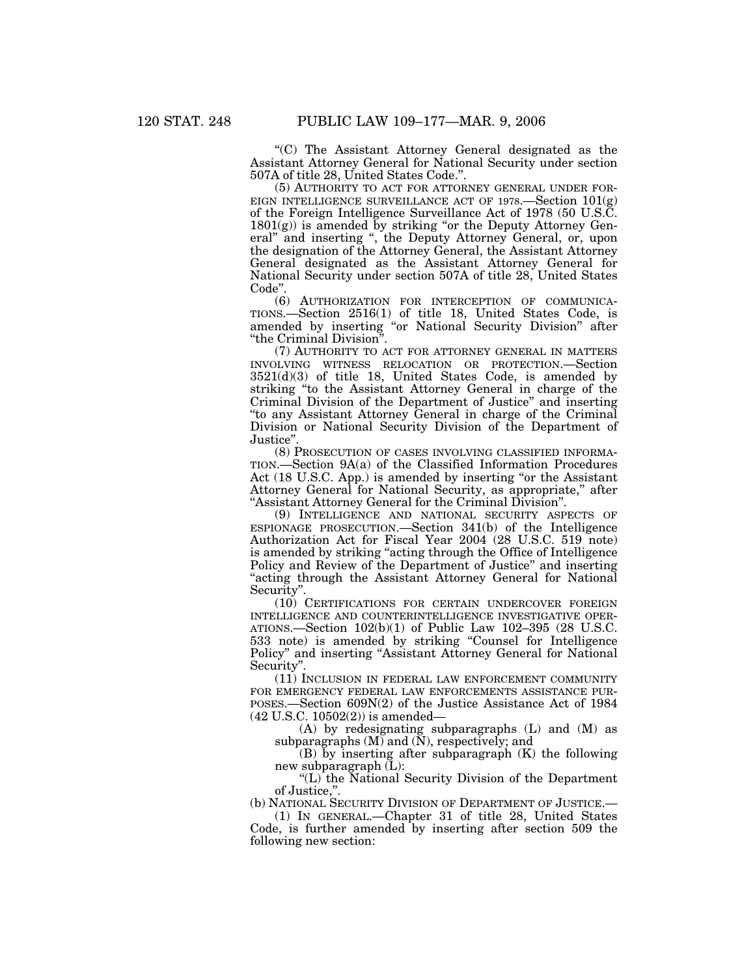''(C) The Assistant Attorney General designated as the Assistant Attorney General for National Security under section 507A of title 28, United States Code.''.

(5) AUTHORITY TO ACT FOR ATTORNEY GENERAL UNDER FOR-EIGN INTELLIGENCE SURVEILLANCE ACT OF 1978.—Section  $101(g)$ of the Foreign Intelligence Surveillance Act of 1978 (50 U.S.C.  $1801(g)$ ) is amended by striking "or the Deputy Attorney General'' and inserting '', the Deputy Attorney General, or, upon the designation of the Attorney General, the Assistant Attorney General designated as the Assistant Attorney General for National Security under section 507A of title 28, United States Code''.

(6) AUTHORIZATION FOR INTERCEPTION OF COMMUNICA-TIONS.—Section 2516(1) of title 18, United States Code, is amended by inserting "or National Security Division" after ''the Criminal Division''.

(7) AUTHORITY TO ACT FOR ATTORNEY GENERAL IN MATTERS INVOLVING WITNESS RELOCATION OR PROTECTION.—Section 3521(d)(3) of title 18, United States Code, is amended by striking ''to the Assistant Attorney General in charge of the Criminal Division of the Department of Justice'' and inserting ''to any Assistant Attorney General in charge of the Criminal Division or National Security Division of the Department of Justice''.

(8) PROSECUTION OF CASES INVOLVING CLASSIFIED INFORMA-TION.—Section 9A(a) of the Classified Information Procedures Act (18 U.S.C. App.) is amended by inserting "or the Assistant Attorney General for National Security, as appropriate,'' after ''Assistant Attorney General for the Criminal Division''.

(9) INTELLIGENCE AND NATIONAL SECURITY ASPECTS OF ESPIONAGE PROSECUTION.—Section 341(b) of the Intelligence Authorization Act for Fiscal Year 2004 (28 U.S.C. 519 note) is amended by striking ''acting through the Office of Intelligence Policy and Review of the Department of Justice'' and inserting ''acting through the Assistant Attorney General for National Security

(10) CERTIFICATIONS FOR CERTAIN UNDERCOVER FOREIGN INTELLIGENCE AND COUNTERINTELLIGENCE INVESTIGATIVE OPER-ATIONS.—Section  $102(b)(1)$  of Public Law  $102-395$  (28 U.S.C. 533 note) is amended by striking ''Counsel for Intelligence Policy'' and inserting ''Assistant Attorney General for National Security''.

(11) INCLUSION IN FEDERAL LAW ENFORCEMENT COMMUNITY FOR EMERGENCY FEDERAL LAW ENFORCEMENTS ASSISTANCE PUR-POSES.—Section 609N(2) of the Justice Assistance Act of 1984 (42 U.S.C. 10502(2)) is amended—

(A) by redesignating subparagraphs (L) and (M) as subparagraphs  $(M)$  and  $(N)$ , respectively; and

(B) by inserting after subparagraph (K) the following new subparagraph (L):

''(L) the National Security Division of the Department of Justice,''.

(b) NATIONAL SECURITY DIVISION OF DEPARTMENT OF JUSTICE.—

(1) IN GENERAL.—Chapter 31 of title 28, United States Code, is further amended by inserting after section 509 the following new section: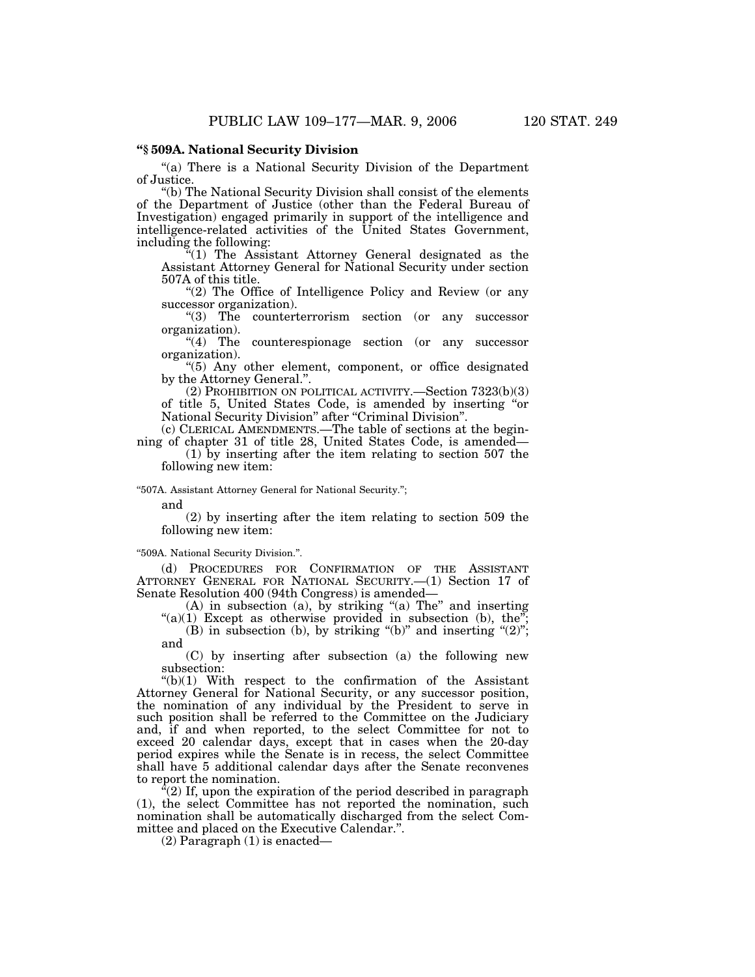"(a) There is a National Security Division of the Department of Justice.

''(b) The National Security Division shall consist of the elements of the Department of Justice (other than the Federal Bureau of Investigation) engaged primarily in support of the intelligence and intelligence-related activities of the United States Government, including the following:

''(1) The Assistant Attorney General designated as the Assistant Attorney General for National Security under section 507A of this title.

"(2) The Office of Intelligence Policy and Review (or any successor organization).

"(3) The counterterrorism section (or any successor organization).

''(4) The counterespionage section (or any successor organization).

''(5) Any other element, component, or office designated by the Attorney General.''.

(2) PROHIBITION ON POLITICAL ACTIVITY.—Section 7323(b)(3) of title 5, United States Code, is amended by inserting ''or National Security Division'' after ''Criminal Division''.

(c) CLERICAL AMENDMENTS.—The table of sections at the beginning of chapter 31 of title 28, United States Code, is amended—

(1) by inserting after the item relating to section 507 the following new item:

"507A. Assistant Attorney General for National Security.";

and

(2) by inserting after the item relating to section 509 the following new item:

''509A. National Security Division.''.

(d) PROCEDURES FOR CONFIRMATION OF THE ASSISTANT ATTORNEY GENERAL FOR NATIONAL SECURITY.—(1) Section 17 of Senate Resolution 400 (94th Congress) is amended—

(A) in subsection (a), by striking "(a) The" and inserting

" $(a)(1)$  Except as otherwise provided in subsection  $(b)$ , the"; (B) in subsection (b), by striking "(b)" and inserting " $(2)$ "; and

(C) by inserting after subsection (a) the following new subsection:

 $\degree$ (b)(1) With respect to the confirmation of the Assistant Attorney General for National Security, or any successor position, the nomination of any individual by the President to serve in such position shall be referred to the Committee on the Judiciary and, if and when reported, to the select Committee for not to exceed 20 calendar days, except that in cases when the 20-day period expires while the Senate is in recess, the select Committee shall have 5 additional calendar days after the Senate reconvenes to report the nomination.

 $\sqrt{a}(2)$  If, upon the expiration of the period described in paragraph (1), the select Committee has not reported the nomination, such nomination shall be automatically discharged from the select Committee and placed on the Executive Calendar.''.

(2) Paragraph (1) is enacted—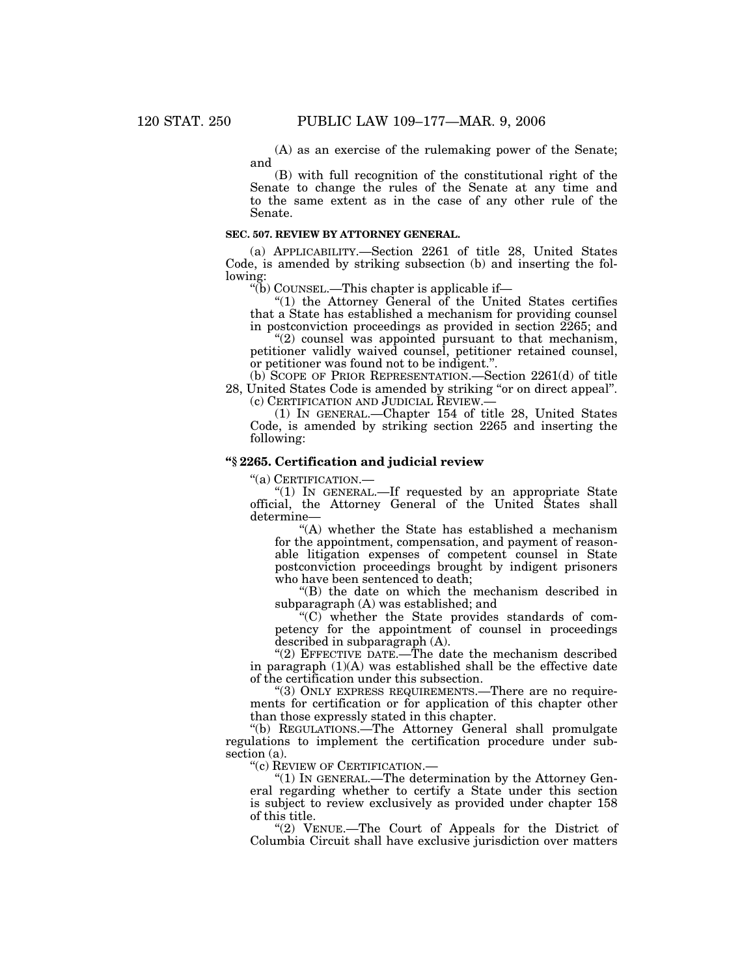(A) as an exercise of the rulemaking power of the Senate; and

(B) with full recognition of the constitutional right of the Senate to change the rules of the Senate at any time and to the same extent as in the case of any other rule of the Senate.

### **SEC. 507. REVIEW BY ATTORNEY GENERAL.**

(a) APPLICABILITY.—Section 2261 of title 28, United States Code, is amended by striking subsection (b) and inserting the following:

''(b) COUNSEL.—This chapter is applicable if—

"(1) the Attorney General of the United States certifies that a State has established a mechanism for providing counsel in postconviction proceedings as provided in section 2265; and

"(2) counsel was appointed pursuant to that mechanism, petitioner validly waived counsel, petitioner retained counsel, or petitioner was found not to be indigent.''.

(b) SCOPE OF PRIOR REPRESENTATION.—Section 2261(d) of title 28, United States Code is amended by striking ''or on direct appeal''. (c) CERTIFICATION AND JUDICIAL REVIEW.—

(1) IN GENERAL.—Chapter 154 of title 28, United States Code, is amended by striking section 2265 and inserting the following:

### **''§ 2265. Certification and judicial review**

''(a) CERTIFICATION.—

''(1) IN GENERAL.—If requested by an appropriate State official, the Attorney General of the United States shall determine—

''(A) whether the State has established a mechanism for the appointment, compensation, and payment of reasonable litigation expenses of competent counsel in State postconviction proceedings brought by indigent prisoners who have been sentenced to death;

''(B) the date on which the mechanism described in subparagraph (A) was established; and

''(C) whether the State provides standards of competency for the appointment of counsel in proceedings described in subparagraph (A).

"(2) EFFECTIVE DATE.—The date the mechanism described in paragraph  $(1)(A)$  was established shall be the effective date of the certification under this subsection.

"(3) ONLY EXPRESS REQUIREMENTS.—There are no requirements for certification or for application of this chapter other than those expressly stated in this chapter.

''(b) REGULATIONS.—The Attorney General shall promulgate regulations to implement the certification procedure under subsection (a).

''(c) REVIEW OF CERTIFICATION.—

''(1) IN GENERAL.—The determination by the Attorney General regarding whether to certify a State under this section is subject to review exclusively as provided under chapter 158 of this title.

''(2) VENUE.—The Court of Appeals for the District of Columbia Circuit shall have exclusive jurisdiction over matters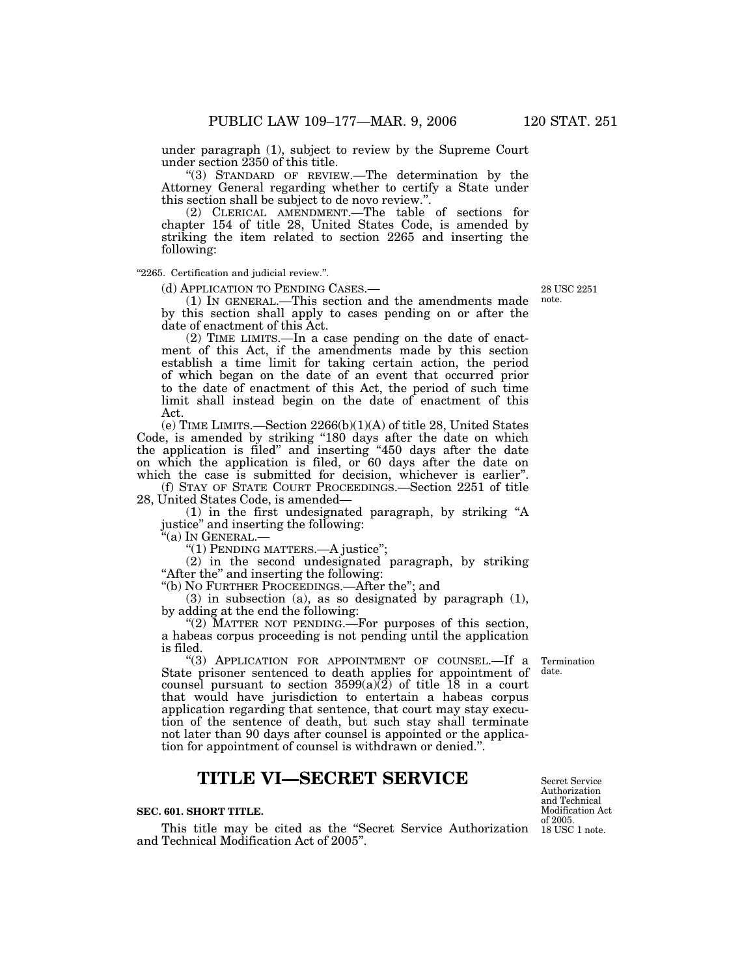under paragraph (1), subject to review by the Supreme Court under section 2350 of this title.

''(3) STANDARD OF REVIEW.—The determination by the Attorney General regarding whether to certify a State under this section shall be subject to de novo review.''.

(2) CLERICAL AMENDMENT.—The table of sections for chapter 154 of title 28, United States Code, is amended by striking the item related to section 2265 and inserting the following:

''2265. Certification and judicial review.''.

(d) APPLICATION TO PENDING CASES.—

(1) IN GENERAL.—This section and the amendments made by this section shall apply to cases pending on or after the date of enactment of this Act.

(2) TIME LIMITS.—In a case pending on the date of enactment of this Act, if the amendments made by this section establish a time limit for taking certain action, the period of which began on the date of an event that occurred prior to the date of enactment of this Act, the period of such time limit shall instead begin on the date of enactment of this Act.

(e) TIME LIMITS.—Section 2266(b)(1)(A) of title 28, United States Code, is amended by striking "180 days after the date on which the application is filed'' and inserting ''450 days after the date on which the application is filed, or 60 days after the date on which the case is submitted for decision, whichever is earlier''.

(f) STAY OF STATE COURT PROCEEDINGS.—Section 2251 of title 28, United States Code, is amended—

(1) in the first undesignated paragraph, by striking ''A justice" and inserting the following:<br>"(a) In GENERAL.—

" $(1)$  PENDING MATTERS.—A justice";

(2) in the second undesignated paragraph, by striking ''After the'' and inserting the following:

"(b) NO FURTHER PROCEEDINGS. - After the"; and

(3) in subsection (a), as so designated by paragraph (1), by adding at the end the following:

"(2) MATTER NOT PENDING. For purposes of this section, a habeas corpus proceeding is not pending until the application is filed.

"(3) APPLICATION FOR APPOINTMENT OF COUNSEL.—If a State prisoner sentenced to death applies for appointment of counsel pursuant to section  $3599(a)\hat{2}$  of title 18 in a court that would have jurisdiction to entertain a habeas corpus application regarding that sentence, that court may stay execution of the sentence of death, but such stay shall terminate not later than 90 days after counsel is appointed or the application for appointment of counsel is withdrawn or denied.''.

# **TITLE VI—SECRET SERVICE**

### **SEC. 601. SHORT TITLE.**

This title may be cited as the "Secret Service Authorization 18 USC 1 note. and Technical Modification Act of 2005''.

Secret Service Authorization and Technical Modification Act of 2005.

Termination date.

28 USC 2251 note.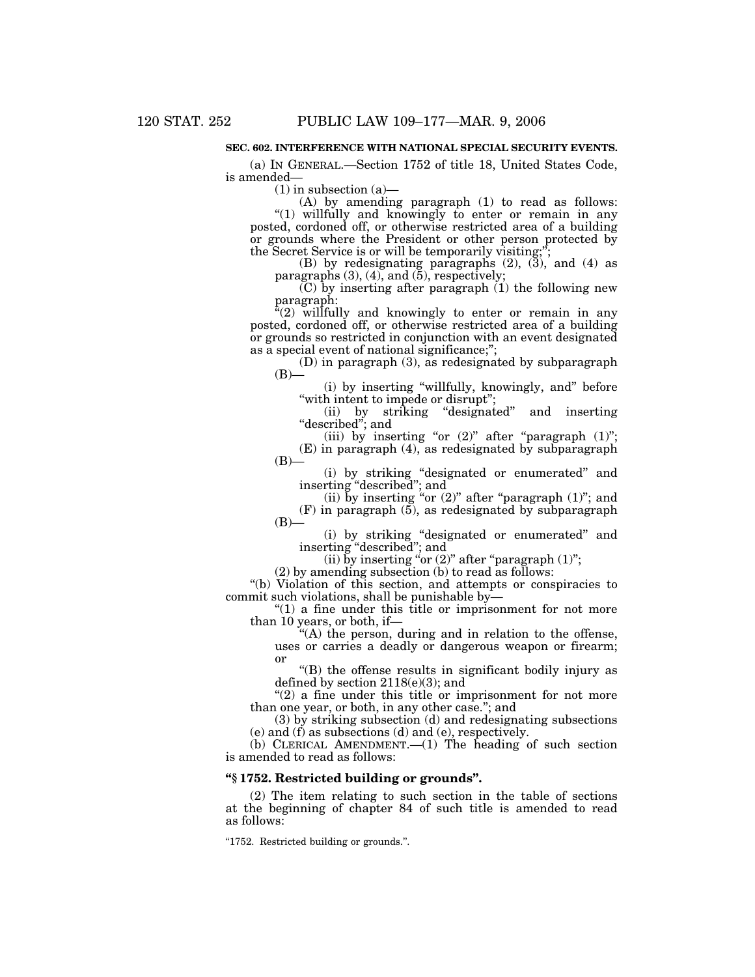# **SEC. 602. INTERFERENCE WITH NATIONAL SPECIAL SECURITY EVENTS.**

(a) IN GENERAL.—Section 1752 of title 18, United States Code, is amended—

 $(1)$  in subsection  $(a)$ —

(A) by amending paragraph (1) to read as follows: "(1) willfully and knowingly to enter or remain in any posted, cordoned off, or otherwise restricted area of a building or grounds where the President or other person protected by the Secret Service is or will be temporarily visiting;'';

(B) by redesignating paragraphs  $(2)$ ,  $(\bar{3})$ , and  $(4)$  as paragraphs  $(3)$ ,  $(4)$ , and  $(\bar{5})$ , respectively;

 $(C)$  by inserting after paragraph  $(1)$  the following new paragraph:

"(2) willfully and knowingly to enter or remain in any posted, cordoned off, or otherwise restricted area of a building or grounds so restricted in conjunction with an event designated as a special event of national significance;'';

(D) in paragraph (3), as redesignated by subparagraph  $(B)$ 

(i) by inserting ''willfully, knowingly, and'' before "with intent to impede or disrupt";

(ii) by striking ''designated'' and inserting "described"; and

(iii) by inserting "or  $(2)$ " after "paragraph  $(1)$ "; (E) in paragraph (4), as redesignated by subparagraph

 $(B)$ —

(i) by striking ''designated or enumerated'' and inserting ''described''; and

(ii) by inserting "or  $(2)$ " after "paragraph  $(1)$ "; and  $(F)$  in paragraph  $(5)$ , as redesignated by subparagraph  $(B)$ —

(i) by striking ''designated or enumerated'' and inserting ''described''; and

(ii) by inserting "or  $(2)$ " after "paragraph  $(1)$ ";

(2) by amending subsection (b) to read as follows:

''(b) Violation of this section, and attempts or conspiracies to commit such violations, shall be punishable by—

" $(1)$  a fine under this title or imprisonment for not more than 10 years, or both, if—

''(A) the person, during and in relation to the offense, uses or carries a deadly or dangerous weapon or firearm; or

''(B) the offense results in significant bodily injury as defined by section  $2118(e)(3)$ ; and

 $''(2)$  a fine under this title or imprisonment for not more than one year, or both, in any other case.''; and

(3) by striking subsection (d) and redesignating subsections (e) and (f) as subsections (d) and (e), respectively.

(b) CLERICAL AMENDMENT.—(1) The heading of such section is amended to read as follows:

### **''§ 1752. Restricted building or grounds''.**

(2) The item relating to such section in the table of sections at the beginning of chapter 84 of such title is amended to read as follows:

''1752. Restricted building or grounds.''.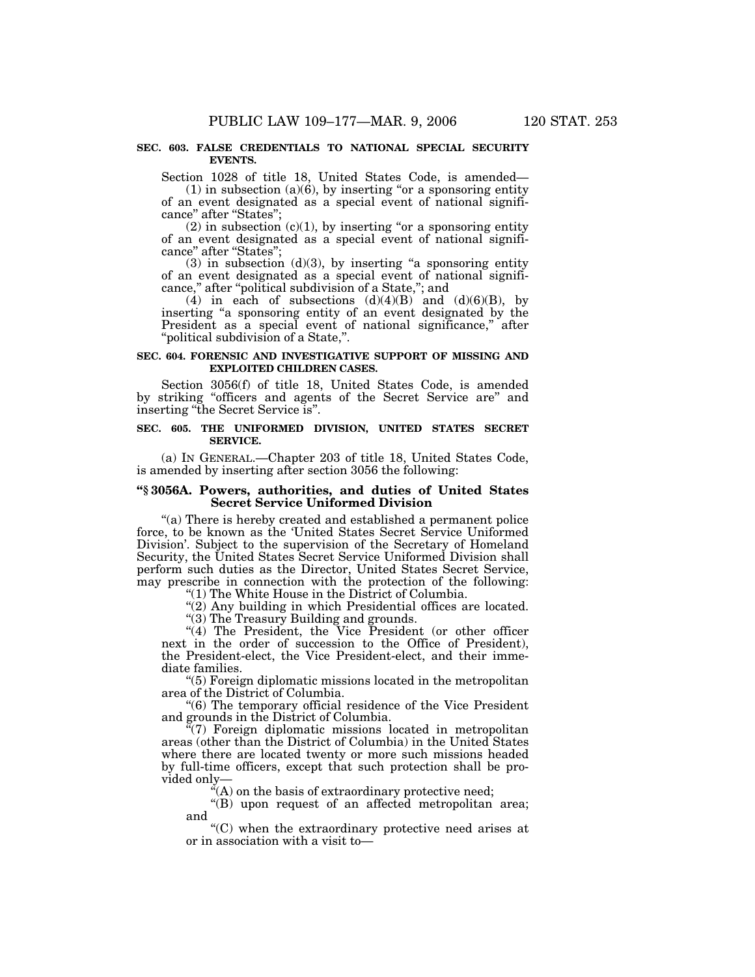## **SEC. 603. FALSE CREDENTIALS TO NATIONAL SPECIAL SECURITY EVENTS.**

Section 1028 of title 18, United States Code, is amended—

(1) in subsection (a)(6), by inserting "or a sponsoring entity of an event designated as a special event of national significance'' after ''States'';

 $(2)$  in subsection  $(c)(1)$ , by inserting "or a sponsoring entity of an event designated as a special event of national significance" after "States";

(3) in subsection  $(d)(3)$ , by inserting "a sponsoring entity of an event designated as a special event of national significance," after "political subdivision of a State,"; and

(4) in each of subsections  $(d)(4)(B)$  and  $(d)(6)(B)$ , by inserting "a sponsoring entity of an event designated by the President as a special event of national significance," after "political subdivision of a State,".

### **SEC. 604. FORENSIC AND INVESTIGATIVE SUPPORT OF MISSING AND EXPLOITED CHILDREN CASES.**

Section 3056(f) of title 18, United States Code, is amended by striking ''officers and agents of the Secret Service are'' and inserting "the Secret Service is".

# **SEC. 605. THE UNIFORMED DIVISION, UNITED STATES SECRET SERVICE.**

(a) IN GENERAL.—Chapter 203 of title 18, United States Code, is amended by inserting after section 3056 the following:

### **''§ 3056A. Powers, authorities, and duties of United States Secret Service Uniformed Division**

''(a) There is hereby created and established a permanent police force, to be known as the 'United States Secret Service Uniformed Division'. Subject to the supervision of the Secretary of Homeland Security, the United States Secret Service Uniformed Division shall perform such duties as the Director, United States Secret Service, may prescribe in connection with the protection of the following:

''(1) The White House in the District of Columbia.

"(2) Any building in which Presidential offices are located. ''(3) The Treasury Building and grounds.

"(4) The President, the Vice President (or other officer next in the order of succession to the Office of President), the President-elect, the Vice President-elect, and their immediate families.

''(5) Foreign diplomatic missions located in the metropolitan area of the District of Columbia.

''(6) The temporary official residence of the Vice President and grounds in the District of Columbia.

 $\sqrt[3]{7}$  Foreign diplomatic missions located in metropolitan areas (other than the District of Columbia) in the United States where there are located twenty or more such missions headed by full-time officers, except that such protection shall be provided only—

 $f(A)$  on the basis of extraordinary protective need;

"(B) upon request of an affected metropolitan area; and

 $(C)$  when the extraordinary protective need arises at or in association with a visit to—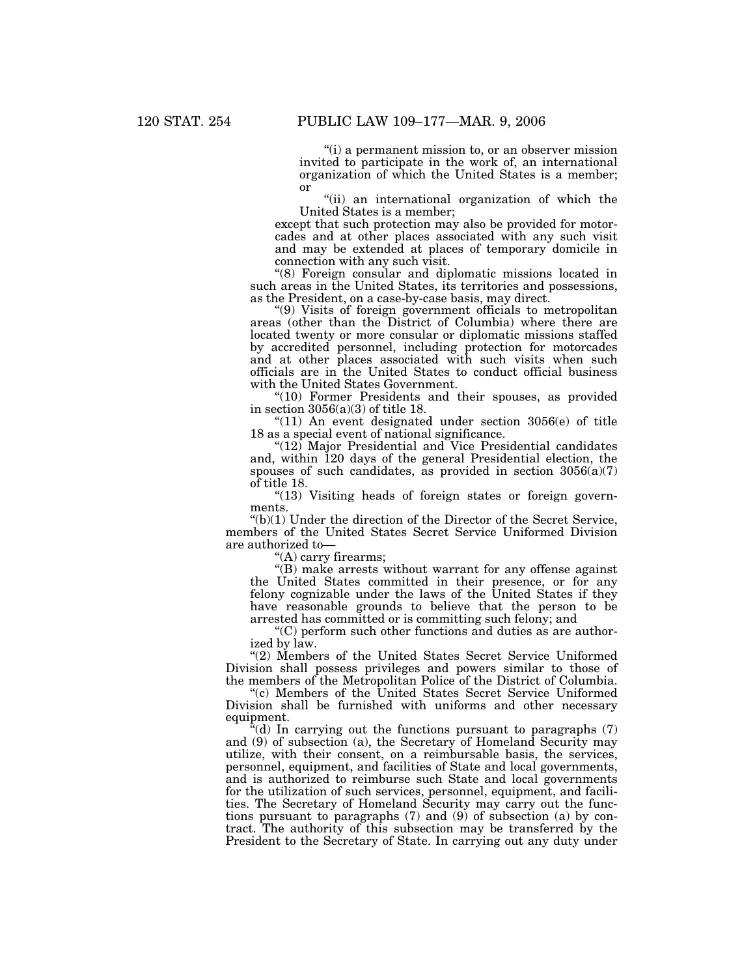''(i) a permanent mission to, or an observer mission invited to participate in the work of, an international organization of which the United States is a member; or

''(ii) an international organization of which the United States is a member;

except that such protection may also be provided for motorcades and at other places associated with any such visit and may be extended at places of temporary domicile in connection with any such visit.

''(8) Foreign consular and diplomatic missions located in such areas in the United States, its territories and possessions, as the President, on a case-by-case basis, may direct.

''(9) Visits of foreign government officials to metropolitan areas (other than the District of Columbia) where there are located twenty or more consular or diplomatic missions staffed by accredited personnel, including protection for motorcades and at other places associated with such visits when such officials are in the United States to conduct official business with the United States Government.

''(10) Former Presidents and their spouses, as provided in section  $3056(a)(3)$  of title 18.

" $(11)$  An event designated under section 3056 $(e)$  of title 18 as a special event of national significance.

" $(12)$  Major Presidential and Vice Presidential candidates and, within 120 days of the general Presidential election, the spouses of such candidates, as provided in section  $3056(a)(7)$ of title 18.

"(13) Visiting heads of foreign states or foreign governments.

 $'(b)(1)$  Under the direction of the Director of the Secret Service, members of the United States Secret Service Uniformed Division are authorized to—

''(A) carry firearms;

''(B) make arrests without warrant for any offense against the United States committed in their presence, or for any felony cognizable under the laws of the United States if they have reasonable grounds to believe that the person to be arrested has committed or is committing such felony; and

''(C) perform such other functions and duties as are authorized by law.

''(2) Members of the United States Secret Service Uniformed Division shall possess privileges and powers similar to those of the members of the Metropolitan Police of the District of Columbia.

''(c) Members of the United States Secret Service Uniformed Division shall be furnished with uniforms and other necessary equipment.

 $^{\circ}$ (d) In carrying out the functions pursuant to paragraphs (7) and (9) of subsection (a), the Secretary of Homeland Security may utilize, with their consent, on a reimbursable basis, the services, personnel, equipment, and facilities of State and local governments, and is authorized to reimburse such State and local governments for the utilization of such services, personnel, equipment, and facilities. The Secretary of Homeland Security may carry out the functions pursuant to paragraphs (7) and (9) of subsection (a) by contract. The authority of this subsection may be transferred by the President to the Secretary of State. In carrying out any duty under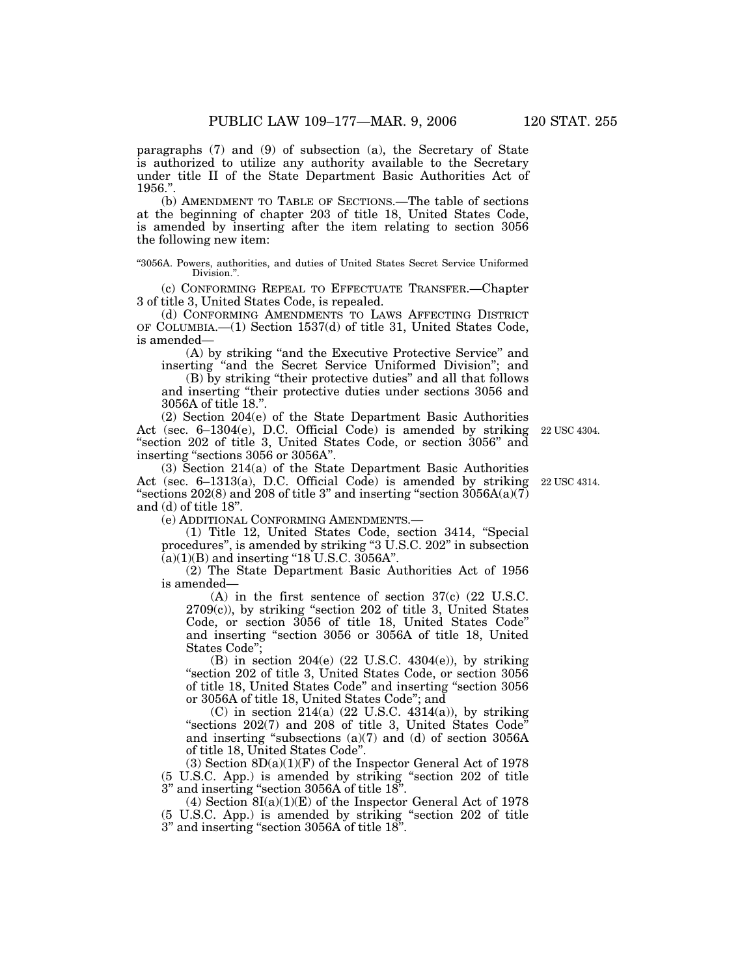is authorized to utilize any authority available to the Secretary under title II of the State Department Basic Authorities Act of 1956.'

(b) AMENDMENT TO TABLE OF SECTIONS.—The table of sections at the beginning of chapter 203 of title 18, United States Code, is amended by inserting after the item relating to section 3056 the following new item:

### ''3056A. Powers, authorities, and duties of United States Secret Service Uniformed Division.''.

(c) CONFORMING REPEAL TO EFFECTUATE TRANSFER.—Chapter 3 of title 3, United States Code, is repealed.

(d) CONFORMING AMENDMENTS TO LAWS AFFECTING DISTRICT OF COLUMBIA.—(1) Section 1537(d) of title 31, United States Code, is amended—

(A) by striking ''and the Executive Protective Service'' and inserting "and the Secret Service Uniformed Division"; and

(B) by striking ''their protective duties'' and all that follows and inserting ''their protective duties under sections 3056 and 3056A of title 18.''.

(2) Section 204(e) of the State Department Basic Authorities Act (sec. 6–1304(e), D.C. Official Code) is amended by striking "section 202 of title 3, United States Code, or section 3056" and inserting "sections 3056 or 3056A".

(3) Section 214(a) of the State Department Basic Authorities Act (sec. 6–1313(a), D.C. Official Code) is amended by striking "sections  $202(8)$  and  $208$  of title 3" and inserting "section  $3056A(a)(7)$ and (d) of title 18''.

(e) ADDITIONAL CONFORMING AMENDMENTS.—

(1) Title 12, United States Code, section 3414, ''Special procedures", is amended by striking "3 U.S.C. 202" in subsection  $(a)(1)(B)$  and inserting "18 U.S.C. 3056A".

(2) The State Department Basic Authorities Act of 1956 is amended—

(A) in the first sentence of section 37(c) (22 U.S.C. 2709(c)), by striking ''section 202 of title 3, United States Code, or section 3056 of title 18, United States Code'' and inserting ''section 3056 or 3056A of title 18, United States Code'';

 $(B)$  in section 204 $(e)$  (22 U.S.C. 4304 $(e)$ ), by striking ''section 202 of title 3, United States Code, or section 3056 of title 18, United States Code'' and inserting ''section 3056 or 3056A of title 18, United States Code''; and

 $(C)$  in section 214(a) (22 U.S.C. 4314(a)), by striking ''sections 202(7) and 208 of title 3, United States Code'' and inserting "subsections  $(a)(7)$  and  $(d)$  of section 3056A of title 18, United States Code''.

(3) Section  $8D(a)(1)(F)$  of the Inspector General Act of 1978 (5 U.S.C. App.) is amended by striking ''section 202 of title 3'' and inserting ''section 3056A of title 18''.

(4) Section  $8I(a)(1)(E)$  of the Inspector General Act of 1978 (5 U.S.C. App.) is amended by striking ''section 202 of title 3'' and inserting ''section 3056A of title 18''.

22 USC 4304.

22 USC 4314.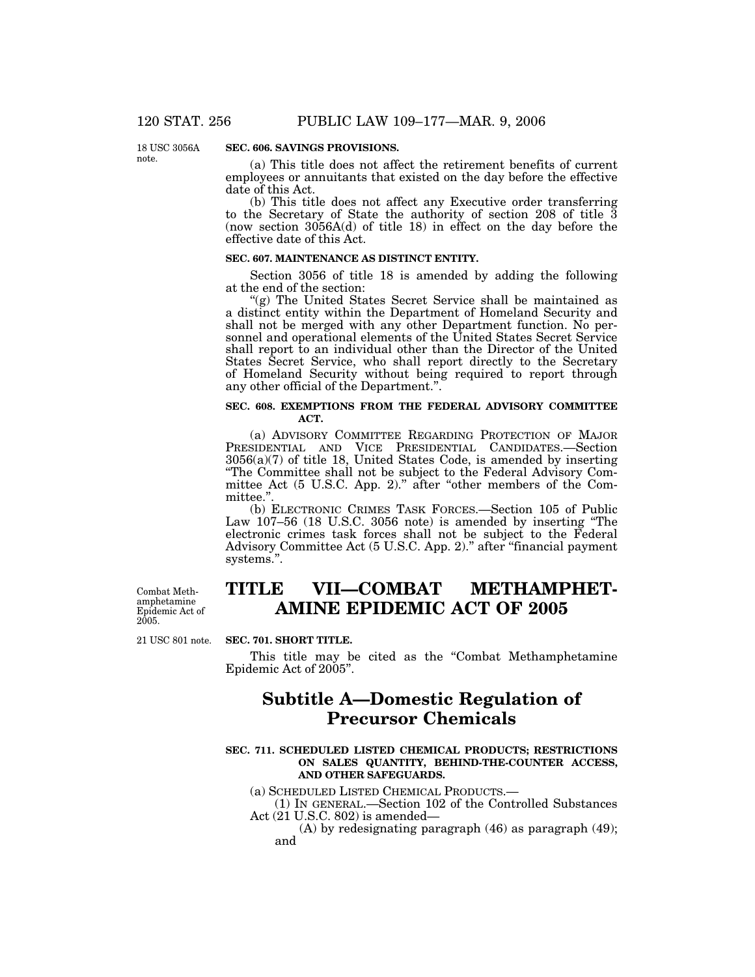18 USC 3056A note.

# **SEC. 606. SAVINGS PROVISIONS.**

(a) This title does not affect the retirement benefits of current employees or annuitants that existed on the day before the effective date of this Act.

(b) This title does not affect any Executive order transferring to the Secretary of State the authority of section 208 of title 3 (now section 3056A(d) of title 18) in effect on the day before the effective date of this Act.

# **SEC. 607. MAINTENANCE AS DISTINCT ENTITY.**

Section 3056 of title 18 is amended by adding the following at the end of the section:

"(g) The United States Secret Service shall be maintained as a distinct entity within the Department of Homeland Security and shall not be merged with any other Department function. No personnel and operational elements of the United States Secret Service shall report to an individual other than the Director of the United States Secret Service, who shall report directly to the Secretary of Homeland Security without being required to report through any other official of the Department.''.

## **SEC. 608. EXEMPTIONS FROM THE FEDERAL ADVISORY COMMITTEE ACT.**

(a) ADVISORY COMMITTEE REGARDING PROTECTION OF MAJOR PRESIDENTIAL AND VICE PRESIDENTIAL CANDIDATES.—Section 3056(a)(7) of title 18, United States Code, is amended by inserting ''The Committee shall not be subject to the Federal Advisory Committee Act (5 U.S.C. App. 2)." after "other members of the Committee.''.

(b) ELECTRONIC CRIMES TASK FORCES.—Section 105 of Public Law 107–56 (18 U.S.C. 3056 note) is amended by inserting ''The electronic crimes task forces shall not be subject to the Federal Advisory Committee Act (5 U.S.C. App. 2).'' after ''financial payment systems.''.

Combat Methamphetamine Epidemic Act of 2005.

# **TITLE VII—COMBAT METHAMPHET-AMINE EPIDEMIC ACT OF 2005**

21 USC 801 note.

### **SEC. 701. SHORT TITLE.**

This title may be cited as the "Combat Methamphetamine" Epidemic Act of 2005''.

# **Subtitle A—Domestic Regulation of Precursor Chemicals**

### **SEC. 711. SCHEDULED LISTED CHEMICAL PRODUCTS; RESTRICTIONS ON SALES QUANTITY, BEHIND-THE-COUNTER ACCESS, AND OTHER SAFEGUARDS.**

(a) SCHEDULED LISTED CHEMICAL PRODUCTS.—

- (1) IN GENERAL.—Section 102 of the Controlled Substances Act (21 U.S.C. 802) is amended—
	- (A) by redesignating paragraph (46) as paragraph (49); and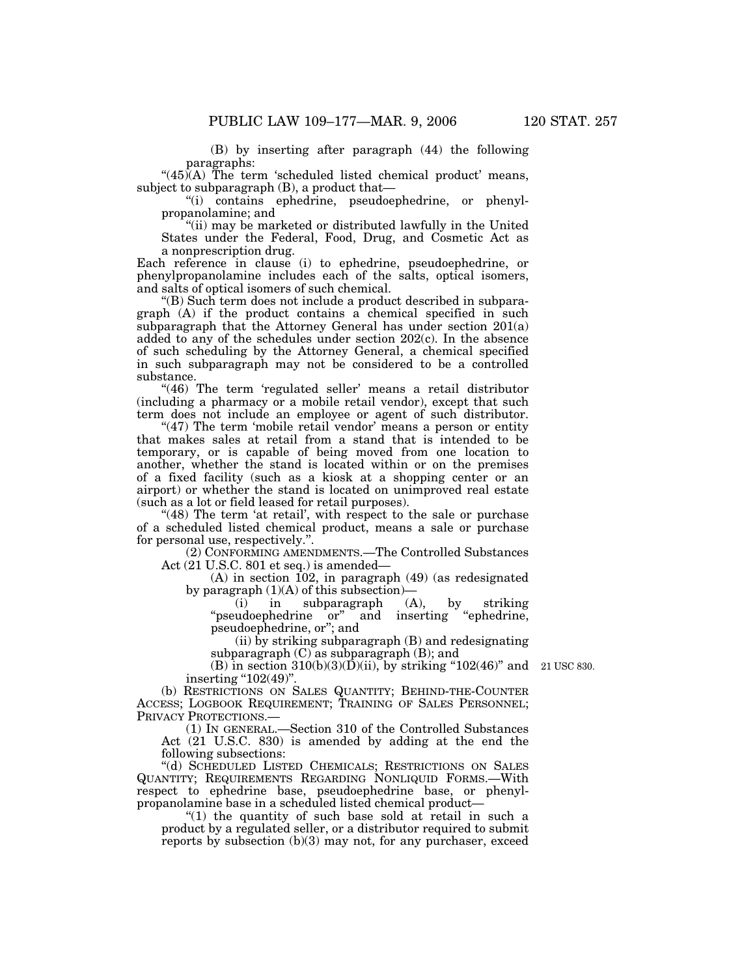(B) by inserting after paragraph (44) the following paragraphs:

" $(45)\hat{A}$ ) The term 'scheduled listed chemical product' means, subject to subparagraph (B), a product that—

''(i) contains ephedrine, pseudoephedrine, or phenylpropanolamine; and

''(ii) may be marketed or distributed lawfully in the United States under the Federal, Food, Drug, and Cosmetic Act as a nonprescription drug.

Each reference in clause (i) to ephedrine, pseudoephedrine, or phenylpropanolamine includes each of the salts, optical isomers, and salts of optical isomers of such chemical.

''(B) Such term does not include a product described in subparagraph  $(A)$  if the product contains a chemical specified in such subparagraph that the Attorney General has under section 201(a) added to any of the schedules under section 202(c). In the absence of such scheduling by the Attorney General, a chemical specified in such subparagraph may not be considered to be a controlled substance.

 $*(46)$  The term 'regulated seller' means a retail distributor (including a pharmacy or a mobile retail vendor), except that such term does not include an employee or agent of such distributor.

" $(47)$  The term 'mobile retail vendor' means a person or entity that makes sales at retail from a stand that is intended to be temporary, or is capable of being moved from one location to another, whether the stand is located within or on the premises of a fixed facility (such as a kiosk at a shopping center or an airport) or whether the stand is located on unimproved real estate (such as a lot or field leased for retail purposes).

"(48) The term 'at retail', with respect to the sale or purchase of a scheduled listed chemical product, means a sale or purchase for personal use, respectively.''.

(2) CONFORMING AMENDMENTS.—The Controlled Substances Act (21 U.S.C. 801 et seq.) is amended—

 $(A)$  in section 102, in paragraph  $(49)$  (as redesignated by paragraph  $(1)(A)$  of this subsection)—<br>(i) in subparagraph  $(A)$ ,

 $\begin{tabular}{llll} subparagraph & (A), & by & striking \\ ne & or' & and & inserting & "ephedrine, \end{tabular}$ "pseudoephedrine  $\alpha$ " pseudoephedrine, or''; and

(ii) by striking subparagraph (B) and redesignating subparagraph (C) as subparagraph (B); and

(B) in section  $310(b)(3)(D)(ii)$ , by striking " $102(46)$ " and 21 USC 830. inserting "102(49)".

(b) RESTRICTIONS ON SALES QUANTITY; BEHIND-THE-COUNTER ACCESS; LOGBOOK REQUIREMENT; TRAINING OF SALES PERSONNEL; PRIVACY PROTECTIONS.—

(1) IN GENERAL.—Section 310 of the Controlled Substances Act (21 U.S.C. 830) is amended by adding at the end the following subsections:

''(d) SCHEDULED LISTED CHEMICALS; RESTRICTIONS ON SALES QUANTITY; REQUIREMENTS REGARDING NONLIQUID FORMS.—With respect to ephedrine base, pseudoephedrine base, or phenylpropanolamine base in a scheduled listed chemical product—

"(1) the quantity of such base sold at retail in such a product by a regulated seller, or a distributor required to submit reports by subsection (b)(3) may not, for any purchaser, exceed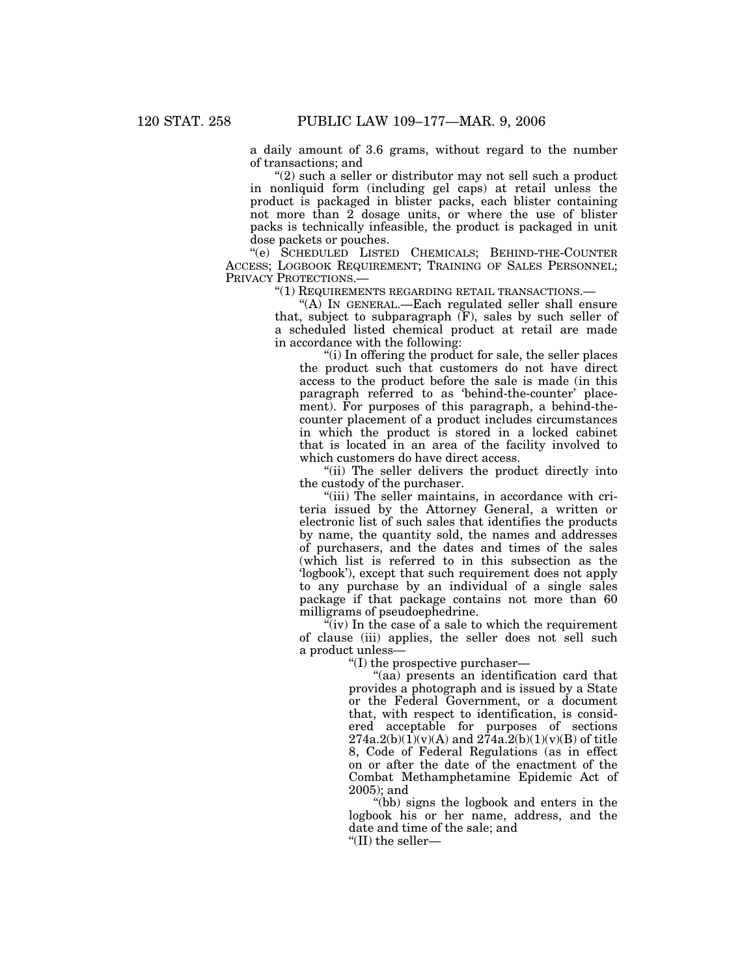a daily amount of 3.6 grams, without regard to the number of transactions; and

"(2) such a seller or distributor may not sell such a product in nonliquid form (including gel caps) at retail unless the product is packaged in blister packs, each blister containing not more than 2 dosage units, or where the use of blister packs is technically infeasible, the product is packaged in unit dose packets or pouches.

''(e) SCHEDULED LISTED CHEMICALS; BEHIND-THE-COUNTER ACCESS; LOGBOOK REQUIREMENT; TRAINING OF SALES PERSONNEL; PRIVACY PROTECTIONS.—

''(1) REQUIREMENTS REGARDING RETAIL TRANSACTIONS.—

''(A) IN GENERAL.—Each regulated seller shall ensure that, subject to subparagraph (F), sales by such seller of a scheduled listed chemical product at retail are made in accordance with the following:

''(i) In offering the product for sale, the seller places the product such that customers do not have direct access to the product before the sale is made (in this paragraph referred to as 'behind-the-counter' placement). For purposes of this paragraph, a behind-thecounter placement of a product includes circumstances in which the product is stored in a locked cabinet that is located in an area of the facility involved to which customers do have direct access.

"(ii) The seller delivers the product directly into the custody of the purchaser.

"(iii) The seller maintains, in accordance with criteria issued by the Attorney General, a written or electronic list of such sales that identifies the products by name, the quantity sold, the names and addresses of purchasers, and the dates and times of the sales (which list is referred to in this subsection as the 'logbook'), except that such requirement does not apply to any purchase by an individual of a single sales package if that package contains not more than 60 milligrams of pseudoephedrine.

"(iv) In the case of a sale to which the requirement of clause (iii) applies, the seller does not sell such a product unless—

''(I) the prospective purchaser—

''(aa) presents an identification card that provides a photograph and is issued by a State or the Federal Government, or a document that, with respect to identification, is considered acceptable for purposes of sections  $274a.2(b)(1)(v)(A)$  and  $274a.2(b)(1)(v)(B)$  of title 8, Code of Federal Regulations (as in effect on or after the date of the enactment of the Combat Methamphetamine Epidemic Act of 2005); and

''(bb) signs the logbook and enters in the logbook his or her name, address, and the date and time of the sale; and

''(II) the seller—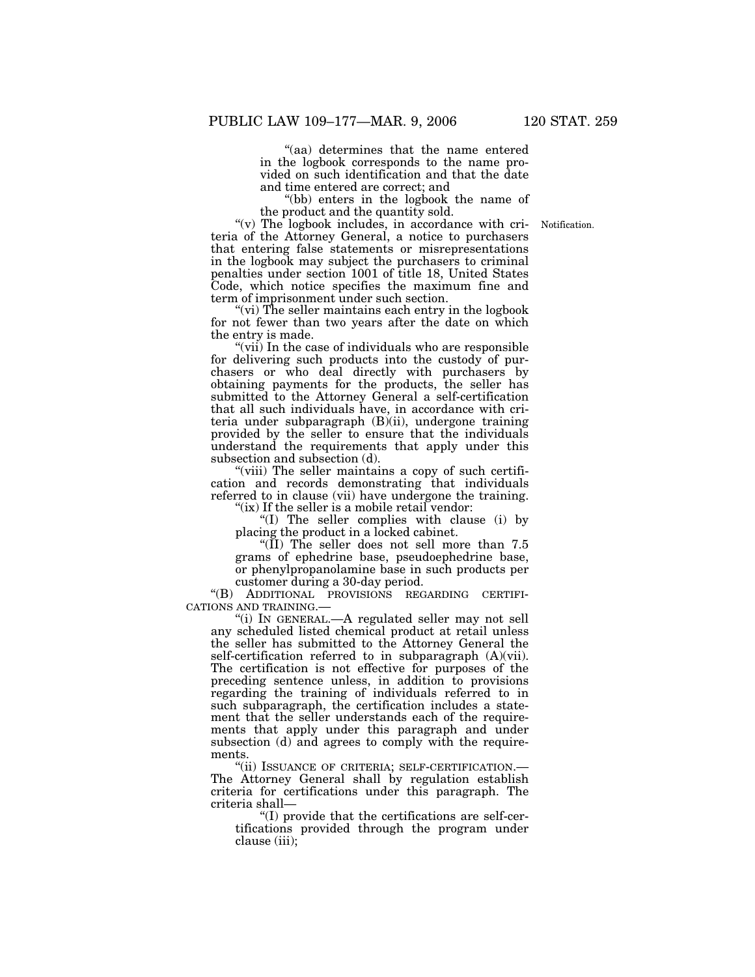''(aa) determines that the name entered in the logbook corresponds to the name provided on such identification and that the date and time entered are correct; and

''(bb) enters in the logbook the name of the product and the quantity sold.

Notification.

" $(v)$  The logbook includes, in accordance with criteria of the Attorney General, a notice to purchasers that entering false statements or misrepresentations in the logbook may subject the purchasers to criminal penalties under section 1001 of title 18, United States Code, which notice specifies the maximum fine and term of imprisonment under such section.

"(vi) The seller maintains each entry in the logbook" for not fewer than two years after the date on which the entry is made.

"(vii) In the case of individuals who are responsible for delivering such products into the custody of purchasers or who deal directly with purchasers by obtaining payments for the products, the seller has submitted to the Attorney General a self-certification that all such individuals have, in accordance with criteria under subparagraph  $(B)(ii)$ , undergone training provided by the seller to ensure that the individuals understand the requirements that apply under this subsection and subsection (d).

"(viii) The seller maintains a copy of such certification and records demonstrating that individuals referred to in clause (vii) have undergone the training. " $(ix)$  If the seller is a mobile retail vendor:

''(I) The seller complies with clause (i) by placing the product in a locked cabinet.

"( $\overline{II}$ ) The seller does not sell more than 7.5 grams of ephedrine base, pseudoephedrine base, or phenylpropanolamine base in such products per customer during a 30-day period.

''(B) ADDITIONAL PROVISIONS REGARDING CERTIFI-CATIONS AND TRAINING.—

(i) IN GENERAL.—A regulated seller may not sell any scheduled listed chemical product at retail unless the seller has submitted to the Attorney General the self-certification referred to in subparagraph (A)(vii). The certification is not effective for purposes of the preceding sentence unless, in addition to provisions regarding the training of individuals referred to in such subparagraph, the certification includes a statement that the seller understands each of the requirements that apply under this paragraph and under subsection (d) and agrees to comply with the require-

ments.<br>"(ii) ISSUANCE OF CRITERIA; SELF-CERTIFICATION.— The Attorney General shall by regulation establish criteria for certifications under this paragraph. The criteria shall—

''(I) provide that the certifications are self-certifications provided through the program under clause (iii);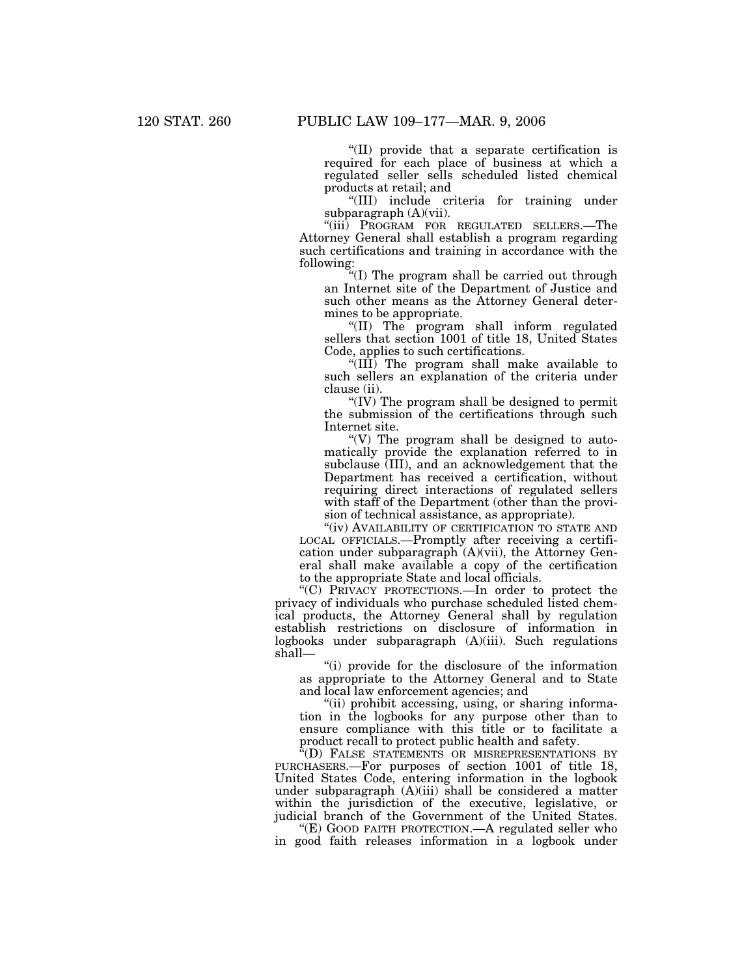''(II) provide that a separate certification is required for each place of business at which a regulated seller sells scheduled listed chemical products at retail; and

''(III) include criteria for training under subparagraph (A)(vii).

"(iii) PROGRAM FOR REGULATED SELLERS.—The Attorney General shall establish a program regarding such certifications and training in accordance with the following:

''(I) The program shall be carried out through an Internet site of the Department of Justice and such other means as the Attorney General determines to be appropriate.

"(II) The program shall inform regulated sellers that section 1001 of title 18, United States Code, applies to such certifications.

''(III) The program shall make available to such sellers an explanation of the criteria under clause (ii).

''(IV) The program shall be designed to permit the submission of the certifications through such Internet site.

"(V) The program shall be designed to automatically provide the explanation referred to in subclause (III), and an acknowledgement that the Department has received a certification, without requiring direct interactions of regulated sellers with staff of the Department (other than the provision of technical assistance, as appropriate).

"(iv) AVAILABILITY OF CERTIFICATION TO STATE AND LOCAL OFFICIALS.—Promptly after receiving a certification under subparagraph (A)(vii), the Attorney General shall make available a copy of the certification to the appropriate State and local officials.

''(C) PRIVACY PROTECTIONS.—In order to protect the privacy of individuals who purchase scheduled listed chemical products, the Attorney General shall by regulation establish restrictions on disclosure of information in logbooks under subparagraph (A)(iii). Such regulations shall—

''(i) provide for the disclosure of the information as appropriate to the Attorney General and to State and local law enforcement agencies; and

"(ii) prohibit accessing, using, or sharing information in the logbooks for any purpose other than to ensure compliance with this title or to facilitate a product recall to protect public health and safety.

''(D) FALSE STATEMENTS OR MISREPRESENTATIONS BY PURCHASERS.—For purposes of section 1001 of title 18, United States Code, entering information in the logbook under subparagraph (A)(iii) shall be considered a matter within the jurisdiction of the executive, legislative, or judicial branch of the Government of the United States.

"(E) GOOD FAITH PROTECTION.—A regulated seller who in good faith releases information in a logbook under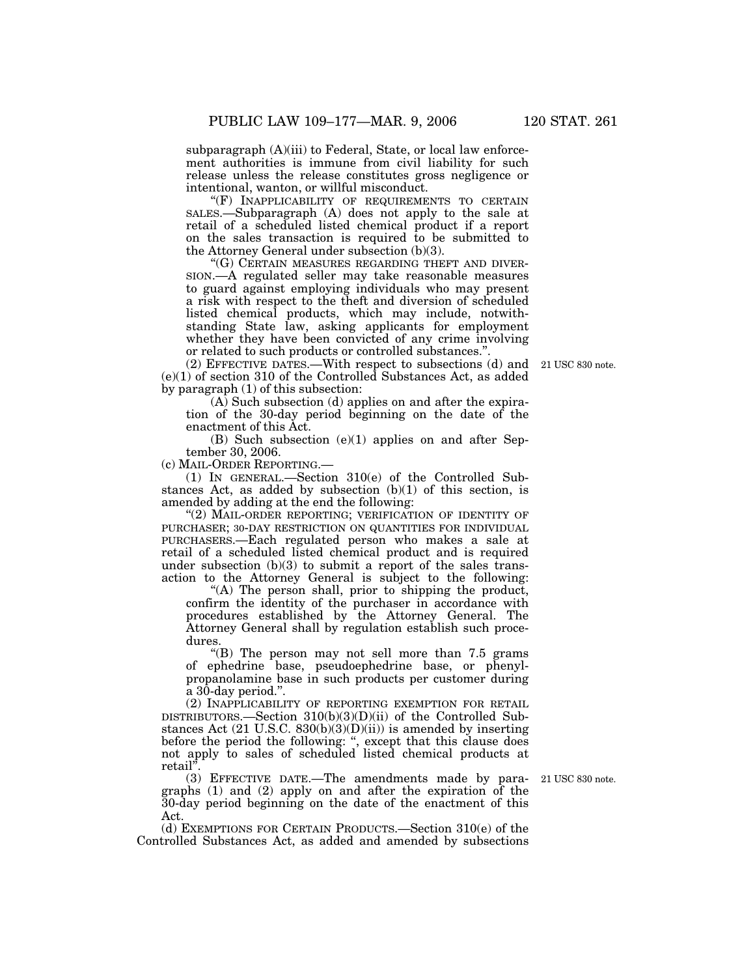subparagraph (A)(iii) to Federal, State, or local law enforcement authorities is immune from civil liability for such release unless the release constitutes gross negligence or intentional, wanton, or willful misconduct.

"(F) INAPPLICABILITY OF REQUIREMENTS TO CERTAIN SALES.—Subparagraph (A) does not apply to the sale at retail of a scheduled listed chemical product if a report on the sales transaction is required to be submitted to the Attorney General under subsection (b)(3).

"(G) CERTAIN MEASURES REGARDING THEFT AND DIVER-SION.—A regulated seller may take reasonable measures to guard against employing individuals who may present a risk with respect to the theft and diversion of scheduled listed chemical products, which may include, notwithstanding State law, asking applicants for employment whether they have been convicted of any crime involving or related to such products or controlled substances.''.

(2) EFFECTIVE DATES.—With respect to subsections (d) and (e)(1) of section 310 of the Controlled Substances Act, as added by paragraph (1) of this subsection:

(A) Such subsection (d) applies on and after the expiration of the 30-day period beginning on the date of the enactment of this Act.

(B) Such subsection (e)(1) applies on and after September 30, 2006.

(c) MAIL-ORDER REPORTING.—

(1) IN GENERAL.—Section 310(e) of the Controlled Substances Act, as added by subsection  $(b)(1)$  of this section, is amended by adding at the end the following:

"(2) MAIL-ORDER REPORTING; VERIFICATION OF IDENTITY OF PURCHASER; 30-DAY RESTRICTION ON QUANTITIES FOR INDIVIDUAL PURCHASERS.—Each regulated person who makes a sale at retail of a scheduled listed chemical product and is required under subsection  $(b)(3)$  to submit a report of the sales transaction to the Attorney General is subject to the following:

"(A) The person shall, prior to shipping the product, confirm the identity of the purchaser in accordance with procedures established by the Attorney General. The Attorney General shall by regulation establish such procedures.

"(B) The person may not sell more than  $7.5$  grams of ephedrine base, pseudoephedrine base, or phenylpropanolamine base in such products per customer during a 30-day period.''.

(2) INAPPLICABILITY OF REPORTING EXEMPTION FOR RETAIL DISTRIBUTORS.—Section  $310(b)(3)(D)(ii)$  of the Controlled Substances Act  $(21 \text{ U.S.C. } 830(b)(3)(D)(ii))$  is amended by inserting before the period the following: '', except that this clause does not apply to sales of scheduled listed chemical products at retail"

(3) EFFECTIVE DATE.—The amendments made by paragraphs (1) and (2) apply on and after the expiration of the 30-day period beginning on the date of the enactment of this Act.

(d) EXEMPTIONS FOR CERTAIN PRODUCTS.—Section 310(e) of the Controlled Substances Act, as added and amended by subsections

21 USC 830 note.

21 USC 830 note.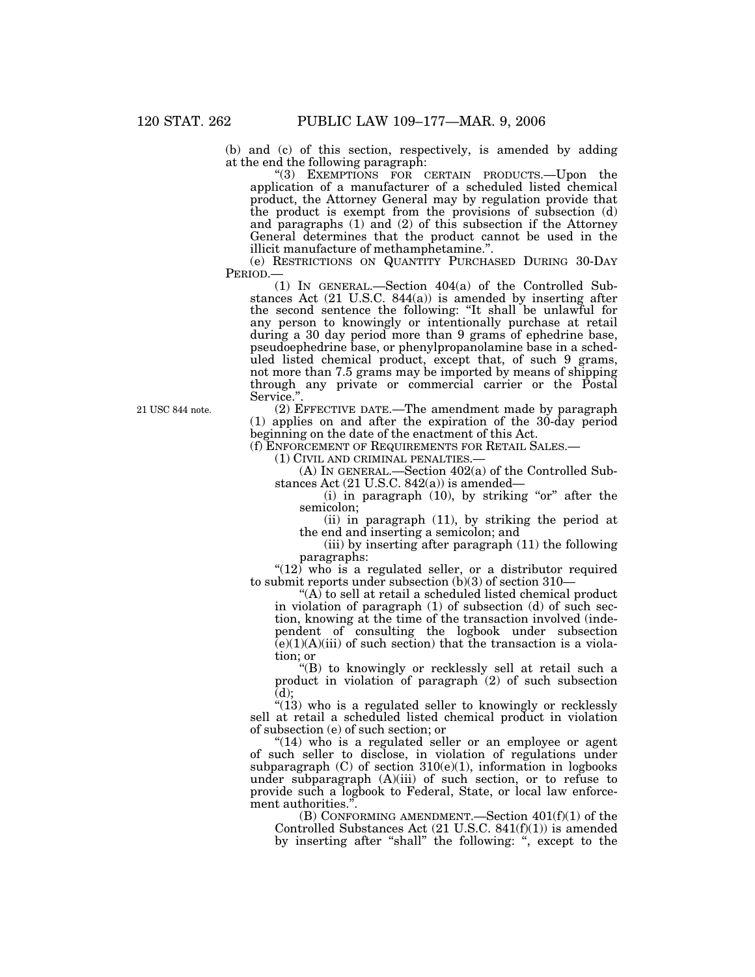(b) and (c) of this section, respectively, is amended by adding at the end the following paragraph:

''(3) EXEMPTIONS FOR CERTAIN PRODUCTS.—Upon the application of a manufacturer of a scheduled listed chemical product, the Attorney General may by regulation provide that the product is exempt from the provisions of subsection (d) and paragraphs (1) and (2) of this subsection if the Attorney General determines that the product cannot be used in the illicit manufacture of methamphetamine.''.

(e) RESTRICTIONS ON QUANTITY PURCHASED DURING 30-DAY PERIOD.—

(1) IN GENERAL.—Section 404(a) of the Controlled Substances Act (21 U.S.C. 844(a)) is amended by inserting after the second sentence the following: ''It shall be unlawful for any person to knowingly or intentionally purchase at retail during a 30 day period more than 9 grams of ephedrine base, pseudoephedrine base, or phenylpropanolamine base in a scheduled listed chemical product, except that, of such 9 grams, not more than 7.5 grams may be imported by means of shipping through any private or commercial carrier or the Postal Service.''.

(2) EFFECTIVE DATE.—The amendment made by paragraph (1) applies on and after the expiration of the 30-day period beginning on the date of the enactment of this Act.

(f) ENFORCEMENT OF REQUIREMENTS FOR RETAIL SALES.—

(1) CIVIL AND CRIMINAL PENALTIES.—

(A) IN GENERAL.—Section 402(a) of the Controlled Substances Act (21 U.S.C. 842(a)) is amended—

(i) in paragraph  $(10)$ , by striking "or" after the semicolon;

(ii) in paragraph (11), by striking the period at the end and inserting a semicolon; and

(iii) by inserting after paragraph (11) the following paragraphs:

" $(12)$  who is a regulated seller, or a distributor required to submit reports under subsection (b)(3) of section 310—

''(A) to sell at retail a scheduled listed chemical product in violation of paragraph (1) of subsection (d) of such section, knowing at the time of the transaction involved (independent of consulting the logbook under subsection  $\bar{e}$ (e)(1)(A)(iii) of such section) that the transaction is a violation; or

''(B) to knowingly or recklessly sell at retail such a product in violation of paragraph (2) of such subsection (d);

" $(13)$  who is a regulated seller to knowingly or recklessly sell at retail a scheduled listed chemical product in violation of subsection (e) of such section; or

"(14) who is a regulated seller or an employee or agent of such seller to disclose, in violation of regulations under subparagraph  $(C)$  of section  $310(e)(1)$ , information in logbooks under subparagraph (A)(iii) of such section, or to refuse to provide such a logbook to Federal, State, or local law enforcement authorities."

(B) CONFORMING AMENDMENT.—Section  $401(f)(1)$  of the Controlled Substances Act (21 U.S.C. 841(f)(1)) is amended by inserting after ''shall'' the following: '', except to the

21 USC 844 note.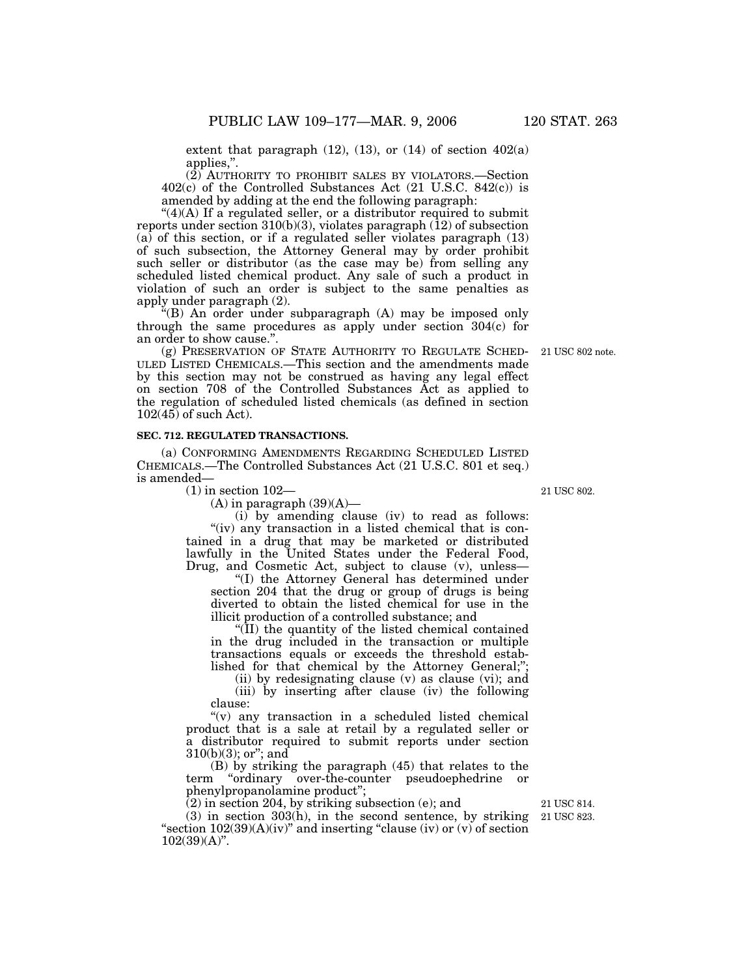extent that paragraph  $(12)$ ,  $(13)$ , or  $(14)$  of section  $402(a)$ applies,''.

(2) AUTHORITY TO PROHIBIT SALES BY VIOLATORS.—Section  $402(c)$  of the Controlled Substances Act  $(21 \text{ U.S.C. } 842(c))$  is amended by adding at the end the following paragraph:

 $\mathcal{L}(4)(A)$  If a regulated seller, or a distributor required to submit reports under section  $310(b)(3)$ , violates paragraph  $(12)$  of subsection  $(a)$  of this section, or if a regulated seller violates paragraph  $(13)$ of such subsection, the Attorney General may by order prohibit such seller or distributor (as the case may be) from selling any scheduled listed chemical product. Any sale of such a product in violation of such an order is subject to the same penalties as apply under paragraph (2).

 $f'(B)$  An order under subparagraph  $(A)$  may be imposed only through the same procedures as apply under section 304(c) for an order to show cause.''.

(g) PRESERVATION OF STATE AUTHORITY TO REGULATE SCHED-ULED LISTED CHEMICALS.—This section and the amendments made by this section may not be construed as having any legal effect on section 708 of the Controlled Substances Act as applied to the regulation of scheduled listed chemicals (as defined in section 102(45) of such Act).

#### **SEC. 712. REGULATED TRANSACTIONS.**

(a) CONFORMING AMENDMENTS REGARDING SCHEDULED LISTED CHEMICALS.—The Controlled Substances Act (21 U.S.C. 801 et seq.) is amended—

 $(1)$  in section  $102-$ 

 $(A)$  in paragraph  $(39)(A)$ —

(i) by amending clause (iv) to read as follows: "(iv) any transaction in a listed chemical that is contained in a drug that may be marketed or distributed lawfully in the United States under the Federal Food, Drug, and Cosmetic Act, subject to clause (v), unless—

''(I) the Attorney General has determined under section 204 that the drug or group of drugs is being diverted to obtain the listed chemical for use in the illicit production of a controlled substance; and

''(II) the quantity of the listed chemical contained in the drug included in the transaction or multiple transactions equals or exceeds the threshold established for that chemical by the Attorney General;'';

(ii) by redesignating clause (v) as clause (vi); and

(iii) by inserting after clause (iv) the following clause:

''(v) any transaction in a scheduled listed chemical product that is a sale at retail by a regulated seller or a distributor required to submit reports under section  $310(b)(3)$ ; or"; and

(B) by striking the paragraph  $(45)$  that relates to the term "ordinary over-the-counter pseudoephedrine or "ordinary over-the-counter pseudoephedrine or phenylpropanolamine product'';

 $(2)$  in section 204, by striking subsection (e); and

(3) in section 303(h), in the second sentence, by striking 21 USC 823. "section 102(39)(A)(iv)" and inserting "clause (iv) or (v) of section 102(39)(A)''.

21 USC 814.

21 USC 802.

21 USC 802 note.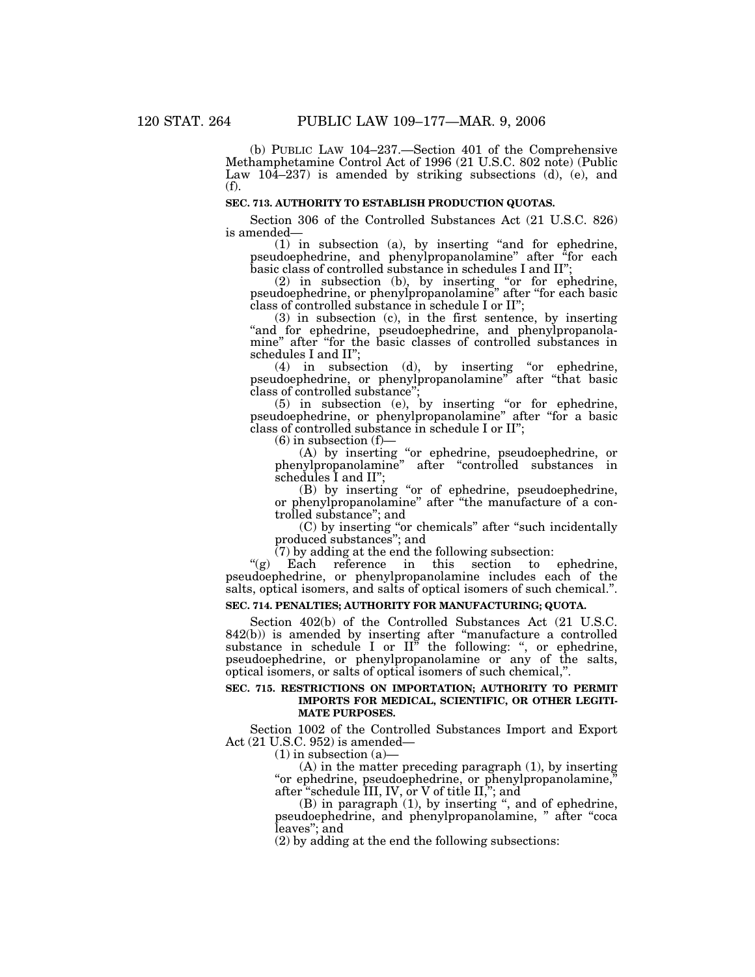(b) PUBLIC LAW 104–237.—Section 401 of the Comprehensive Methamphetamine Control Act of 1996 (21 U.S.C. 802 note) (Public Law  $104-237$  is amended by striking subsections (d), (e), and (f).

## **SEC. 713. AUTHORITY TO ESTABLISH PRODUCTION QUOTAS.**

Section 306 of the Controlled Substances Act (21 U.S.C. 826) is amended—

(1) in subsection (a), by inserting ''and for ephedrine, pseudoephedrine, and phenylpropanolamine" after "for each basic class of controlled substance in schedules I and II'';

(2) in subsection (b), by inserting ''or for ephedrine, pseudoephedrine, or phenylpropanolamine'' after ''for each basic class of controlled substance in schedule I or II'';

(3) in subsection (c), in the first sentence, by inserting "and for ephedrine, pseudoephedrine, and phenylpropanolamine'' after ''for the basic classes of controlled substances in schedules I and II'';

(4) in subsection (d), by inserting ''or ephedrine, pseudoephedrine, or phenylpropanolamine'' after ''that basic class of controlled substance'';

(5) in subsection (e), by inserting ''or for ephedrine, pseudoephedrine, or phenylpropanolamine'' after ''for a basic class of controlled substance in schedule I or II'';

 $(6)$  in subsection  $(f)$ —

(A) by inserting ''or ephedrine, pseudoephedrine, or phenylpropanolamine'' after ''controlled substances in schedules I and II'';

(B) by inserting ''or of ephedrine, pseudoephedrine, or phenylpropanolamine'' after ''the manufacture of a controlled substance''; and

(C) by inserting ''or chemicals'' after ''such incidentally produced substances''; and

 $(7)$  by adding at the end the following subsection:<br>"(g) Each reference in this section to

Each reference in this section to ephedrine, pseudoephedrine, or phenylpropanolamine includes each of the salts, optical isomers, and salts of optical isomers of such chemical.''.

## **SEC. 714. PENALTIES; AUTHORITY FOR MANUFACTURING; QUOTA.**

Section 402(b) of the Controlled Substances Act (21 U.S.C. 842(b)) is amended by inserting after ''manufacture a controlled substance in schedule I or II<sup>"</sup> the following: ", or ephedrine, pseudoephedrine, or phenylpropanolamine or any of the salts, optical isomers, or salts of optical isomers of such chemical,''.

### **SEC. 715. RESTRICTIONS ON IMPORTATION; AUTHORITY TO PERMIT IMPORTS FOR MEDICAL, SCIENTIFIC, OR OTHER LEGITI-MATE PURPOSES.**

Section 1002 of the Controlled Substances Import and Export Act (21 U.S.C. 952) is amended—

 $(1)$  in subsection  $(a)$ 

(A) in the matter preceding paragraph (1), by inserting ''or ephedrine, pseudoephedrine, or phenylpropanolamine,'' after "schedule III, IV, or V of title II,"; and

(B) in paragraph (1), by inserting '', and of ephedrine, pseudoephedrine, and phenylpropanolamine, " after "coca leaves''; and

(2) by adding at the end the following subsections: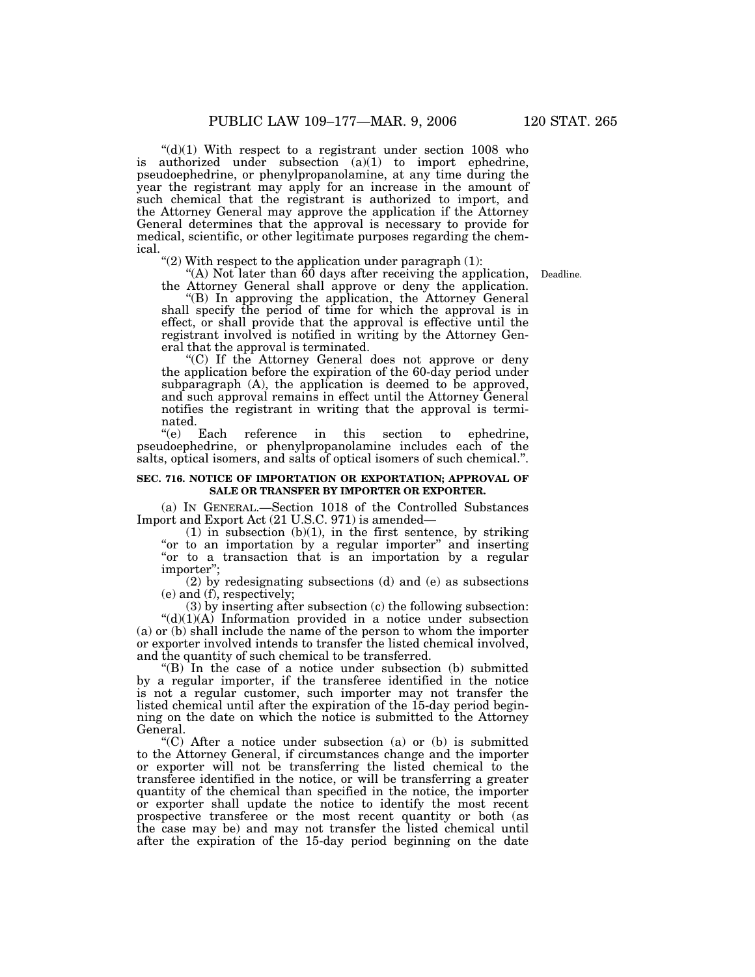" $(d)(1)$  With respect to a registrant under section 1008 who is authorized under subsection (a)(1) to import ephedrine, pseudoephedrine, or phenylpropanolamine, at any time during the year the registrant may apply for an increase in the amount of such chemical that the registrant is authorized to import, and the Attorney General may approve the application if the Attorney General determines that the approval is necessary to provide for medical, scientific, or other legitimate purposes regarding the chemical.

" $(2)$  With respect to the application under paragraph  $(1)$ :

''(A) Not later than 60 days after receiving the application, Deadline. the Attorney General shall approve or deny the application.

"(B) In approving the application, the Attorney General shall specify the period of time for which the approval is in effect, or shall provide that the approval is effective until the registrant involved is notified in writing by the Attorney General that the approval is terminated.

''(C) If the Attorney General does not approve or deny the application before the expiration of the 60-day period under subparagraph (A), the application is deemed to be approved, and such approval remains in effect until the Attorney General notifies the registrant in writing that the approval is terminated.<br>" $(e)$ 

Each reference in this section to ephedrine, pseudoephedrine, or phenylpropanolamine includes each of the salts, optical isomers, and salts of optical isomers of such chemical.''.

### **SEC. 716. NOTICE OF IMPORTATION OR EXPORTATION; APPROVAL OF SALE OR TRANSFER BY IMPORTER OR EXPORTER.**

(a) IN GENERAL.—Section 1018 of the Controlled Substances Import and Export Act (21 U.S.C. 971) is amended—

 $(1)$  in subsection  $(b)(1)$ , in the first sentence, by striking "or to an importation by a regular importer" and inserting "or to a transaction that is an importation by a regular importer'';

(2) by redesignating subsections (d) and (e) as subsections (e) and (f), respectively;

(3) by inserting after subsection (c) the following subsection:  $"(d)(1)(A)$  Information provided in a notice under subsection (a) or (b) shall include the name of the person to whom the importer or exporter involved intends to transfer the listed chemical involved, and the quantity of such chemical to be transferred.

" $(B)$  In the case of a notice under subsection (b) submitted by a regular importer, if the transferee identified in the notice is not a regular customer, such importer may not transfer the listed chemical until after the expiration of the 15-day period beginning on the date on which the notice is submitted to the Attorney General.

''(C) After a notice under subsection (a) or (b) is submitted to the Attorney General, if circumstances change and the importer or exporter will not be transferring the listed chemical to the transferee identified in the notice, or will be transferring a greater quantity of the chemical than specified in the notice, the importer or exporter shall update the notice to identify the most recent prospective transferee or the most recent quantity or both (as the case may be) and may not transfer the listed chemical until after the expiration of the 15-day period beginning on the date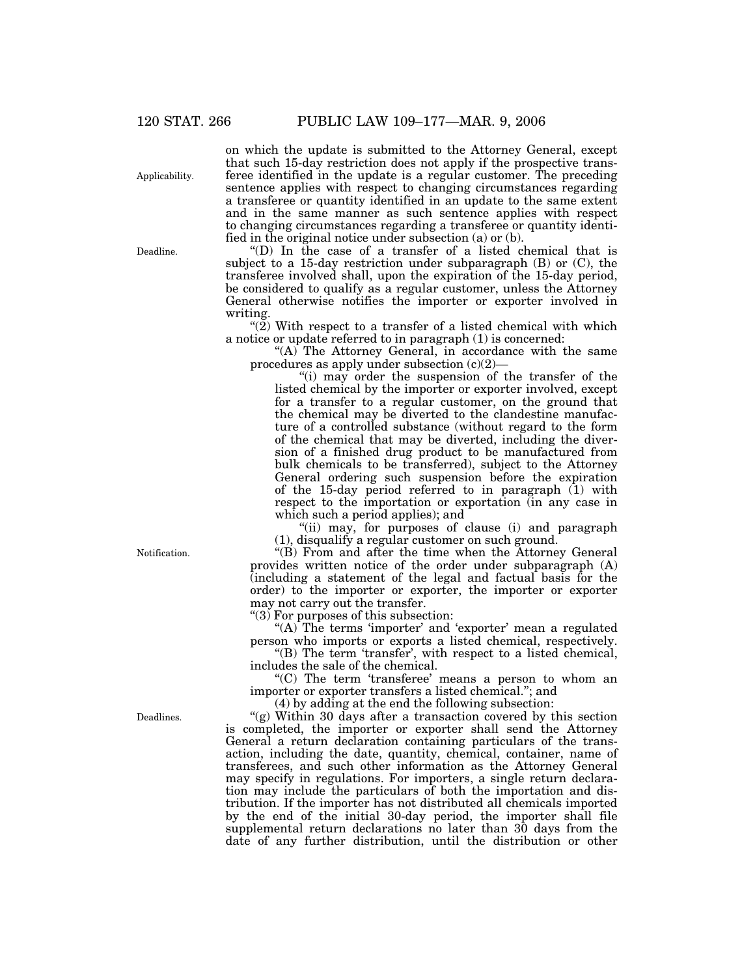Applicability.

on which the update is submitted to the Attorney General, except that such 15-day restriction does not apply if the prospective transferee identified in the update is a regular customer. The preceding sentence applies with respect to changing circumstances regarding a transferee or quantity identified in an update to the same extent and in the same manner as such sentence applies with respect to changing circumstances regarding a transferee or quantity identified in the original notice under subsection (a) or (b).

''(D) In the case of a transfer of a listed chemical that is subject to a 15-day restriction under subparagraph  $(B)$  or  $(C)$ , the transferee involved shall, upon the expiration of the 15-day period, be considered to qualify as a regular customer, unless the Attorney General otherwise notifies the importer or exporter involved in writing.

" $(2)$  With respect to a transfer of a listed chemical with which a notice or update referred to in paragraph (1) is concerned:

" $(A)$  The Attorney General, in accordance with the same procedures as apply under subsection  $(c)(2)$ 

"(i) may order the suspension of the transfer of the listed chemical by the importer or exporter involved, except for a transfer to a regular customer, on the ground that the chemical may be diverted to the clandestine manufacture of a controlled substance (without regard to the form of the chemical that may be diverted, including the diversion of a finished drug product to be manufactured from bulk chemicals to be transferred), subject to the Attorney General ordering such suspension before the expiration of the 15-day period referred to in paragraph (1) with respect to the importation or exportation (in any case in which such a period applies); and

"(ii) may, for purposes of clause (i) and paragraph (1), disqualify a regular customer on such ground.

 $\cdot$ (B) From and after the time when the Attorney General provides written notice of the order under subparagraph (A) (including a statement of the legal and factual basis for the order) to the importer or exporter, the importer or exporter may not carry out the transfer.

''(3) For purposes of this subsection:

" $(A)$  The terms 'importer' and 'exporter' mean a regulated person who imports or exports a listed chemical, respectively. ''(B) The term 'transfer', with respect to a listed chemical, includes the sale of the chemical.

''(C) The term 'transferee' means a person to whom an importer or exporter transfers a listed chemical.''; and

(4) by adding at the end the following subsection:

" $(g)$  Within 30 days after a transaction covered by this section is completed, the importer or exporter shall send the Attorney General a return declaration containing particulars of the transaction, including the date, quantity, chemical, container, name of transferees, and such other information as the Attorney General may specify in regulations. For importers, a single return declaration may include the particulars of both the importation and distribution. If the importer has not distributed all chemicals imported by the end of the initial 30-day period, the importer shall file supplemental return declarations no later than 30 days from the date of any further distribution, until the distribution or other

Deadline.

Notification.

Deadlines.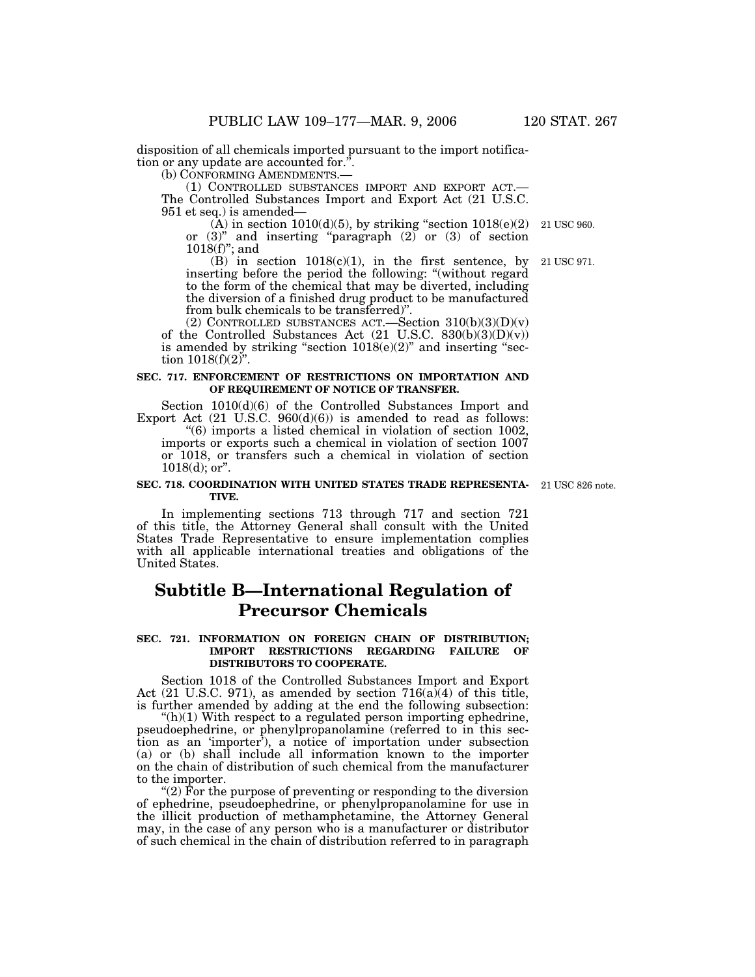disposition of all chemicals imported pursuant to the import notification or any update are accounted for.''.

(b) CONFORMING AMENDMENTS.—<br>(1) CONTROLLED SUBSTANCES IMPORT AND EXPORT ACT.-The Controlled Substances Import and Export Act (21 U.S.C. 951 et seq.) is amended—

 $(\hat{A})$  in section 1010(d)(5), by striking "section 1018(e)(2) or  $(3)$ " and inserting "paragraph  $(2)$  or  $(3)$  of section 1018(f)''; and 21 USC 960.

(B) in section  $1018(c)(1)$ , in the first sentence, by inserting before the period the following: ''(without regard to the form of the chemical that may be diverted, including the diversion of a finished drug product to be manufactured from bulk chemicals to be transferred)''.

(2) CONTROLLED SUBSTANCES ACT.—Section  $310(b)(3)(D)(v)$ of the Controlled Substances Act  $(21 \text{ U.S.C. } 830(b)(3)(D)(v))$ is amended by striking "section  $1018(e)(2)$ " and inserting "section  $1018(f)(2)$ ".

#### **SEC. 717. ENFORCEMENT OF RESTRICTIONS ON IMPORTATION AND OF REQUIREMENT OF NOTICE OF TRANSFER.**

Section 1010(d)(6) of the Controlled Substances Import and Export Act  $(21 \text{ U.S.C. } 960(d)(6))$  is amended to read as follows: ''(6) imports a listed chemical in violation of section 1002, imports or exports such a chemical in violation of section 1007 or 1018, or transfers such a chemical in violation of section 1018(d); or''.

#### **SEC. 718. COORDINATION WITH UNITED STATES TRADE REPRESENTA-**21 USC 826 note. **TIVE.**

In implementing sections 713 through 717 and section 721 of this title, the Attorney General shall consult with the United States Trade Representative to ensure implementation complies with all applicable international treaties and obligations of the United States.

## **Subtitle B—International Regulation of Precursor Chemicals**

## **SEC. 721. INFORMATION ON FOREIGN CHAIN OF DISTRIBUTION; IMPORT RESTRICTIONS REGARDING FAILURE OF DISTRIBUTORS TO COOPERATE.**

Section 1018 of the Controlled Substances Import and Export Act  $(21 \text{ U.S.C. } 971)$ , as amended by section  $716(a)(4)$  of this title, is further amended by adding at the end the following subsection:

" $(h)(1)$  With respect to a regulated person importing ephedrine, pseudoephedrine, or phenylpropanolamine (referred to in this section as an 'importer'), a notice of importation under subsection (a) or (b) shall include all information known to the importer on the chain of distribution of such chemical from the manufacturer to the importer.

"(2) For the purpose of preventing or responding to the diversion of ephedrine, pseudoephedrine, or phenylpropanolamine for use in the illicit production of methamphetamine, the Attorney General may, in the case of any person who is a manufacturer or distributor of such chemical in the chain of distribution referred to in paragraph

21 USC 971.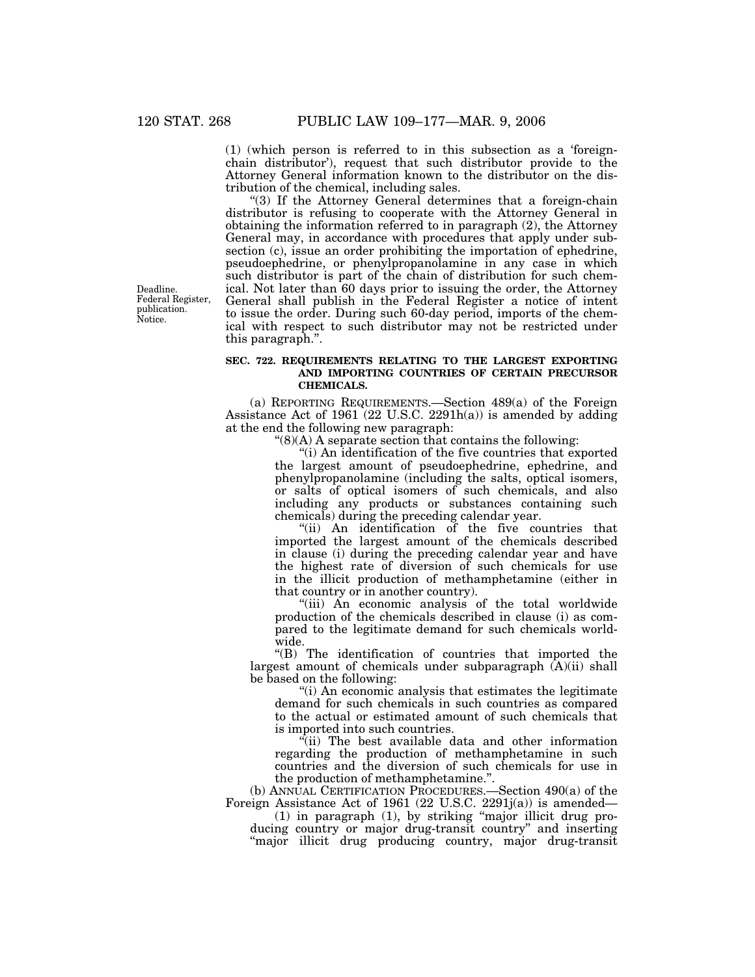(1) (which person is referred to in this subsection as a 'foreignchain distributor'), request that such distributor provide to the Attorney General information known to the distributor on the distribution of the chemical, including sales.

"(3) If the Attorney General determines that a foreign-chain distributor is refusing to cooperate with the Attorney General in obtaining the information referred to in paragraph (2), the Attorney General may, in accordance with procedures that apply under subsection (c), issue an order prohibiting the importation of ephedrine, pseudoephedrine, or phenylpropanolamine in any case in which such distributor is part of the chain of distribution for such chemical. Not later than 60 days prior to issuing the order, the Attorney General shall publish in the Federal Register a notice of intent to issue the order. During such 60-day period, imports of the chemical with respect to such distributor may not be restricted under this paragraph.''.

## **SEC. 722. REQUIREMENTS RELATING TO THE LARGEST EXPORTING AND IMPORTING COUNTRIES OF CERTAIN PRECURSOR CHEMICALS.**

(a) REPORTING REQUIREMENTS.—Section 489(a) of the Foreign Assistance Act of 1961 (22 U.S.C. 2291h(a)) is amended by adding at the end the following new paragraph:

''(8)(A) A separate section that contains the following:

''(i) An identification of the five countries that exported the largest amount of pseudoephedrine, ephedrine, and phenylpropanolamine (including the salts, optical isomers, or salts of optical isomers of such chemicals, and also including any products or substances containing such chemicals) during the preceding calendar year.

''(ii) An identification of the five countries that imported the largest amount of the chemicals described in clause (i) during the preceding calendar year and have the highest rate of diversion of such chemicals for use in the illicit production of methamphetamine (either in that country or in another country).

"(iii) An economic analysis of the total worldwide production of the chemicals described in clause (i) as compared to the legitimate demand for such chemicals worldwide.

''(B) The identification of countries that imported the largest amount of chemicals under subparagraph  $(A)(ii)$  shall be based on the following:

''(i) An economic analysis that estimates the legitimate demand for such chemicals in such countries as compared to the actual or estimated amount of such chemicals that is imported into such countries.

''(ii) The best available data and other information regarding the production of methamphetamine in such countries and the diversion of such chemicals for use in the production of methamphetamine.''.

(b) ANNUAL CERTIFICATION PROCEDURES.—Section 490(a) of the Foreign Assistance Act of 1961 (22 U.S.C. 2291j(a)) is amended—

(1) in paragraph (1), by striking ''major illicit drug producing country or major drug-transit country'' and inserting ''major illicit drug producing country, major drug-transit

Deadline. Federal Register, publication. Notice.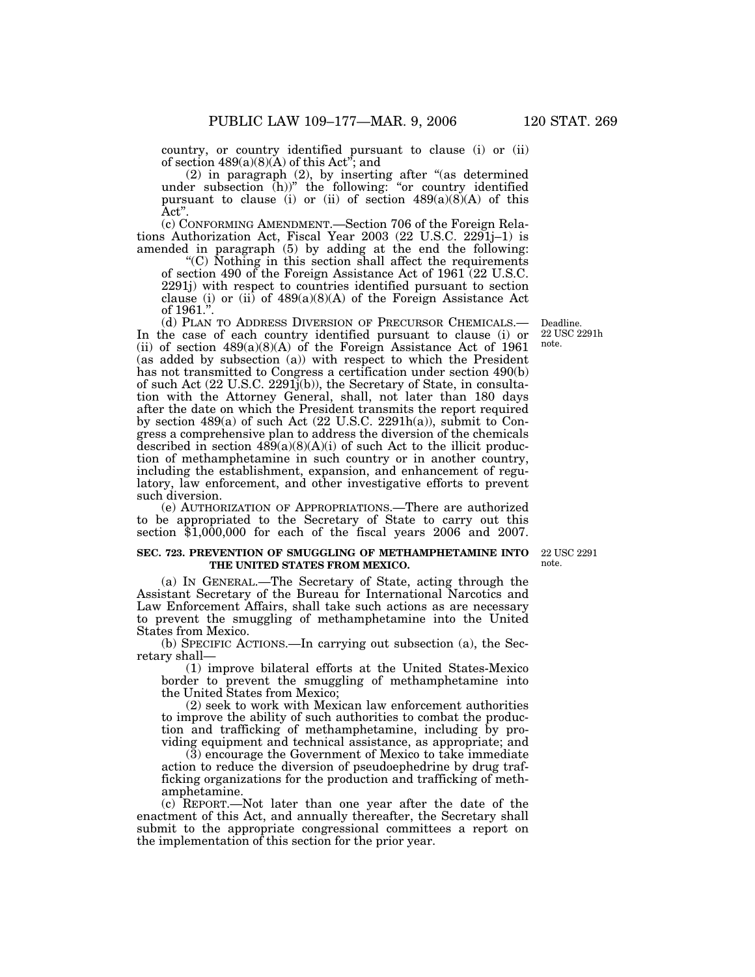country, or country identified pursuant to clause (i) or (ii) of section 489(a)(8)(A) of this Act''; and

(2) in paragraph (2), by inserting after ''(as determined under subsection (h))'' the following: ''or country identified pursuant to clause (i) or (ii) of section 489(a)(8)(A) of this Act''.

(c) CONFORMING AMENDMENT.—Section 706 of the Foreign Relations Authorization Act, Fiscal Year 2003 (22 U.S.C. 2291j–1) is amended in paragraph (5) by adding at the end the following:

''(C) Nothing in this section shall affect the requirements of section 490 of the Foreign Assistance Act of 1961 (22 U.S.C. 2291j) with respect to countries identified pursuant to section clause (i) or (ii) of  $489(a)(8)(A)$  of the Foreign Assistance Act of 1961.".<br>(d) Plan to Address Diversion of Precursor Chemicals.—

In the case of each country identified pursuant to clause (i) or (ii) of section  $489(a)(8)(A)$  of the Foreign Assistance Act of 1961 (as added by subsection (a)) with respect to which the President has not transmitted to Congress a certification under section 490(b) of such Act (22 U.S.C. 2291j(b)), the Secretary of State, in consultation with the Attorney General, shall, not later than 180 days after the date on which the President transmits the report required by section 489(a) of such Act (22 U.S.C. 2291h(a)), submit to Congress a comprehensive plan to address the diversion of the chemicals described in section  $489(a)(8)(A)(i)$  of such Act to the illicit production of methamphetamine in such country or in another country, including the establishment, expansion, and enhancement of regulatory, law enforcement, and other investigative efforts to prevent such diversion.

(e) AUTHORIZATION OF APPROPRIATIONS.—There are authorized to be appropriated to the Secretary of State to carry out this section \$1,000,000 for each of the fiscal years 2006 and 2007.

#### **SEC. 723. PREVENTION OF SMUGGLING OF METHAMPHETAMINE INTO THE UNITED STATES FROM MEXICO.**

(a) IN GENERAL.—The Secretary of State, acting through the Assistant Secretary of the Bureau for International Narcotics and Law Enforcement Affairs, shall take such actions as are necessary to prevent the smuggling of methamphetamine into the United States from Mexico.

(b) SPECIFIC ACTIONS.—In carrying out subsection (a), the Secretary shall—

(1) improve bilateral efforts at the United States-Mexico border to prevent the smuggling of methamphetamine into the United States from Mexico;

(2) seek to work with Mexican law enforcement authorities to improve the ability of such authorities to combat the production and trafficking of methamphetamine, including by providing equipment and technical assistance, as appropriate; and

(3) encourage the Government of Mexico to take immediate action to reduce the diversion of pseudoephedrine by drug trafficking organizations for the production and trafficking of methamphetamine.

(c) REPORT.—Not later than one year after the date of the enactment of this Act, and annually thereafter, the Secretary shall submit to the appropriate congressional committees a report on the implementation of this section for the prior year.

22 USC 2291h note.

Deadline.

22 USC 2291 note.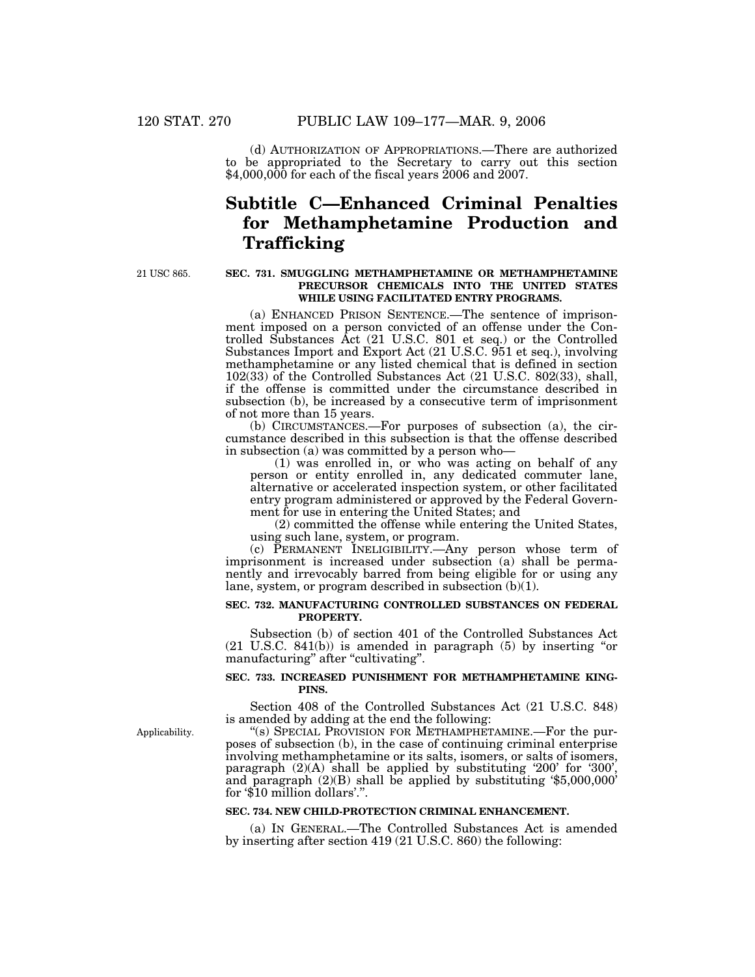(d) AUTHORIZATION OF APPROPRIATIONS.—There are authorized to be appropriated to the Secretary to carry out this section \$4,000,000 for each of the fiscal years 2006 and 2007.

# **Subtitle C—Enhanced Criminal Penalties for Methamphetamine Production and Trafficking**

21 USC 865.

#### **SEC. 731. SMUGGLING METHAMPHETAMINE OR METHAMPHETAMINE PRECURSOR CHEMICALS INTO THE UNITED STATES WHILE USING FACILITATED ENTRY PROGRAMS.**

(a) ENHANCED PRISON SENTENCE.—The sentence of imprisonment imposed on a person convicted of an offense under the Controlled Substances Act (21 U.S.C. 801 et seq.) or the Controlled Substances Import and Export Act (21 U.S.C. 951 et seq.), involving methamphetamine or any listed chemical that is defined in section 102(33) of the Controlled Substances Act (21 U.S.C. 802(33), shall, if the offense is committed under the circumstance described in subsection (b), be increased by a consecutive term of imprisonment of not more than 15 years.

(b) CIRCUMSTANCES.—For purposes of subsection (a), the circumstance described in this subsection is that the offense described in subsection (a) was committed by a person who—

(1) was enrolled in, or who was acting on behalf of any person or entity enrolled in, any dedicated commuter lane, alternative or accelerated inspection system, or other facilitated entry program administered or approved by the Federal Government for use in entering the United States; and

(2) committed the offense while entering the United States, using such lane, system, or program.

(c) PERMANENT INELIGIBILITY.—Any person whose term of imprisonment is increased under subsection (a) shall be permanently and irrevocably barred from being eligible for or using any lane, system, or program described in subsection (b)(1).

## **SEC. 732. MANUFACTURING CONTROLLED SUBSTANCES ON FEDERAL PROPERTY.**

Subsection (b) of section 401 of the Controlled Substances Act  $(21 \text{ U.S.C. } 841(b))$  is amended in paragraph  $(5)$  by inserting "or manufacturing" after "cultivating".

## **SEC. 733. INCREASED PUNISHMENT FOR METHAMPHETAMINE KING-PINS.**

Section 408 of the Controlled Substances Act (21 U.S.C. 848) is amended by adding at the end the following:

Applicability.

''(s) SPECIAL PROVISION FOR METHAMPHETAMINE.—For the purposes of subsection (b), in the case of continuing criminal enterprise involving methamphetamine or its salts, isomers, or salts of isomers, paragraph (2)(A) shall be applied by substituting '200' for '300', and paragraph (2)(B) shall be applied by substituting '\$5,000,000' for '\$10 million dollars'.''.

#### **SEC. 734. NEW CHILD-PROTECTION CRIMINAL ENHANCEMENT.**

(a) IN GENERAL.—The Controlled Substances Act is amended by inserting after section 419 (21 U.S.C. 860) the following: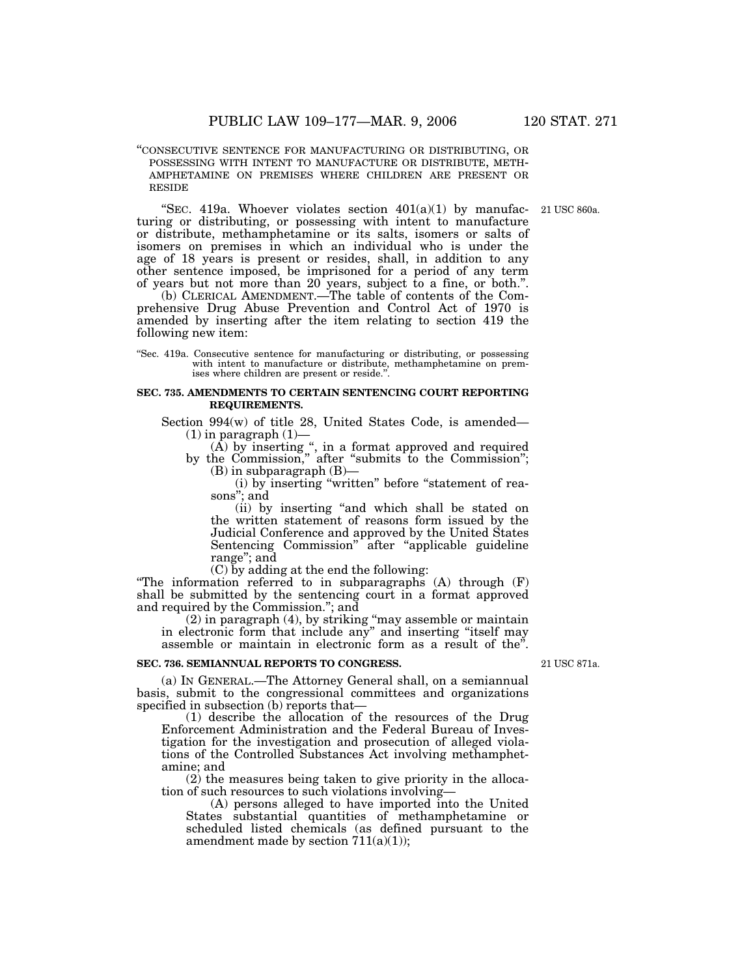## ''CONSECUTIVE SENTENCE FOR MANUFACTURING OR DISTRIBUTING, OR POSSESSING WITH INTENT TO MANUFACTURE OR DISTRIBUTE, METH- AMPHETAMINE ON PREMISES WHERE CHILDREN ARE PRESENT OR RESIDE

"SEC. 419a. Whoever violates section  $401(a)(1)$  by manufac- 21 USC 860a. turing or distributing, or possessing with intent to manufacture or distribute, methamphetamine or its salts, isomers or salts of isomers on premises in which an individual who is under the age of 18 years is present or resides, shall, in addition to any other sentence imposed, be imprisoned for a period of any term of years but not more than 20 years, subject to a fine, or both.''.

(b) CLERICAL AMENDMENT.—The table of contents of the Comprehensive Drug Abuse Prevention and Control Act of 1970 is amended by inserting after the item relating to section 419 the following new item:

''Sec. 419a. Consecutive sentence for manufacturing or distributing, or possessing with intent to manufacture or distribute, methamphetamine on premises where children are present or reside.'

#### **SEC. 735. AMENDMENTS TO CERTAIN SENTENCING COURT REPORTING REQUIREMENTS.**

Section 994(w) of title 28, United States Code, is amended—  $(1)$  in paragraph  $(1)$ –

 $(A)$  by inserting ", in a format approved and required by the Commission,'' after ''submits to the Commission'';

 $(B)$  in subparagraph  $(B)$ —

(i) by inserting ''written'' before ''statement of reasons''; and

(ii) by inserting "and which shall be stated on the written statement of reasons form issued by the Judicial Conference and approved by the United States Sentencing Commission'' after ''applicable guideline range''; and

(C) by adding at the end the following:

"The information referred to in subparagraphs  $(A)$  through  $(F)$ shall be submitted by the sentencing court in a format approved and required by the Commission.''; and

(2) in paragraph (4), by striking ''may assemble or maintain in electronic form that include any'' and inserting ''itself may assemble or maintain in electronic form as a result of the''.

## **SEC. 736. SEMIANNUAL REPORTS TO CONGRESS.**

21 USC 871a.

(a) IN GENERAL.—The Attorney General shall, on a semiannual basis, submit to the congressional committees and organizations specified in subsection (b) reports that—

(1) describe the allocation of the resources of the Drug Enforcement Administration and the Federal Bureau of Investigation for the investigation and prosecution of alleged violations of the Controlled Substances Act involving methamphetamine; and

(2) the measures being taken to give priority in the allocation of such resources to such violations involving—

(A) persons alleged to have imported into the United States substantial quantities of methamphetamine or scheduled listed chemicals (as defined pursuant to the amendment made by section  $711(a)(1)$ ;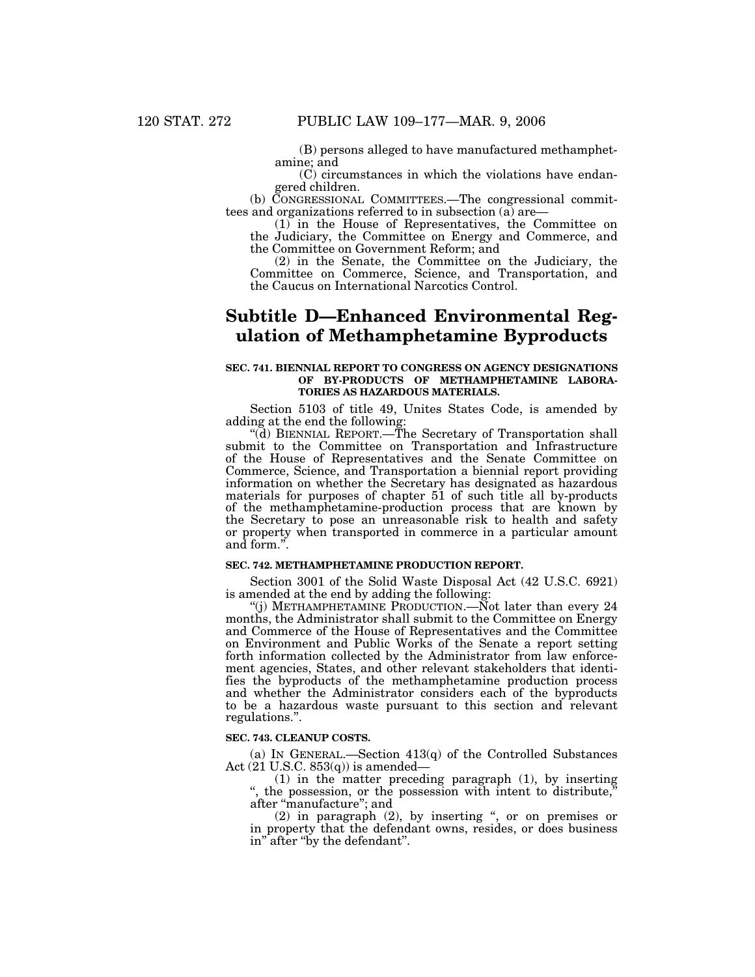(B) persons alleged to have manufactured methamphetamine; and

 $(C)$  circumstances in which the violations have endangered children.

(b) CONGRESSIONAL COMMITTEES.—The congressional committees and organizations referred to in subsection (a) are—

(1) in the House of Representatives, the Committee on the Judiciary, the Committee on Energy and Commerce, and the Committee on Government Reform; and

(2) in the Senate, the Committee on the Judiciary, the Committee on Commerce, Science, and Transportation, and the Caucus on International Narcotics Control.

## **Subtitle D—Enhanced Environmental Regulation of Methamphetamine Byproducts**

## **SEC. 741. BIENNIAL REPORT TO CONGRESS ON AGENCY DESIGNATIONS OF BY-PRODUCTS OF METHAMPHETAMINE LABORA-TORIES AS HAZARDOUS MATERIALS.**

Section 5103 of title 49, Unites States Code, is amended by adding at the end the following:

''(d) BIENNIAL REPORT.—The Secretary of Transportation shall submit to the Committee on Transportation and Infrastructure of the House of Representatives and the Senate Committee on Commerce, Science, and Transportation a biennial report providing information on whether the Secretary has designated as hazardous materials for purposes of chapter 51 of such title all by-products of the methamphetamine-production process that are known by the Secretary to pose an unreasonable risk to health and safety or property when transported in commerce in a particular amount and form.''.

## **SEC. 742. METHAMPHETAMINE PRODUCTION REPORT.**

Section 3001 of the Solid Waste Disposal Act (42 U.S.C. 6921) is amended at the end by adding the following:

''(j) METHAMPHETAMINE PRODUCTION.—Not later than every 24 months, the Administrator shall submit to the Committee on Energy and Commerce of the House of Representatives and the Committee on Environment and Public Works of the Senate a report setting forth information collected by the Administrator from law enforcement agencies, States, and other relevant stakeholders that identifies the byproducts of the methamphetamine production process and whether the Administrator considers each of the byproducts to be a hazardous waste pursuant to this section and relevant regulations.''.

#### **SEC. 743. CLEANUP COSTS.**

(a) IN GENERAL.—Section  $413(q)$  of the Controlled Substances Act  $(21 \text{ U.S.C. } 853(q))$  is amended-

(1) in the matter preceding paragraph (1), by inserting ", the possession, or the possession with intent to distribute," after ''manufacture''; and

(2) in paragraph  $(2)$ , by inserting ", or on premises or in property that the defendant owns, resides, or does business in'' after ''by the defendant''.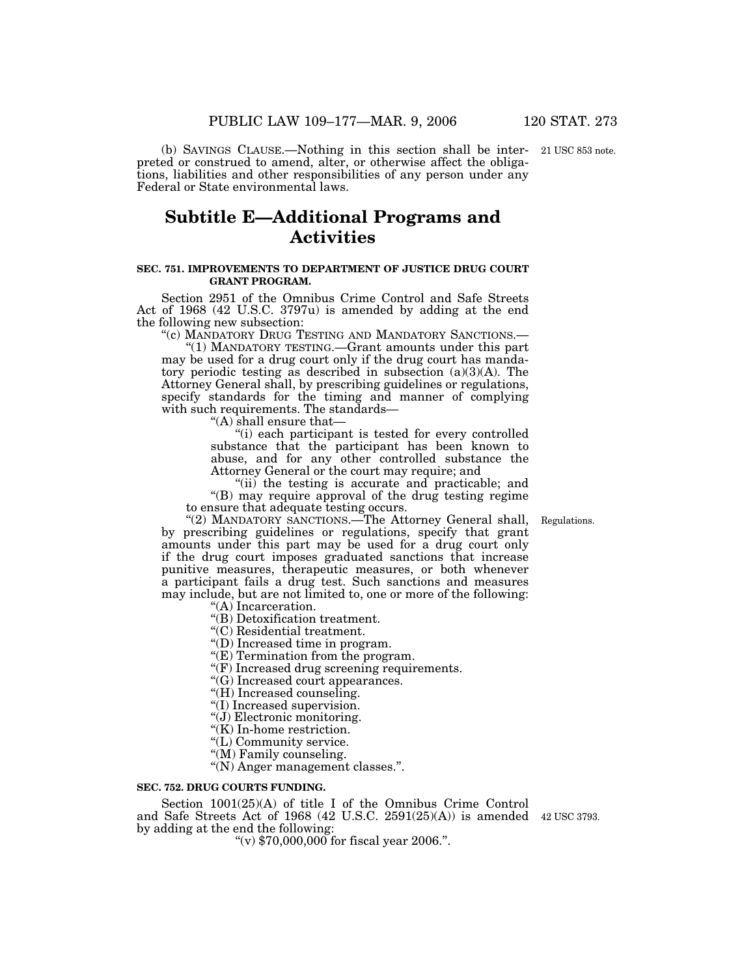(b) SAVINGS CLAUSE.—Nothing in this section shall be inter-21 USC 853 note. preted or construed to amend, alter, or otherwise affect the obligations, liabilities and other responsibilities of any person under any Federal or State environmental laws.

# **Subtitle E—Additional Programs and Activities**

## **SEC. 751. IMPROVEMENTS TO DEPARTMENT OF JUSTICE DRUG COURT GRANT PROGRAM.**

Section 2951 of the Omnibus Crime Control and Safe Streets Act of 1968 (42 U.S.C. 3797u) is amended by adding at the end the following new subsection:

''(c) MANDATORY DRUG TESTING AND MANDATORY SANCTIONS.— ''(1) MANDATORY TESTING.—Grant amounts under this part

may be used for a drug court only if the drug court has mandatory periodic testing as described in subsection (a)(3)(A). The Attorney General shall, by prescribing guidelines or regulations, specify standards for the timing and manner of complying with such requirements. The standards—

''(A) shall ensure that—

"(i) each participant is tested for every controlled substance that the participant has been known to abuse, and for any other controlled substance the Attorney General or the court may require; and

''(ii) the testing is accurate and practicable; and ''(B) may require approval of the drug testing regime to ensure that adequate testing occurs.

Regulations.

"(2) MANDATORY SANCTIONS.—The Attorney General shall, by prescribing guidelines or regulations, specify that grant amounts under this part may be used for a drug court only if the drug court imposes graduated sanctions that increase punitive measures, therapeutic measures, or both whenever a participant fails a drug test. Such sanctions and measures may include, but are not limited to, one or more of the following:

''(A) Incarceration.

''(B) Detoxification treatment.

''(C) Residential treatment.

''(D) Increased time in program.

''(E) Termination from the program.

"(F) Increased drug screening requirements.

''(G) Increased court appearances.

"(H) Increased counseling.

''(I) Increased supervision.

''(J) Electronic monitoring.

 $\sqrt{\text{K}}$ ) In-home restriction.

''(L) Community service.

"(M) Family counseling.

''(N) Anger management classes.''.

#### **SEC. 752. DRUG COURTS FUNDING.**

Section 1001(25)(A) of title I of the Omnibus Crime Control and Safe Streets Act of 1968 (42 U.S.C. 2591(25)(A)) is amended 42 USC 3793. by adding at the end the following:

"(v)  $$70,000,000$  for fiscal year 2006.".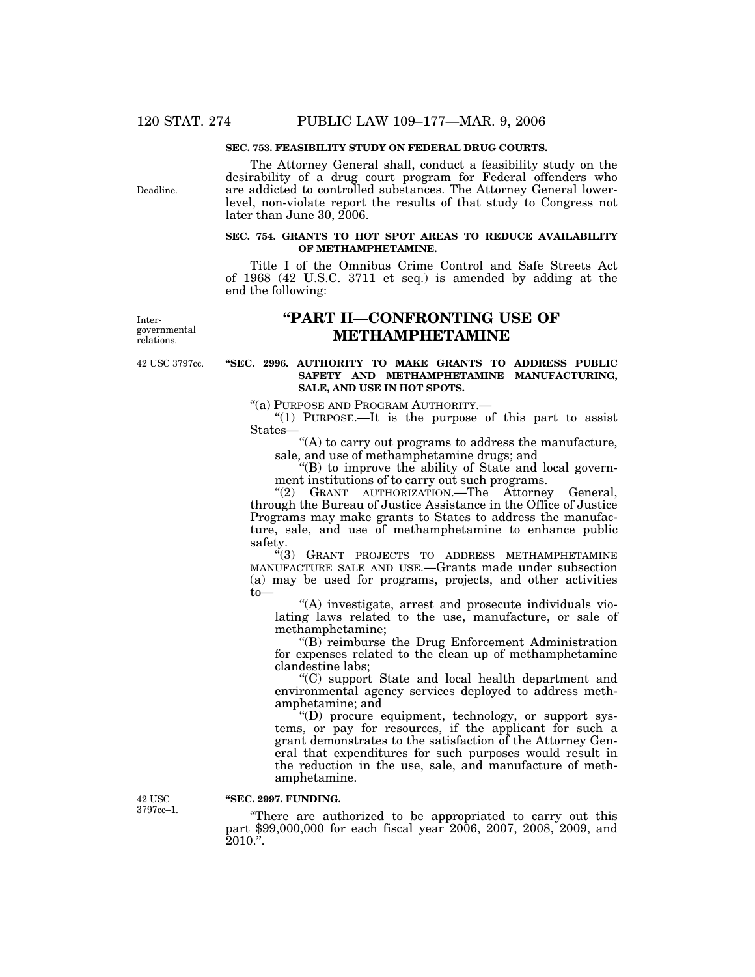## **SEC. 753. FEASIBILITY STUDY ON FEDERAL DRUG COURTS.**

The Attorney General shall, conduct a feasibility study on the desirability of a drug court program for Federal offenders who are addicted to controlled substances. The Attorney General lowerlevel, non-violate report the results of that study to Congress not later than June 30, 2006.

### **SEC. 754. GRANTS TO HOT SPOT AREAS TO REDUCE AVAILABILITY OF METHAMPHETAMINE.**

Title I of the Omnibus Crime Control and Safe Streets Act of 1968 (42 U.S.C. 3711 et seq.) is amended by adding at the end the following:

Intergovernmental relations.

Deadline.

## **''PART II—CONFRONTING USE OF METHAMPHETAMINE**

42 USC 3797cc.

## **''SEC. 2996. AUTHORITY TO MAKE GRANTS TO ADDRESS PUBLIC SAFETY AND METHAMPHETAMINE MANUFACTURING, SALE, AND USE IN HOT SPOTS.**

"(a) PURPOSE AND PROGRAM AUTHORITY.—

''(1) PURPOSE.—It is the purpose of this part to assist States—

''(A) to carry out programs to address the manufacture, sale, and use of methamphetamine drugs; and

''(B) to improve the ability of State and local government institutions of to carry out such programs.

''(2) GRANT AUTHORIZATION.—The Attorney General, through the Bureau of Justice Assistance in the Office of Justice Programs may make grants to States to address the manufacture, sale, and use of methamphetamine to enhance public safety.

''(3) GRANT PROJECTS TO ADDRESS METHAMPHETAMINE MANUFACTURE SALE AND USE.—Grants made under subsection (a) may be used for programs, projects, and other activities to—

''(A) investigate, arrest and prosecute individuals violating laws related to the use, manufacture, or sale of methamphetamine;

''(B) reimburse the Drug Enforcement Administration for expenses related to the clean up of methamphetamine clandestine labs;

''(C) support State and local health department and environmental agency services deployed to address methamphetamine; and

''(D) procure equipment, technology, or support systems, or pay for resources, if the applicant for such a grant demonstrates to the satisfaction of the Attorney General that expenditures for such purposes would result in the reduction in the use, sale, and manufacture of methamphetamine.

**42 USC** 3797cc–1.

#### **''SEC. 2997. FUNDING.**

''There are authorized to be appropriated to carry out this part \$99,000,000 for each fiscal year 2006, 2007, 2008, 2009, and  $2010."$ .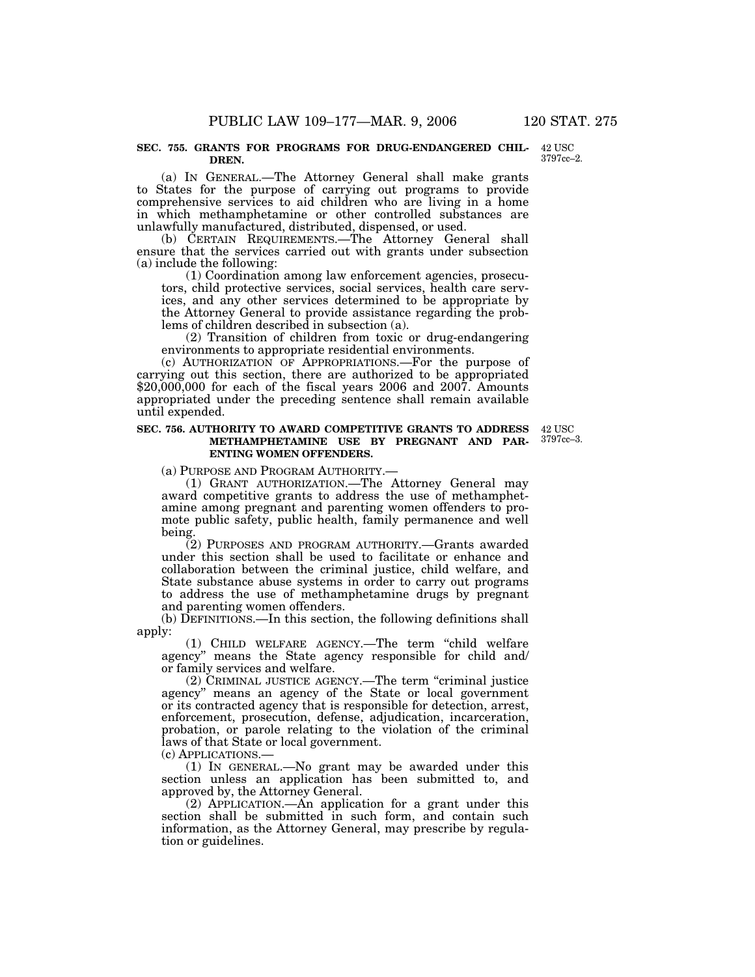#### **SEC. 755. GRANTS FOR PROGRAMS FOR DRUG-ENDANGERED CHIL-**42 USC **DREN.**

(a) IN GENERAL.—The Attorney General shall make grants to States for the purpose of carrying out programs to provide comprehensive services to aid children who are living in a home in which methamphetamine or other controlled substances are unlawfully manufactured, distributed, dispensed, or used.

(b) CERTAIN REQUIREMENTS.—The Attorney General shall ensure that the services carried out with grants under subsection (a) include the following:

(1) Coordination among law enforcement agencies, prosecutors, child protective services, social services, health care services, and any other services determined to be appropriate by the Attorney General to provide assistance regarding the problems of children described in subsection (a).

(2) Transition of children from toxic or drug-endangering environments to appropriate residential environments.

(c) AUTHORIZATION OF APPROPRIATIONS.—For the purpose of carrying out this section, there are authorized to be appropriated \$20,000,000 for each of the fiscal years 2006 and 2007. Amounts appropriated under the preceding sentence shall remain available until expended.

#### **SEC. 756. AUTHORITY TO AWARD COMPETITIVE GRANTS TO ADDRESS METHAMPHETAMINE USE BY PREGNANT AND PAR-ENTING WOMEN OFFENDERS.**

(a) PURPOSE AND PROGRAM AUTHORITY.—

(1) GRANT AUTHORIZATION.—The Attorney General may award competitive grants to address the use of methamphetamine among pregnant and parenting women offenders to promote public safety, public health, family permanence and well being.

(2) PURPOSES AND PROGRAM AUTHORITY.—Grants awarded under this section shall be used to facilitate or enhance and collaboration between the criminal justice, child welfare, and State substance abuse systems in order to carry out programs to address the use of methamphetamine drugs by pregnant and parenting women offenders.

(b) DEFINITIONS.—In this section, the following definitions shall apply:

(1) CHILD WELFARE AGENCY.—The term ''child welfare agency'' means the State agency responsible for child and/ or family services and welfare.

(2) CRIMINAL JUSTICE AGENCY.—The term ''criminal justice agency'' means an agency of the State or local government or its contracted agency that is responsible for detection, arrest, enforcement, prosecution, defense, adjudication, incarceration, probation, or parole relating to the violation of the criminal laws of that State or local government.

(c) APPLICATIONS.—

(1) IN GENERAL.—No grant may be awarded under this section unless an application has been submitted to, and approved by, the Attorney General.

(2) APPLICATION.—An application for a grant under this section shall be submitted in such form, and contain such information, as the Attorney General, may prescribe by regulation or guidelines.

42 USC 3797cc–3.

3797cc–2.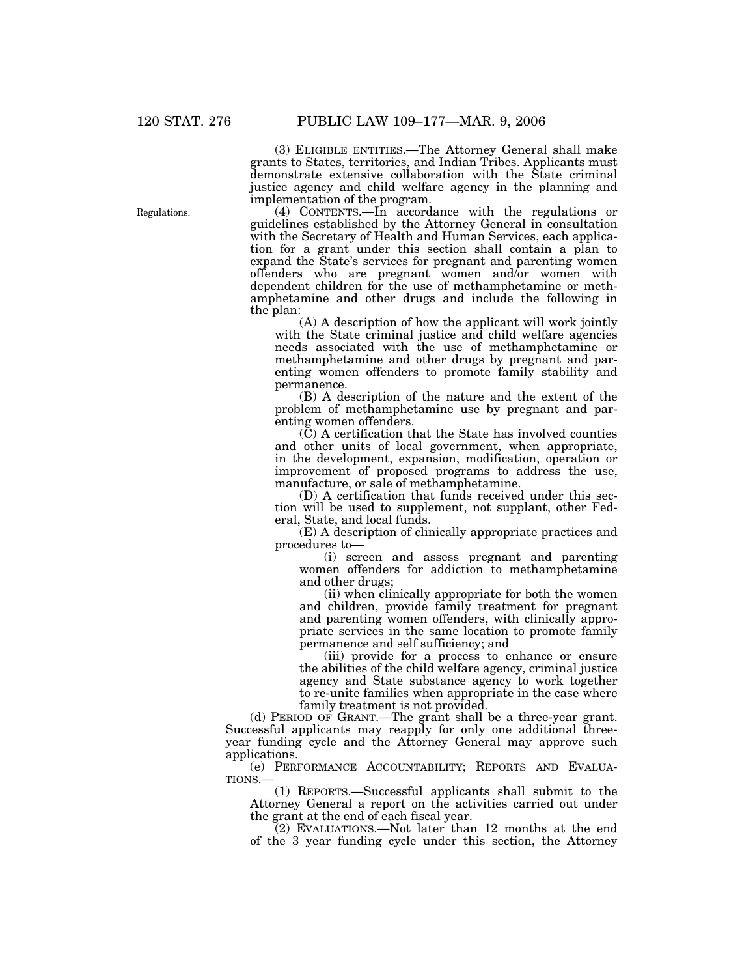(3) ELIGIBLE ENTITIES.—The Attorney General shall make grants to States, territories, and Indian Tribes. Applicants must demonstrate extensive collaboration with the State criminal justice agency and child welfare agency in the planning and implementation of the program.

(4) CONTENTS.—In accordance with the regulations or guidelines established by the Attorney General in consultation with the Secretary of Health and Human Services, each application for a grant under this section shall contain a plan to expand the State's services for pregnant and parenting women offenders who are pregnant women and/or women with dependent children for the use of methamphetamine or methamphetamine and other drugs and include the following in the plan:

(A) A description of how the applicant will work jointly with the State criminal justice and child welfare agencies needs associated with the use of methamphetamine or methamphetamine and other drugs by pregnant and parenting women offenders to promote family stability and permanence.

(B) A description of the nature and the extent of the problem of methamphetamine use by pregnant and parenting women offenders.

 $(\bar{C})$  A certification that the State has involved counties and other units of local government, when appropriate, in the development, expansion, modification, operation or improvement of proposed programs to address the use, manufacture, or sale of methamphetamine.

(D) A certification that funds received under this section will be used to supplement, not supplant, other Federal, State, and local funds.

(E) A description of clinically appropriate practices and procedures to—

(i) screen and assess pregnant and parenting women offenders for addiction to methamphetamine and other drugs;

(ii) when clinically appropriate for both the women and children, provide family treatment for pregnant and parenting women offenders, with clinically appropriate services in the same location to promote family permanence and self sufficiency; and

(iii) provide for a process to enhance or ensure the abilities of the child welfare agency, criminal justice agency and State substance agency to work together to re-unite families when appropriate in the case where family treatment is not provided.

(d) PERIOD OF GRANT.—The grant shall be a three-year grant. Successful applicants may reapply for only one additional threeyear funding cycle and the Attorney General may approve such applications.

(e) PERFORMANCE ACCOUNTABILITY; REPORTS AND EVALUA- TIONS.—

(1) REPORTS.—Successful applicants shall submit to the Attorney General a report on the activities carried out under the grant at the end of each fiscal year.

(2) EVALUATIONS.—Not later than 12 months at the end of the 3 year funding cycle under this section, the Attorney

Regulations.